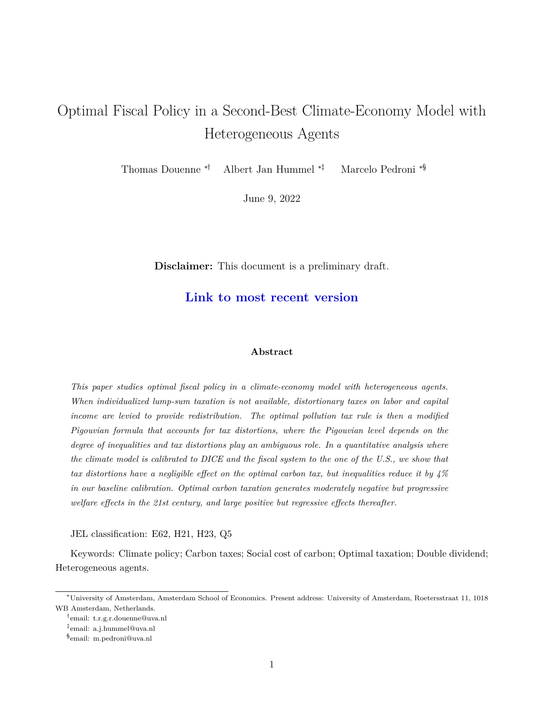# Optimal Fiscal Policy in a Second-Best Climate-Economy Model with Heterogeneous Agents

Thomas Douenne ∗† Albert Jan Hummel ∗‡ Marcelo Pedroni ∗§

June 9, 2022

**Disclaimer:** This document is a preliminary draft.

# **[Link to most recent version](https://github.com/thomasdouenne/research_papers/blob/main/optimal_fiscal_policy_in_a_second_best_climate_economy_model_with_heterogeneous_agents.pdf)**

# **Abstract**

*This paper studies optimal fiscal policy in a climate-economy model with heterogeneous agents. When individualized lump-sum taxation is not available, distortionary taxes on labor and capital income are levied to provide redistribution. The optimal pollution tax rule is then a modified Pigouvian formula that accounts for tax distortions, where the Pigouvian level depends on the degree of inequalities and tax distortions play an ambiguous role. In a quantitative analysis where the climate model is calibrated to DICE and the fiscal system to the one of the U.S., we show that tax distortions have a negligible effect on the optimal carbon tax, but inequalities reduce it by 4% in our baseline calibration. Optimal carbon taxation generates moderately negative but progressive welfare effects in the 21st century, and large positive but regressive effects thereafter.*

JEL classification: E62, H21, H23, Q5

Keywords: Climate policy; Carbon taxes; Social cost of carbon; Optimal taxation; Double dividend; Heterogeneous agents.

<sup>∗</sup>University of Amsterdam, Amsterdam School of Economics. Present address: University of Amsterdam, Roetersstraat 11, 1018 WB Amsterdam, Netherlands.

<sup>†</sup> email: t.r.g.r.douenne@uva.nl

<sup>‡</sup> email: a.j.hummel@uva.nl

<sup>§</sup> email: m.pedroni@uva.nl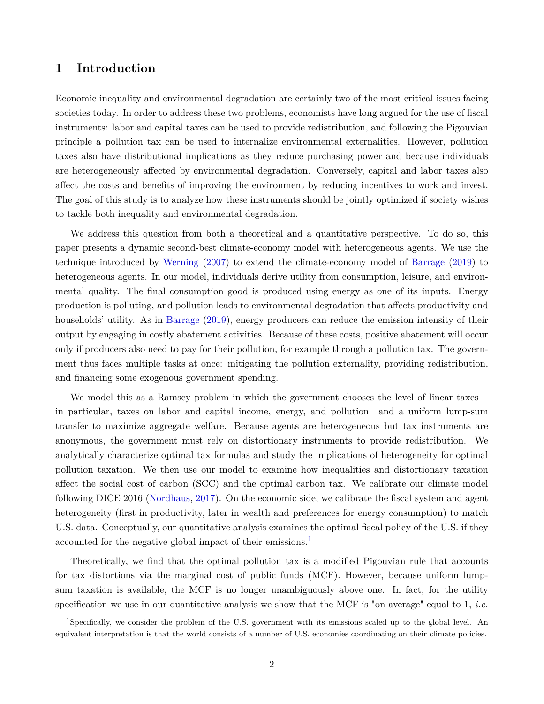# **1 Introduction**

Economic inequality and environmental degradation are certainly two of the most critical issues facing societies today. In order to address these two problems, economists have long argued for the use of fiscal instruments: labor and capital taxes can be used to provide redistribution, and following the Pigouvian principle a pollution tax can be used to internalize environmental externalities. However, pollution taxes also have distributional implications as they reduce purchasing power and because individuals are heterogeneously affected by environmental degradation. Conversely, capital and labor taxes also affect the costs and benefits of improving the environment by reducing incentives to work and invest. The goal of this study is to analyze how these instruments should be jointly optimized if society wishes to tackle both inequality and environmental degradation.

We address this question from both a theoretical and a quantitative perspective. To do so, this paper presents a dynamic second-best climate-economy model with heterogeneous agents. We use the technique introduced by [Werning](#page-38-0) [\(2007](#page-38-0)) to extend the climate-economy model of [Barrage](#page-35-0) [\(2019](#page-35-0)) to heterogeneous agents. In our model, individuals derive utility from consumption, leisure, and environmental quality. The final consumption good is produced using energy as one of its inputs. Energy production is polluting, and pollution leads to environmental degradation that affects productivity and households' utility. As in [Barrage](#page-35-0) ([2019\)](#page-35-0), energy producers can reduce the emission intensity of their output by engaging in costly abatement activities. Because of these costs, positive abatement will occur only if producers also need to pay for their pollution, for example through a pollution tax. The government thus faces multiple tasks at once: mitigating the pollution externality, providing redistribution, and financing some exogenous government spending.

We model this as a Ramsey problem in which the government chooses the level of linear taxes in particular, taxes on labor and capital income, energy, and pollution—and a uniform lump-sum transfer to maximize aggregate welfare. Because agents are heterogeneous but tax instruments are anonymous, the government must rely on distortionary instruments to provide redistribution. We analytically characterize optimal tax formulas and study the implications of heterogeneity for optimal pollution taxation. We then use our model to examine how inequalities and distortionary taxation affect the social cost of carbon (SCC) and the optimal carbon tax. We calibrate our climate model following DICE 2016 [\(Nordhaus](#page-37-0), [2017](#page-37-0)). On the economic side, we calibrate the fiscal system and agent heterogeneity (first in productivity, later in wealth and preferences for energy consumption) to match U.S. data. Conceptually, our quantitative analysis examines the optimal fiscal policy of the U.S. if they accounted for the negative global impact of their emissions.<sup>[1](#page-1-0)</sup>

Theoretically, we find that the optimal pollution tax is a modified Pigouvian rule that accounts for tax distortions via the marginal cost of public funds (MCF). However, because uniform lumpsum taxation is available, the MCF is no longer unambiguously above one. In fact, for the utility specification we use in our quantitative analysis we show that the MCF is "on average" equal to 1, *i.e.*

<span id="page-1-0"></span><sup>1</sup>Specifically, we consider the problem of the U.S. government with its emissions scaled up to the global level. An equivalent interpretation is that the world consists of a number of U.S. economies coordinating on their climate policies.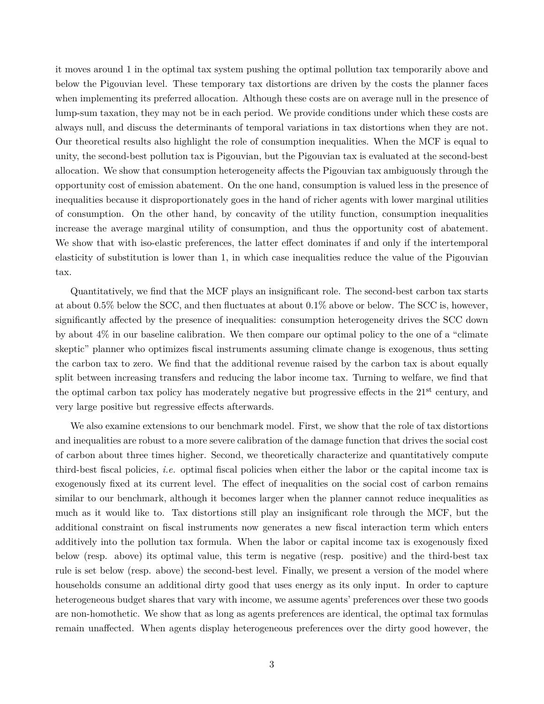it moves around 1 in the optimal tax system pushing the optimal pollution tax temporarily above and below the Pigouvian level. These temporary tax distortions are driven by the costs the planner faces when implementing its preferred allocation. Although these costs are on average null in the presence of lump-sum taxation, they may not be in each period. We provide conditions under which these costs are always null, and discuss the determinants of temporal variations in tax distortions when they are not. Our theoretical results also highlight the role of consumption inequalities. When the MCF is equal to unity, the second-best pollution tax is Pigouvian, but the Pigouvian tax is evaluated at the second-best allocation. We show that consumption heterogeneity affects the Pigouvian tax ambiguously through the opportunity cost of emission abatement. On the one hand, consumption is valued less in the presence of inequalities because it disproportionately goes in the hand of richer agents with lower marginal utilities of consumption. On the other hand, by concavity of the utility function, consumption inequalities increase the average marginal utility of consumption, and thus the opportunity cost of abatement. We show that with iso-elastic preferences, the latter effect dominates if and only if the intertemporal elasticity of substitution is lower than 1, in which case inequalities reduce the value of the Pigouvian tax.

Quantitatively, we find that the MCF plays an insignificant role. The second-best carbon tax starts at about 0.5% below the SCC, and then fluctuates at about 0.1% above or below. The SCC is, however, significantly affected by the presence of inequalities: consumption heterogeneity drives the SCC down by about 4% in our baseline calibration. We then compare our optimal policy to the one of a "climate skeptic" planner who optimizes fiscal instruments assuming climate change is exogenous, thus setting the carbon tax to zero. We find that the additional revenue raised by the carbon tax is about equally split between increasing transfers and reducing the labor income tax. Turning to welfare, we find that the optimal carbon tax policy has moderately negative but progressive effects in the  $21<sup>st</sup>$  century, and very large positive but regressive effects afterwards.

We also examine extensions to our benchmark model. First, we show that the role of tax distortions and inequalities are robust to a more severe calibration of the damage function that drives the social cost of carbon about three times higher. Second, we theoretically characterize and quantitatively compute third-best fiscal policies, *i.e.* optimal fiscal policies when either the labor or the capital income tax is exogenously fixed at its current level. The effect of inequalities on the social cost of carbon remains similar to our benchmark, although it becomes larger when the planner cannot reduce inequalities as much as it would like to. Tax distortions still play an insignificant role through the MCF, but the additional constraint on fiscal instruments now generates a new fiscal interaction term which enters additively into the pollution tax formula. When the labor or capital income tax is exogenously fixed below (resp. above) its optimal value, this term is negative (resp. positive) and the third-best tax rule is set below (resp. above) the second-best level. Finally, we present a version of the model where households consume an additional dirty good that uses energy as its only input. In order to capture heterogeneous budget shares that vary with income, we assume agents' preferences over these two goods are non-homothetic. We show that as long as agents preferences are identical, the optimal tax formulas remain unaffected. When agents display heterogeneous preferences over the dirty good however, the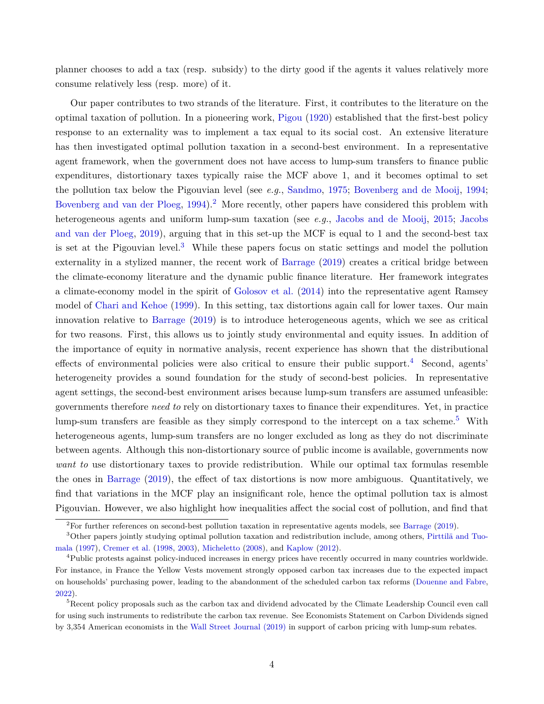planner chooses to add a tax (resp. subsidy) to the dirty good if the agents it values relatively more consume relatively less (resp. more) of it.

Our paper contributes to two strands of the literature. First, it contributes to the literature on the optimal taxation of pollution. In a pioneering work, [Pigou](#page-37-1) ([1920\)](#page-37-1) established that the first-best policy response to an externality was to implement a tax equal to its social cost. An extensive literature has then investigated optimal pollution taxation in a second-best environment. In a representative agent framework, when the government does not have access to lump-sum transfers to finance public expenditures, distortionary taxes typically raise the MCF above 1, and it becomes optimal to set the pollution tax below the Pigouvian level (see *e.g.*, [Sandmo](#page-38-1), [1975](#page-38-1); [Bovenberg and de Mooij](#page-35-1), [1994;](#page-35-1) [Bovenberg and van der Ploeg](#page-35-2), [1994](#page-35-2)).<sup>[2](#page-3-0)</sup> More recently, other papers have considered this problem with heterogeneous agents and uniform lump-sum taxation (see *e.g.*, [Jacobs and de Mooij](#page-36-0), [2015](#page-36-0); [Jacobs](#page-36-1) [and van der Ploeg](#page-36-1), [2019](#page-36-1)), arguing that in this set-up the MCF is equal to 1 and the second-best tax is set at the Pigouvian level.<sup>[3](#page-3-1)</sup> While these papers focus on static settings and model the pollution externality in a stylized manner, the recent work of [Barrage](#page-35-0) [\(2019\)](#page-35-0) creates a critical bridge between the climate-economy literature and the dynamic public finance literature. Her framework integrates a climate-economy model in the spirit of [Golosov et al.](#page-36-2) ([2014\)](#page-36-2) into the representative agent Ramsey model of [Chari and Kehoe](#page-35-3) [\(1999](#page-35-3)). In this setting, tax distortions again call for lower taxes. Our main innovation relative to [Barrage](#page-35-0) ([2019](#page-35-0)) is to introduce heterogeneous agents, which we see as critical for two reasons. First, this allows us to jointly study environmental and equity issues. In addition of the importance of equity in normative analysis, recent experience has shown that the distributional effects of environmental policies were also critical to ensure their public support.<sup>[4](#page-3-2)</sup> Second, agents' heterogeneity provides a sound foundation for the study of second-best policies. In representative agent settings, the second-best environment arises because lump-sum transfers are assumed unfeasible: governments therefore *need to* rely on distortionary taxes to finance their expenditures. Yet, in practice lump-sum transfers are feasible as they simply correspond to the intercept on a tax scheme.<sup>[5](#page-3-3)</sup> With heterogeneous agents, lump-sum transfers are no longer excluded as long as they do not discriminate between agents. Although this non-distortionary source of public income is available, governments now *want to* use distortionary taxes to provide redistribution. While our optimal tax formulas resemble the ones in [Barrage](#page-35-0) ([2019](#page-35-0)), the effect of tax distortions is now more ambiguous. Quantitatively, we find that variations in the MCF play an insignificant role, hence the optimal pollution tax is almost Pigouvian. However, we also highlight how inequalities affect the social cost of pollution, and find that

<span id="page-3-1"></span><span id="page-3-0"></span><sup>&</sup>lt;sup>2</sup>For further references on second-best pollution taxation in representative agents models, see [Barrage](#page-35-0) [\(2019\)](#page-35-0).

<sup>3</sup>Other papers jointly studying optimal pollution taxation and redistribution include, among others, [Pirttilä and Tuo](#page-37-2)[mala](#page-37-2) [\(1997\)](#page-37-2), [Cremer et al.](#page-35-4) [\(1998](#page-35-4), [2003\)](#page-35-5), [Micheletto](#page-37-3) ([2008](#page-37-3)), and [Kaplow](#page-36-3) ([2012](#page-36-3)).

<span id="page-3-2"></span><sup>4</sup>Public protests against policy-induced increases in energy prices have recently occurred in many countries worldwide. For instance, in France the Yellow Vests movement strongly opposed carbon tax increases due to the expected impact on households' purchasing power, leading to the abandonment of the scheduled carbon tax reforms ([Douenne and Fabre](#page-36-4), [2022\)](#page-36-4).

<span id="page-3-3"></span><sup>&</sup>lt;sup>5</sup>Recent policy proposals such as the carbon tax and dividend advocated by the Climate Leadership Council even call for using such instruments to redistribute the carbon tax revenue. See Economists Statement on Carbon Dividends signed by 3,354 American economists in the [Wall Street Journal \(2019\)](https://www.clcouncil.org/media/EconomistsStatement.pdf) in support of carbon pricing with lump-sum rebates.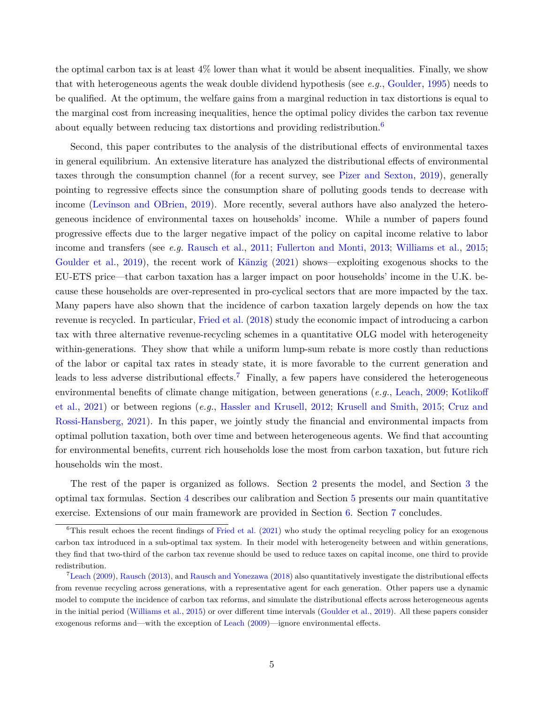the optimal carbon tax is at least  $4\%$  lower than what it would be absent inequalities. Finally, we show that with heterogeneous agents the weak double dividend hypothesis (see *e.g.*, [Goulder,](#page-36-5) [1995\)](#page-36-5) needs to be qualified. At the optimum, the welfare gains from a marginal reduction in tax distortions is equal to the marginal cost from increasing inequalities, hence the optimal policy divides the carbon tax revenue about equally between reducing tax distortions and providing redistribution.<sup>[6](#page-4-0)</sup>

Second, this paper contributes to the analysis of the distributional effects of environmental taxes in general equilibrium. An extensive literature has analyzed the distributional effects of environmental taxes through the consumption channel (for a recent survey, see [Pizer and Sexton](#page-37-4), [2019\)](#page-37-4), generally pointing to regressive effects since the consumption share of polluting goods tends to decrease with income [\(Levinson and OBrien,](#page-37-5) [2019\)](#page-37-5). More recently, several authors have also analyzed the heterogeneous incidence of environmental taxes on households' income. While a number of papers found progressive effects due to the larger negative impact of the policy on capital income relative to labor income and transfers (see *e.g.* [Rausch et al.,](#page-38-2) [2011](#page-38-2); [Fullerton and Monti](#page-36-6), [2013;](#page-36-6) [Williams et al.](#page-38-3), [2015;](#page-38-3) [Goulder et al.,](#page-36-7) [2019](#page-36-7)), the recent work of [Känzig](#page-36-8) [\(2021](#page-36-8)) shows—exploiting exogenous shocks to the EU-ETS price—that carbon taxation has a larger impact on poor households' income in the U.K. because these households are over-represented in pro-cyclical sectors that are more impacted by the tax. Many papers have also shown that the incidence of carbon taxation largely depends on how the tax revenue is recycled. In particular, [Fried et al.](#page-36-9) [\(2018](#page-36-9)) study the economic impact of introducing a carbon tax with three alternative revenue-recycling schemes in a quantitative OLG model with heterogeneity within-generations. They show that while a uniform lump-sum rebate is more costly than reductions of the labor or capital tax rates in steady state, it is more favorable to the current generation and leads to less adverse distributional effects.<sup>[7](#page-4-1)</sup> Finally, a few papers have considered the heterogeneous environmental benefits of climate change mitigation, between generations (*e.g.*, [Leach,](#page-37-6) [2009;](#page-37-6) [Kotlikoff](#page-37-7) [et al.](#page-37-7), [2021](#page-37-7)) or between regions (*e.g.*, [Hassler and Krusell,](#page-36-10) [2012;](#page-36-10) [Krusell and Smith](#page-37-8), [2015](#page-37-8); [Cruz and](#page-35-6) [Rossi-Hansberg](#page-35-6), [2021\)](#page-35-6). In this paper, we jointly study the financial and environmental impacts from optimal pollution taxation, both over time and between heterogeneous agents. We find that accounting for environmental benefits, current rich households lose the most from carbon taxation, but future rich households win the most.

The rest of the paper is organized as follows. Section [2](#page-5-0) presents the model, and Section [3](#page-8-0) the optimal tax formulas. Section [4](#page-16-0) describes our calibration and Section [5](#page-20-0) presents our main quantitative exercise. Extensions of our main framework are provided in Section [6](#page-25-0). Section [7](#page-33-0) concludes.

<span id="page-4-0"></span> $6$ This result echoes the recent findings of [Fried et al.](#page-36-11) [\(2021](#page-36-11)) who study the optimal recycling policy for an exogenous carbon tax introduced in a sub-optimal tax system. In their model with heterogeneity between and within generations, they find that two-third of the carbon tax revenue should be used to reduce taxes on capital income, one third to provide redistribution.

<span id="page-4-1"></span> $7$ [Leach](#page-37-6) [\(2009\)](#page-37-6), [Rausch](#page-37-9) [\(2013\)](#page-37-9), and [Rausch and Yonezawa](#page-38-4) ([2018](#page-38-4)) also quantitatively investigate the distributional effects from revenue recycling across generations, with a representative agent for each generation. Other papers use a dynamic model to compute the incidence of carbon tax reforms, and simulate the distributional effects across heterogeneous agents in the initial period [\(Williams et al.](#page-38-3), [2015](#page-38-3)) or over different time intervals [\(Goulder et al.](#page-36-7), [2019\)](#page-36-7). All these papers consider exogenous reforms and—with the exception of [Leach](#page-37-6) [\(2009](#page-37-6))—ignore environmental effects.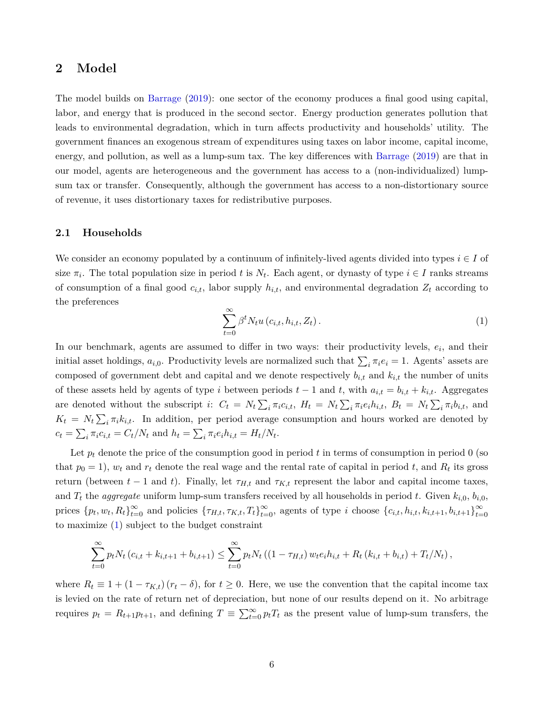# <span id="page-5-0"></span>**2 Model**

The model builds on [Barrage](#page-35-0) [\(2019](#page-35-0)): one sector of the economy produces a final good using capital, labor, and energy that is produced in the second sector. Energy production generates pollution that leads to environmental degradation, which in turn affects productivity and households' utility. The government finances an exogenous stream of expenditures using taxes on labor income, capital income, energy, and pollution, as well as a lump-sum tax. The key differences with [Barrage](#page-35-0) ([2019\)](#page-35-0) are that in our model, agents are heterogeneous and the government has access to a (non-individualized) lumpsum tax or transfer. Consequently, although the government has access to a non-distortionary source of revenue, it uses distortionary taxes for redistributive purposes.

# **2.1 Households**

<span id="page-5-1"></span>We consider an economy populated by a continuum of infinitely-lived agents divided into types *i ∈ I* of size  $\pi_i$ . The total population size in period *t* is  $N_t$ . Each agent, or dynasty of type  $i \in I$  ranks streams of consumption of a final good  $c_{i,t}$ , labor supply  $h_{i,t}$ , and environmental degradation  $Z_t$  according to the preferences

$$
\sum_{t=0}^{\infty} \beta^t N_t u\left(c_{i,t}, h_{i,t}, Z_t\right).
$$
 (1)

In our benchmark, agents are assumed to differ in two ways: their productivity levels,  $e_i$ , and their initial asset holdings,  $a_{i,0}$ . Productivity levels are normalized such that  $\sum_i \pi_i e_i = 1$ . Agents' assets are composed of government debt and capital and we denote respectively  $b_{i,t}$  and  $k_{i,t}$  the number of units of these assets held by agents of type *i* between periods  $t-1$  and  $t$ , with  $a_{i,t} = b_{i,t} + k_{i,t}$ . Aggregates are denoted without the subscript i:  $C_t = N_t \sum_i \pi_i c_{i,t}$ ,  $H_t = N_t \sum_i \pi_i e_i h_{i,t}$ ,  $B_t = N_t \sum_i \pi_i b_{i,t}$ , and  $K_t = N_t \sum_i \pi_i k_{i,t}$ . In addition, per period average consumption and hours worked are denoted by  $c_t = \sum_i \pi_i c_{i,t} = C_t / N_t$  and  $h_t = \sum_i \pi_i e_i h_{i,t} = H_t / N_t$ .

Let  $p_t$  denote the price of the consumption good in period t in terms of consumption in period 0 (so that  $p_0 = 1$ ,  $w_t$  and  $r_t$  denote the real wage and the rental rate of capital in period  $t$ , and  $R_t$  its gross return (between  $t-1$  and  $t$ ). Finally, let  $\tau_{H,t}$  and  $\tau_{K,t}$  represent the labor and capital income taxes, and  $T_t$  the *aggregate* uniform lump-sum transfers received by all households in period t. Given  $k_{i,0}$ ,  $b_{i,0}$ , prices  ${p_t, w_t, R_t}_{t=0}^{\infty}$  and policies  ${\lbrace \tau_{H,t}, \tau_{K,t}, T_t \rbrace}_{t=0}^{\infty}$ , agents of type *i* choose  ${c_{i,t}, h_{i,t}, k_{i,t+1}, b_{i,t+1}}_{t=0}^{\infty}$ *t*=0 to maximize ([1](#page-5-1)) subject to the budget constraint

$$
\sum_{t=0}^{\infty} p_t N_t (c_{i,t} + k_{i,t+1} + b_{i,t+1}) \leq \sum_{t=0}^{\infty} p_t N_t ((1 - \tau_{H,t}) w_t e_i h_{i,t} + R_t (k_{i,t} + b_{i,t}) + T_t / N_t),
$$

where  $R_t \equiv 1 + (1 - \tau_{K,t})(r_t - \delta)$ , for  $t \geq 0$ . Here, we use the convention that the capital income tax is levied on the rate of return net of depreciation, but none of our results depend on it. No arbitrage requires  $p_t = R_{t+1}p_{t+1}$ , and defining  $T \equiv \sum_{t=0}^{\infty} p_t T_t$  as the present value of lump-sum transfers, the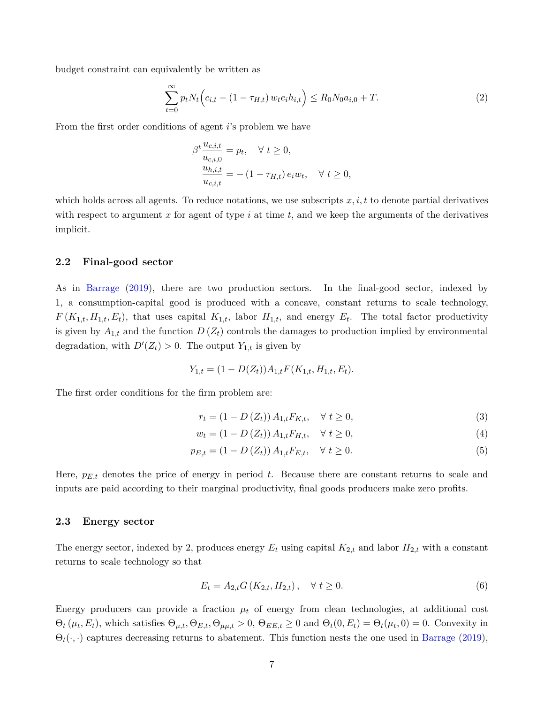budget constraint can equivalently be written as

<span id="page-6-1"></span>
$$
\sum_{t=0}^{\infty} p_t N_t \Big( c_{i,t} - (1 - \tau_{H,t}) w_t e_i h_{i,t} \Big) \le R_0 N_0 a_{i,0} + T.
$$
 (2)

From the first order conditions of agent *i*'s problem we have

$$
\beta^{t} \frac{u_{c,i,t}}{u_{c,i,0}} = p_{t}, \quad \forall \ t \ge 0,
$$
  

$$
\frac{u_{h,i,t}}{u_{c,i,t}} = -(1 - \tau_{H,t}) e_{i} w_{t}, \quad \forall \ t \ge 0,
$$

which holds across all agents. To reduce notations, we use subscripts *x, i, t* to denote partial derivatives with respect to argument *x* for agent of type *i* at time *t*, and we keep the arguments of the derivatives implicit.

## **2.2 Final-good sector**

As in [Barrage](#page-35-0) [\(2019](#page-35-0)), there are two production sectors. In the final-good sector, indexed by 1, a consumption-capital good is produced with a concave, constant returns to scale technology,  $F(K_{1,t}, H_{1,t}, E_t)$ , that uses capital  $K_{1,t}$ , labor  $H_{1,t}$ , and energy  $E_t$ . The total factor productivity is given by  $A_{1,t}$  and the function  $D(Z_t)$  controls the damages to production implied by environmental degradation, with  $D'(Z_t) > 0$ . The output  $Y_{1,t}$  is given by

$$
Y_{1,t} = (1 - D(Z_t))A_{1,t}F(K_{1,t}, H_{1,t}, E_t).
$$

The first order conditions for the firm problem are:

$$
r_{t} = (1 - D(Z_{t})) A_{1,t} F_{K,t}, \quad \forall \ t \ge 0,
$$
\n(3)

$$
w_t = (1 - D(Z_t)) A_{1,t} F_{H,t}, \quad \forall \ t \ge 0,
$$
\n(4)

$$
p_{E,t} = (1 - D(Z_t)) A_{1,t} F_{E,t}, \quad \forall \ t \ge 0.
$$
\n<sup>(5)</sup>

Here,  $p_{E,t}$  denotes the price of energy in period t. Because there are constant returns to scale and inputs are paid according to their marginal productivity, final goods producers make zero profits.

#### **2.3 Energy sector**

The energy sector, indexed by 2, produces energy  $E_t$  using capital  $K_{2,t}$  and labor  $H_{2,t}$  with a constant returns to scale technology so that

<span id="page-6-0"></span>
$$
E_t = A_{2,t} G(K_{2,t}, H_{2,t}), \quad \forall \ t \ge 0.
$$
\n<sup>(6)</sup>

Energy producers can provide a fraction  $\mu_t$  of energy from clean technologies, at additional cost  $\Theta_t(\mu_t, E_t)$ , which satisfies  $\Theta_{\mu,t}, \Theta_{E,t}, \Theta_{\mu\mu,t} > 0$ ,  $\Theta_{EE,t} \ge 0$  and  $\Theta_t(0, E_t) = \Theta_t(\mu_t, 0) = 0$ . Convexity in  $\Theta_t(\cdot, \cdot)$  captures decreasing returns to abatement. This function nests the one used in [Barrage](#page-35-0) ([2019](#page-35-0)),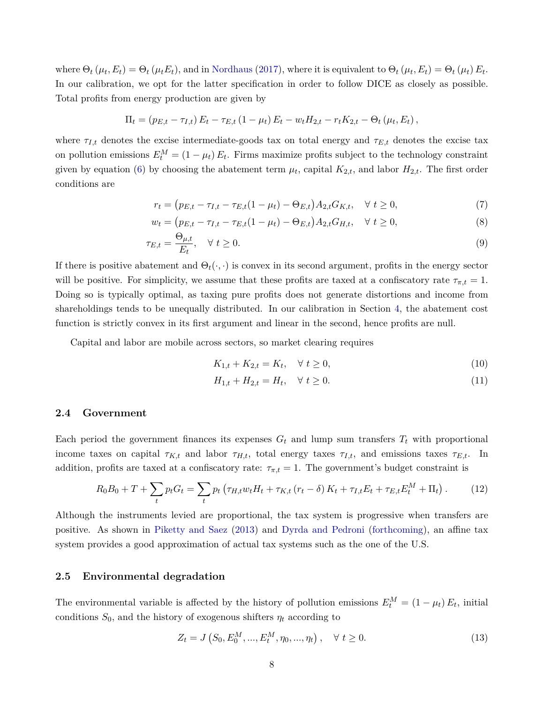where  $\Theta_t(\mu_t, E_t) = \Theta_t(\mu_t E_t)$ , and in [Nordhaus](#page-37-0) [\(2017](#page-37-0)), where it is equivalent to  $\Theta_t(\mu_t, E_t) = \Theta_t(\mu_t) E_t$ . In our calibration, we opt for the latter specification in order to follow DICE as closely as possible. Total profits from energy production are given by

$$
\Pi_t = (p_{E,t} - \tau_{I,t}) E_t - \tau_{E,t} (1 - \mu_t) E_t - w_t H_{2,t} - r_t K_{2,t} - \Theta_t (\mu_t, E_t),
$$

where  $\tau_{I,t}$  denotes the excise intermediate-goods tax on total energy and  $\tau_{E,t}$  denotes the excise tax on pollution emissions  $E_t^M = (1 - \mu_t) E_t$ . Firms maximize profits subject to the technology constraint given by equation ([6\)](#page-6-0) by choosing the abatement term  $\mu_t$ , capital  $K_{2,t}$ , and labor  $H_{2,t}$ . The first order conditions are

$$
r_t = (p_{E,t} - \tau_{I,t} - \tau_{E,t}(1 - \mu_t) - \Theta_{E,t})A_{2,t}G_{K,t}, \quad \forall \ t \ge 0,
$$
\n<sup>(7)</sup>

$$
w_t = (p_{E,t} - \tau_{I,t} - \tau_{E,t}(1 - \mu_t) - \Theta_{E,t})A_{2,t}G_{H,t}, \quad \forall \ t \ge 0,
$$
\n(8)

$$
\tau_{E,t} = \frac{\Theta_{\mu,t}}{E_t}, \quad \forall \ t \ge 0. \tag{9}
$$

If there is positive abatement and  $\Theta_t(\cdot, \cdot)$  is convex in its second argument, profits in the energy sector will be positive. For simplicity, we assume that these profits are taxed at a confiscatory rate  $\tau_{\pi,t} = 1$ . Doing so is typically optimal, as taxing pure profits does not generate distortions and income from shareholdings tends to be unequally distributed. In our calibration in Section [4,](#page-16-0) the abatement cost function is strictly convex in its first argument and linear in the second, hence profits are null.

Capital and labor are mobile across sectors, so market clearing requires

<span id="page-7-2"></span><span id="page-7-1"></span>
$$
K_{1,t} + K_{2,t} = K_t, \quad \forall \ t \ge 0,
$$
\n<sup>(10)</sup>

<span id="page-7-0"></span>
$$
H_{1,t} + H_{2,t} = H_t, \quad \forall \ t \ge 0. \tag{11}
$$

## **2.4 Government**

Each period the government finances its expenses  $G_t$  and lump sum transfers  $T_t$  with proportional income taxes on capital  $\tau_{K,t}$  and labor  $\tau_{H,t}$ , total energy taxes  $\tau_{I,t}$ , and emissions taxes  $\tau_{E,t}$ . In addition, profits are taxed at a confiscatory rate:  $\tau_{\pi,t} = 1$ . The government's budget constraint is

$$
R_0 B_0 + T + \sum_t p_t G_t = \sum_t p_t \left( \tau_{H,t} w_t H_t + \tau_{K,t} \left( r_t - \delta \right) K_t + \tau_{I,t} E_t + \tau_{E,t} E_t^M + \Pi_t \right). \tag{12}
$$

Although the instruments levied are proportional, the tax system is progressive when transfers are positive. As shown in [Piketty and Saez](#page-37-10) ([2013\)](#page-37-10) and [Dyrda and Pedroni](#page-36-12) [\(forthcoming](#page-36-12)), an affine tax system provides a good approximation of actual tax systems such as the one of the U.S.

## **2.5 Environmental degradation**

The environmental variable is affected by the history of pollution emissions  $E_t^M = (1 - \mu_t) E_t$ , initial conditions  $S_0$ , and the history of exogenous shifters  $\eta_t$  according to

<span id="page-7-3"></span>
$$
Z_t = J\left(S_0, E_0^M, ..., E_t^M, \eta_0, ..., \eta_t\right), \quad \forall \ t \ge 0.
$$
\n<sup>(13)</sup>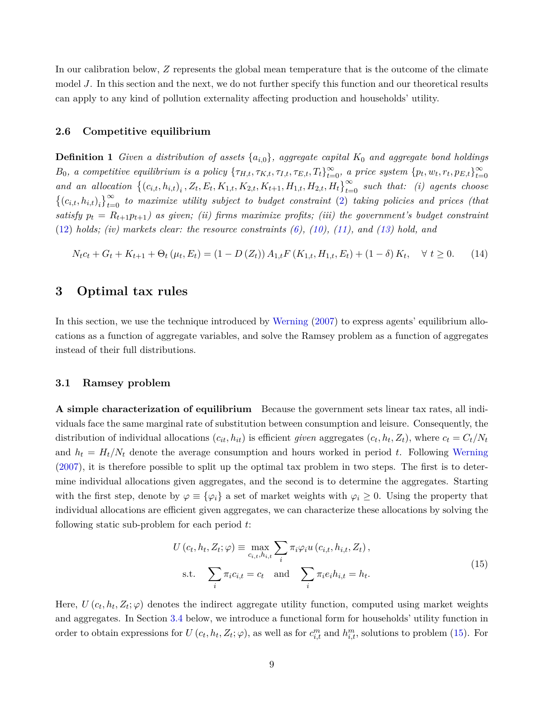In our calibration below, *Z* represents the global mean temperature that is the outcome of the climate model *J*. In this section and the next, we do not further specify this function and our theoretical results can apply to any kind of pollution externality affecting production and households' utility.

## **2.6 Competitive equilibrium**

**Definition 1** *Given a distribution of assets {ai,*0*}, aggregate capital K*<sup>0</sup> *and aggregate bond holdings*  $B_0$ , a competitive equilibrium is a policy  $\{\tau_{H,t}, \tau_{K,t}, \tau_{I,t}, \tau_{E,t}, T_t\}_{t=0}^{\infty}$ , a price system  $\{p_t, w_t, r_t, p_{E,t}\}_{t=0}^{\infty}$ *t*=0 and an allocation  $\{(c_{i,t}, h_{i,t})_i, Z_t, E_t, K_{1,t}, K_{2,t}, K_{t+1}, H_{1,t}, H_{2,t}, H_t\}_{t=0}^{\infty}$  such that: (i) agents choose  $\{(c_{i,t}, h_{i,t})_i\}_{t=0}^{\infty}$  to maximize utility subject to budget constraint [\(2](#page-6-1)) taking policies and prices (that satisfy  $p_t = R_{t+1}p_{t+1}$  as given; (ii) firms maximize profits; (iii) the government's budget constraint  $(12)$  $(12)$  *holds; (iv)* markets clear: the resource constraints  $(6)$ ,  $(10)$  $(10)$ ,  $(11)$ , and  $(13)$  $(13)$  $(13)$  hold, and

<span id="page-8-2"></span>
$$
N_t c_t + G_t + K_{t+1} + \Theta_t (\mu_t, E_t) = (1 - D(Z_t)) A_{1,t} F(K_{1,t}, H_{1,t}, E_t) + (1 - \delta) K_t, \quad \forall \ t \ge 0. \tag{14}
$$

# <span id="page-8-0"></span>**3 Optimal tax rules**

In this section, we use the technique introduced by [Werning](#page-38-0) ([2007](#page-38-0)) to express agents' equilibrium allocations as a function of aggregate variables, and solve the Ramsey problem as a function of aggregates instead of their full distributions.

# **3.1 Ramsey problem**

**A simple characterization of equilibrium** Because the government sets linear tax rates, all individuals face the same marginal rate of substitution between consumption and leisure. Consequently, the distribution of individual allocations  $(c_{it}, h_{it})$  is efficient *given* aggregates  $(c_t, h_t, Z_t)$ , where  $c_t = C_t/N_t$ and  $h_t = H_t/N_t$  denote the average consumption and hours worked in period t. Following [Werning](#page-38-0) ([2007](#page-38-0)), it is therefore possible to split up the optimal tax problem in two steps. The first is to determine individual allocations given aggregates, and the second is to determine the aggregates. Starting with the first step, denote by  $\varphi \equiv {\varphi_i}$  a set of market weights with  $\varphi_i \geq 0$ . Using the property that individual allocations are efficient given aggregates, we can characterize these allocations by solving the following static sub-problem for each period *t*:

<span id="page-8-1"></span>
$$
U(c_t, h_t, Z_t; \varphi) \equiv \max_{c_{i,t}, h_{i,t}} \sum_i \pi_i \varphi_i u(c_{i,t}, h_{i,t}, Z_t),
$$
  
s.t. 
$$
\sum_i \pi_i c_{i,t} = c_t \text{ and } \sum_i \pi_i e_i h_{i,t} = h_t.
$$
 (15)

Here,  $U(c_t, h_t, Z_t; \varphi)$  denotes the indirect aggregate utility function, computed using market weights and aggregates. In Section [3.4](#page-14-0) below, we introduce a functional form for households' utility function in order to obtain expressions for  $U(c_t, h_t, Z_t; \varphi)$ , as well as for  $c_{i,t}^m$  and  $h_{i,t}^m$ , solutions to problem ([15\)](#page-8-1). For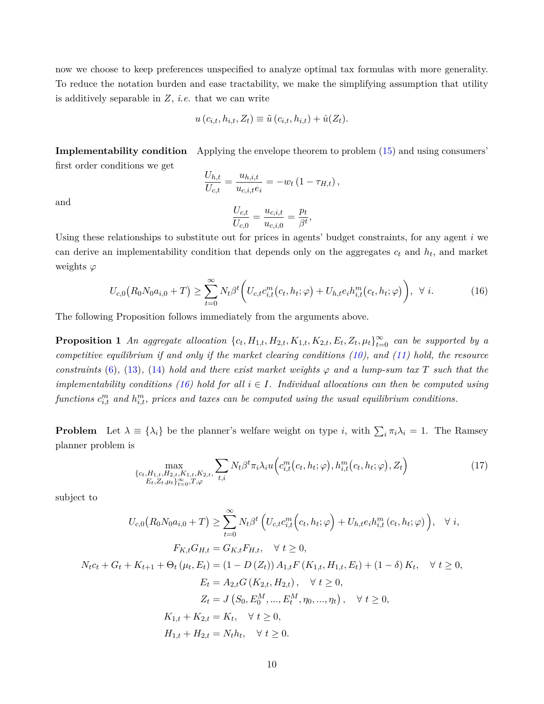now we choose to keep preferences unspecified to analyze optimal tax formulas with more generality. To reduce the notation burden and ease tractability, we make the simplifying assumption that utility is additively separable in *Z*, *i.e.* that we can write

$$
u(c_{i,t}, h_{i,t}, Z_t) \equiv \tilde{u}(c_{i,t}, h_{i,t}) + \hat{u}(Z_t).
$$

**Implementability condition** Applying the envelope theorem to problem ([15\)](#page-8-1) and using consumers' first order conditions we get

$$
\frac{U_{h,t}}{U_{c,t}} = \frac{u_{h,i,t}}{u_{c,i,t}e_i} = -w_t \left(1 - \tau_{H,t}\right),\,
$$

and

$$
\frac{U_{c,t}}{U_{c,0}} = \frac{u_{c,i,t}}{u_{c,i,0}} = \frac{p_t}{\beta^t},
$$

Using these relationships to substitute out for prices in agents' budget constraints, for any agent *i* we can derive an implementability condition that depends only on the aggregates *c<sup>t</sup>* and *h<sup>t</sup>* , and market weights *φ*

<span id="page-9-0"></span>
$$
U_{c,0}(R_0N_0a_{i,0}+T) \ge \sum_{t=0}^{\infty} N_t \beta^t \bigg( U_{c,t}c_{i,t}^m(c_t, h_t; \varphi) + U_{h,t}e_i h_{i,t}^m(c_t, h_t; \varphi) \bigg), \ \ \forall \ i.
$$
 (16)

The following Proposition follows immediately from the arguments above.

**Proposition 1** An aggregate allocation  $\{c_t, H_{1,t}, H_{2,t}, K_{1,t}, K_{2,t}, E_t, Z_t, \mu_t\}_{t=0}^{\infty}$  can be supported by a *competitive equilibrium if and only if the market clearing conditions ([10\)](#page-7-1), and ([11](#page-7-2)) hold, the resource constraints* [\(6\)](#page-6-0), ([13\)](#page-7-3), ([14\)](#page-8-2) *hold and there exist market weights*  $\varphi$  *and a lump-sum tax*  $T$  *such that the implementability conditions ([16\)](#page-9-0) hold for all*  $i \in I$ *. Individual allocations can then be computed using*  $functions$   $c^m_{i,t}$  and  $h^m_{i,t}$ , prices and taxes can be computed using the usual equilibrium conditions.

**Problem** Let  $\lambda \equiv \{\lambda_i\}$  be the planner's welfare weight on type *i*, with  $\sum_i \pi_i \lambda_i = 1$ . The Ramsey planner problem is

<span id="page-9-1"></span>
$$
\max_{\substack{\{c_t, H_{1,t}, H_{2,t}, K_{1,t}, K_{2,t}, \\ E_t, Z_t, \mu_t\}_{t=0}^{\infty}, T, \varphi}} \sum_{t,i} N_t \beta^t \pi_i \lambda_i u \Big( c_{i,t}^m(c_t, h_t; \varphi), h_{i,t}^m(c_t, h_t; \varphi), Z_t \Big)
$$
(17)

subject to

$$
U_{c,0}(R_0N_0a_{i,0} + T) \geq \sum_{t=0}^{\infty} N_t \beta^t \left( U_{c,t}c_{i,t}^m \left( c_t, h_t; \varphi \right) + U_{h,t}e_i h_{i,t}^m \left( c_t, h_t; \varphi \right) \right), \quad \forall i,
$$
  
\n
$$
F_{K,t}G_{H,t} = G_{K,t}F_{H,t}, \quad \forall t \geq 0,
$$
  
\n
$$
N_t c_t + G_t + K_{t+1} + \Theta_t (\mu_t, E_t) = (1 - D(Z_t)) A_{1,t}F(K_{1,t}, H_{1,t}, E_t) + (1 - \delta) K_t, \quad \forall t \geq 0,
$$
  
\n
$$
E_t = A_{2,t}G(K_{2,t}, H_{2,t}), \quad \forall t \geq 0,
$$
  
\n
$$
Z_t = J(S_0, E_0^M, ..., E_t^M, \eta_0, ..., \eta_t), \quad \forall t \geq 0,
$$
  
\n
$$
K_{1,t} + K_{2,t} = K_t, \quad \forall t \geq 0,
$$
  
\n
$$
H_{1,t} + H_{2,t} = N_t h_t, \quad \forall t \geq 0.
$$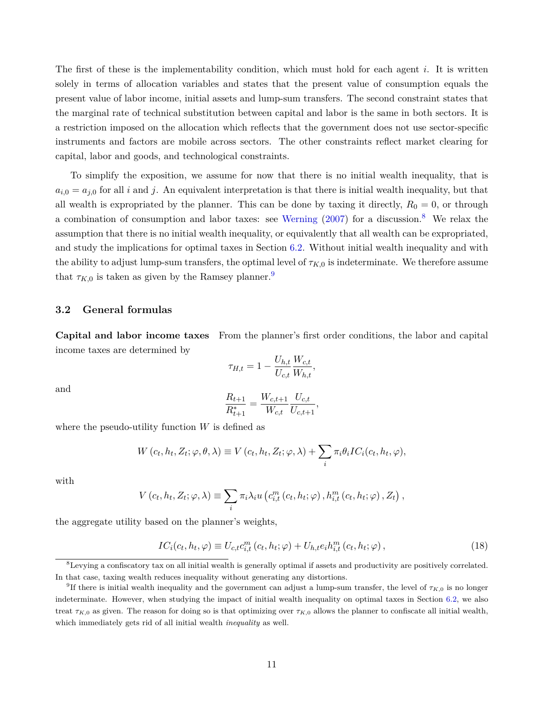The first of these is the implementability condition, which must hold for each agent *i*. It is written solely in terms of allocation variables and states that the present value of consumption equals the present value of labor income, initial assets and lump-sum transfers. The second constraint states that the marginal rate of technical substitution between capital and labor is the same in both sectors. It is a restriction imposed on the allocation which reflects that the government does not use sector-specific instruments and factors are mobile across sectors. The other constraints reflect market clearing for capital, labor and goods, and technological constraints.

To simplify the exposition, we assume for now that there is no initial wealth inequality, that is  $a_{i,0} = a_{i,0}$  for all *i* and *j*. An equivalent interpretation is that there is initial wealth inequality, but that all wealth is expropriated by the planner. This can be done by taxing it directly,  $R_0 = 0$ , or through a combination of consumption and labor taxes: see [Werning](#page-38-0) [\(2007](#page-38-0)) for a discussion.[8](#page-10-0) We relax the assumption that there is no initial wealth inequality, or equivalently that all wealth can be expropriated, and study the implications for optimal taxes in Section [6.2](#page-28-0). Without initial wealth inequality and with the ability to adjust lump-sum transfers, the optimal level of  $\tau_{K,0}$  is indeterminate. We therefore assume that  $\tau_{K,0}$  is taken as given by the Ramsey planner.<sup>[9](#page-10-1)</sup>

# **3.2 General formulas**

**Capital and labor income taxes** From the planner's first order conditions, the labor and capital income taxes are determined by

$$
\tau_{H,t} = 1 - \frac{U_{h,t}}{U_{c,t}} \frac{W_{c,t}}{W_{h,t}},
$$

and

$$
\frac{R_{t+1}}{R_{t+1}^*} = \frac{W_{c,t+1}}{W_{c,t}} \frac{U_{c,t}}{U_{c,t+1}},
$$

where the pseudo-utility function *W* is defined as

$$
W(c_t, h_t, Z_t; \varphi, \theta, \lambda) \equiv V(c_t, h_t, Z_t; \varphi, \lambda) + \sum_i \pi_i \theta_i IC_i(c_t, h_t, \varphi),
$$

with

$$
V(c_t, h_t, Z_t; \varphi, \lambda) \equiv \sum_i \pi_i \lambda_i u\left(c_{i,t}^m(c_t, h_t; \varphi), h_{i,t}^m(c_t, h_t; \varphi), Z_t\right),
$$

the aggregate utility based on the planner's weights,

$$
IC_i(c_t, h_t, \varphi) \equiv U_{c,t} c_{i,t}^m(c_t, h_t; \varphi) + U_{h,t} e_i h_{i,t}^m(c_t, h_t; \varphi) , \qquad (18)
$$

<span id="page-10-0"></span><sup>8</sup>Levying a confiscatory tax on all initial wealth is generally optimal if assets and productivity are positively correlated. In that case, taxing wealth reduces inequality without generating any distortions.

<span id="page-10-1"></span><sup>&</sup>lt;sup>9</sup>If there is initial wealth inequality and the government can adjust a lump-sum transfer, the level of  $\tau_{K,0}$  is no longer indeterminate. However, when studying the impact of initial wealth inequality on optimal taxes in Section [6.2](#page-28-0), we also treat  $\tau_{K,0}$  as given. The reason for doing so is that optimizing over  $\tau_{K,0}$  allows the planner to confiscate all initial wealth, which immediately gets rid of all initial wealth *inequality* as well.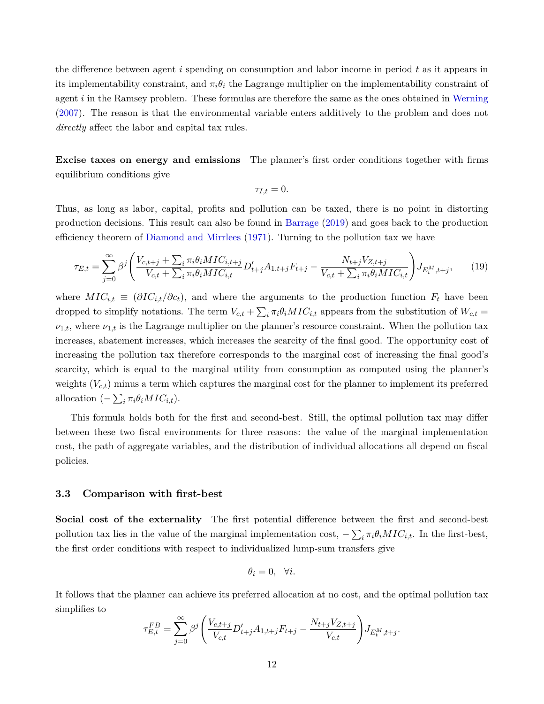the difference between agent *i* spending on consumption and labor income in period *t* as it appears in its implementability constraint, and  $\pi_i \theta_i$  the Lagrange multiplier on the implementability constraint of agent *i* in the Ramsey problem. These formulas are therefore the same as the ones obtained in [Werning](#page-38-0) ([2007](#page-38-0)). The reason is that the environmental variable enters additively to the problem and does not *directly* affect the labor and capital tax rules.

**Excise taxes on energy and emissions** The planner's first order conditions together with firms equilibrium conditions give

<span id="page-11-0"></span>
$$
\tau_{I,t}=0.
$$

Thus, as long as labor, capital, profits and pollution can be taxed, there is no point in distorting production decisions. This result can also be found in [Barrage](#page-35-0) ([2019](#page-35-0)) and goes back to the production efficiency theorem of [Diamond and Mirrlees](#page-35-7) [\(1971\)](#page-35-7). Turning to the pollution tax we have

$$
\tau_{E,t} = \sum_{j=0}^{\infty} \beta^j \left( \frac{V_{c,t+j} + \sum_i \pi_i \theta_i MIC_{i,t+j}}{V_{c,t} + \sum_i \pi_i \theta_i MIC_{i,t}} D'_{t+j} A_{1,t+j} F_{t+j} - \frac{N_{t+j} V_{Z,t+j}}{V_{c,t} + \sum_i \pi_i \theta_i MIC_{i,t}} \right) J_{E_t^M, t+j}, \tag{19}
$$

where  $MIC_{i,t} \equiv (\partial IC_{i,t}/\partial c_t)$ , and where the arguments to the production function  $F_t$  have been dropped to simplify notations. The term  $V_{c,t} + \sum_i \pi_i \theta_i MIC_{i,t}$  appears from the substitution of  $W_{c,t} =$  $\nu_{1,t}$ , where  $\nu_{1,t}$  is the Lagrange multiplier on the planner's resource constraint. When the pollution tax increases, abatement increases, which increases the scarcity of the final good. The opportunity cost of increasing the pollution tax therefore corresponds to the marginal cost of increasing the final good's scarcity, which is equal to the marginal utility from consumption as computed using the planner's weights  $(V_{c,t})$  minus a term which captures the marginal cost for the planner to implement its preferred allocation  $(-\sum_i \pi_i \theta_i MIC_{i,t}).$ 

This formula holds both for the first and second-best. Still, the optimal pollution tax may differ between these two fiscal environments for three reasons: the value of the marginal implementation cost, the path of aggregate variables, and the distribution of individual allocations all depend on fiscal policies.

# **3.3 Comparison with first-best**

**Social cost of the externality** The first potential difference between the first and second-best pollution tax lies in the value of the marginal implementation cost,  $-\sum_i \pi_i \theta_i MIC_{i,t}$ . In the first-best, the first order conditions with respect to individualized lump-sum transfers give

$$
\theta_i = 0, \quad \forall i.
$$

It follows that the planner can achieve its preferred allocation at no cost, and the optimal pollution tax simplifies to

$$
\tau_{E,t}^{FB} = \sum_{j=0}^{\infty} \beta^j \left( \frac{V_{c,t+j}}{V_{c,t}} D'_{t+j} A_{1,t+j} F_{t+j} - \frac{N_{t+j} V_{Z,t+j}}{V_{c,t}} \right) J_{E_t^M, t+j}.
$$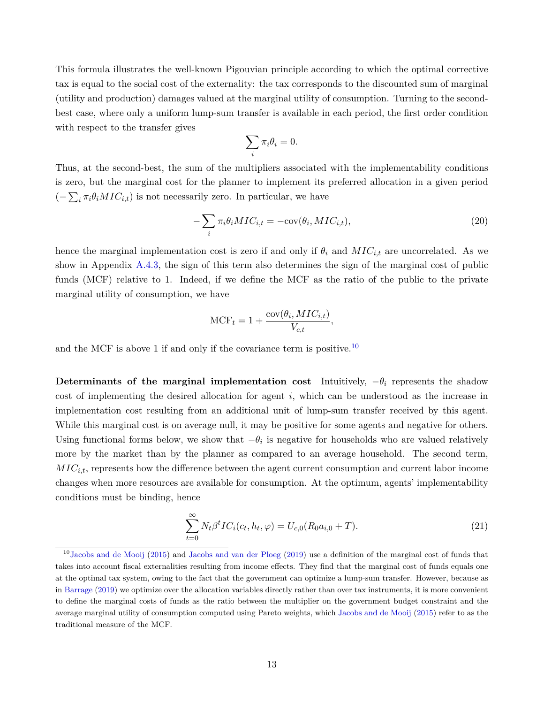This formula illustrates the well-known Pigouvian principle according to which the optimal corrective tax is equal to the social cost of the externality: the tax corresponds to the discounted sum of marginal (utility and production) damages valued at the marginal utility of consumption. Turning to the secondbest case, where only a uniform lump-sum transfer is available in each period, the first order condition with respect to the transfer gives

<span id="page-12-1"></span>
$$
\sum_i \pi_i \theta_i = 0.
$$

Thus, at the second-best, the sum of the multipliers associated with the implementability conditions is zero, but the marginal cost for the planner to implement its preferred allocation in a given period  $(-\sum_i \pi_i \theta_i MIC_{i,t})$  is not necessarily zero. In particular, we have

$$
-\sum_{i} \pi_i \theta_i MIC_{i,t} = -\text{cov}(\theta_i, MIC_{i,t}),\tag{20}
$$

hence the marginal implementation cost is zero if and only if  $\theta_i$  and  $MIC_{i,t}$  are uncorrelated. As we show in Appendix [A.4.3](#page-46-0), the sign of this term also determines the sign of the marginal cost of public funds (MCF) relative to 1. Indeed, if we define the MCF as the ratio of the public to the private marginal utility of consumption, we have

$$
\text{MCF}_t = 1 + \frac{\text{cov}(\theta_i, MIC_{i,t})}{V_{c,t}},
$$

and the MCF is above 1 if and only if the covariance term is positive.<sup>[10](#page-12-0)</sup>

**Determinants of the marginal implementation cost** Intuitively,  $-\theta_i$  represents the shadow cost of implementing the desired allocation for agent *i*, which can be understood as the increase in implementation cost resulting from an additional unit of lump-sum transfer received by this agent. While this marginal cost is on average null, it may be positive for some agents and negative for others. Using functional forms below, we show that  $-\theta_i$  is negative for households who are valued relatively more by the market than by the planner as compared to an average household. The second term, *MICi,t*, represents how the difference between the agent current consumption and current labor income changes when more resources are available for consumption. At the optimum, agents' implementability conditions must be binding, hence

<span id="page-12-2"></span>
$$
\sum_{t=0}^{\infty} N_t \beta^t IC_i(c_t, h_t, \varphi) = U_{c,0}(R_0 a_{i,0} + T).
$$
\n(21)

<span id="page-12-0"></span><sup>&</sup>lt;sup>10</sup>[Jacobs and de Mooij](#page-36-0) [\(2015\)](#page-36-0) and [Jacobs and van der Ploeg](#page-36-1) ([2019](#page-36-1)) use a definition of the marginal cost of funds that takes into account fiscal externalities resulting from income effects. They find that the marginal cost of funds equals one at the optimal tax system, owing to the fact that the government can optimize a lump-sum transfer. However, because as in [Barrage](#page-35-0) [\(2019\)](#page-35-0) we optimize over the allocation variables directly rather than over tax instruments, it is more convenient to define the marginal costs of funds as the ratio between the multiplier on the government budget constraint and the average marginal utility of consumption computed using Pareto weights, which [Jacobs and de Mooij](#page-36-0) [\(2015\)](#page-36-0) refer to as the traditional measure of the MCF.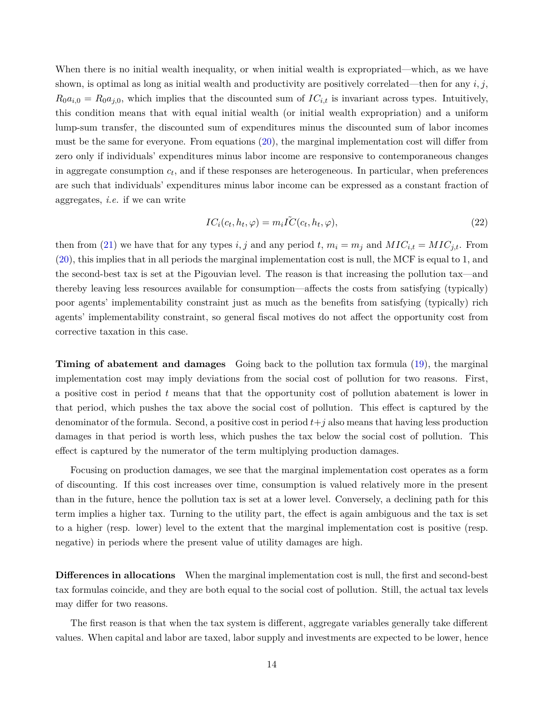When there is no initial wealth inequality, or when initial wealth is expropriated—which, as we have shown, is optimal as long as initial wealth and productivity are positively correlated—then for any *i, j*,  $R_0 a_{i,0} = R_0 a_{j,0}$ , which implies that the discounted sum of  $IC_{i,t}$  is invariant across types. Intuitively, this condition means that with equal initial wealth (or initial wealth expropriation) and a uniform lump-sum transfer, the discounted sum of expenditures minus the discounted sum of labor incomes must be the same for everyone. From equations ([20\)](#page-12-1), the marginal implementation cost will differ from zero only if individuals' expenditures minus labor income are responsive to contemporaneous changes in aggregate consumption *c<sup>t</sup>* , and if these responses are heterogeneous. In particular, when preferences are such that individuals' expenditures minus labor income can be expressed as a constant fraction of aggregates, *i.e.* if we can write

<span id="page-13-0"></span>
$$
IC_i(c_t, h_t, \varphi) = m_i \tilde{IC}(c_t, h_t, \varphi), \qquad (22)
$$

then from ([21\)](#page-12-2) we have that for any types *i, j* and any period *t*,  $m_i = m_j$  and  $MIC_{i,t} = MIC_{j,t}$ . From ([20\)](#page-12-1), this implies that in all periods the marginal implementation cost is null, the MCF is equal to 1, and the second-best tax is set at the Pigouvian level. The reason is that increasing the pollution tax—and thereby leaving less resources available for consumption—affects the costs from satisfying (typically) poor agents' implementability constraint just as much as the benefits from satisfying (typically) rich agents' implementability constraint, so general fiscal motives do not affect the opportunity cost from corrective taxation in this case.

**Timing of abatement and damages** Going back to the pollution tax formula ([19](#page-11-0)), the marginal implementation cost may imply deviations from the social cost of pollution for two reasons. First, a positive cost in period *t* means that that the opportunity cost of pollution abatement is lower in that period, which pushes the tax above the social cost of pollution. This effect is captured by the denominator of the formula. Second, a positive cost in period *t*+*j* also means that having less production damages in that period is worth less, which pushes the tax below the social cost of pollution. This effect is captured by the numerator of the term multiplying production damages.

Focusing on production damages, we see that the marginal implementation cost operates as a form of discounting. If this cost increases over time, consumption is valued relatively more in the present than in the future, hence the pollution tax is set at a lower level. Conversely, a declining path for this term implies a higher tax. Turning to the utility part, the effect is again ambiguous and the tax is set to a higher (resp. lower) level to the extent that the marginal implementation cost is positive (resp. negative) in periods where the present value of utility damages are high.

**Differences in allocations** When the marginal implementation cost is null, the first and second-best tax formulas coincide, and they are both equal to the social cost of pollution. Still, the actual tax levels may differ for two reasons.

The first reason is that when the tax system is different, aggregate variables generally take different values. When capital and labor are taxed, labor supply and investments are expected to be lower, hence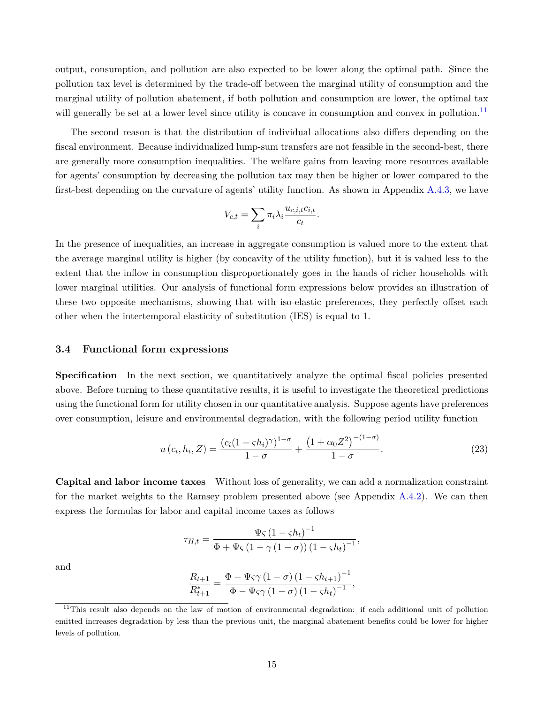output, consumption, and pollution are also expected to be lower along the optimal path. Since the pollution tax level is determined by the trade-off between the marginal utility of consumption and the marginal utility of pollution abatement, if both pollution and consumption are lower, the optimal tax will generally be set at a lower level since utility is concave in consumption and convex in pollution.<sup>[11](#page-14-1)</sup>

The second reason is that the distribution of individual allocations also differs depending on the fiscal environment. Because individualized lump-sum transfers are not feasible in the second-best, there are generally more consumption inequalities. The welfare gains from leaving more resources available for agents' consumption by decreasing the pollution tax may then be higher or lower compared to the first-best depending on the curvature of agents' utility function. As shown in Appendix [A.4.3,](#page-46-0) we have

$$
V_{c,t} = \sum_{i} \pi_i \lambda_i \frac{u_{c,i,t} c_{i,t}}{c_t}.
$$

In the presence of inequalities, an increase in aggregate consumption is valued more to the extent that the average marginal utility is higher (by concavity of the utility function), but it is valued less to the extent that the inflow in consumption disproportionately goes in the hands of richer households with lower marginal utilities. Our analysis of functional form expressions below provides an illustration of these two opposite mechanisms, showing that with iso-elastic preferences, they perfectly offset each other when the intertemporal elasticity of substitution (IES) is equal to 1.

#### <span id="page-14-0"></span>**3.4 Functional form expressions**

**Specification** In the next section, we quantitatively analyze the optimal fiscal policies presented above. Before turning to these quantitative results, it is useful to investigate the theoretical predictions using the functional form for utility chosen in our quantitative analysis. Suppose agents have preferences over consumption, leisure and environmental degradation, with the following period utility function

$$
u(c_i, h_i, Z) = \frac{(c_i(1 - \varsigma h_i)^{\gamma})^{1 - \sigma}}{1 - \sigma} + \frac{(1 + \alpha_0 Z^2)^{-(1 - \sigma)}}{1 - \sigma}.
$$
 (23)

**Capital and labor income taxes** Without loss of generality, we can add a normalization constraint for the market weights to the Ramsey problem presented above (see Appendix [A.4.2](#page-44-0)). We can then express the formulas for labor and capital income taxes as follows

<span id="page-14-2"></span>
$$
\tau_{H,t} = \frac{\Psi \varsigma \left(1 - \varsigma h_t\right)^{-1}}{\Phi + \Psi \varsigma \left(1 - \gamma \left(1 - \sigma\right)\right) \left(1 - \varsigma h_t\right)^{-1}},
$$

and

$$
\frac{R_{t+1}}{R_{t+1}^*} = \frac{\Phi - \Psi \varsigma \gamma \left(1 - \sigma\right) \left(1 - \varsigma h_{t+1}\right)^{-1}}{\Phi - \Psi \varsigma \gamma \left(1 - \sigma\right) \left(1 - \varsigma h_t\right)^{-1}},
$$

<span id="page-14-1"></span><sup>&</sup>lt;sup>11</sup>This result also depends on the law of motion of environmental degradation: if each additional unit of pollution emitted increases degradation by less than the previous unit, the marginal abatement benefits could be lower for higher levels of pollution.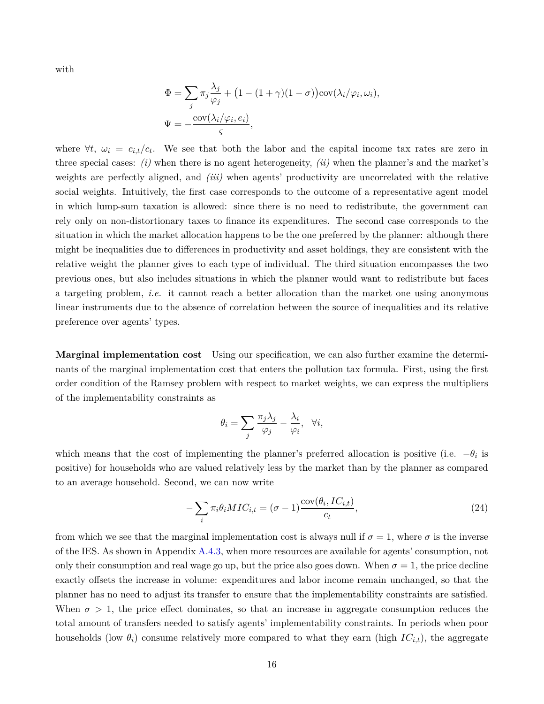with

$$
\Phi = \sum_{j} \pi_j \frac{\lambda_j}{\varphi_j} + (1 - (1 + \gamma)(1 - \sigma)) \text{cov}(\lambda_i/\varphi_i, \omega_i),
$$
  

$$
\Psi = -\frac{\text{cov}(\lambda_i/\varphi_i, e_i)}{\varsigma},
$$

where  $\forall t, \omega_i = c_{i,t}/c_t$ . We see that both the labor and the capital income tax rates are zero in three special cases: *(i)* when there is no agent heterogeneity, *(ii)* when the planner's and the market's weights are perfectly aligned, and *(iii)* when agents' productivity are uncorrelated with the relative social weights. Intuitively, the first case corresponds to the outcome of a representative agent model in which lump-sum taxation is allowed: since there is no need to redistribute, the government can rely only on non-distortionary taxes to finance its expenditures. The second case corresponds to the situation in which the market allocation happens to be the one preferred by the planner: although there might be inequalities due to differences in productivity and asset holdings, they are consistent with the relative weight the planner gives to each type of individual. The third situation encompasses the two previous ones, but also includes situations in which the planner would want to redistribute but faces a targeting problem, *i.e.* it cannot reach a better allocation than the market one using anonymous linear instruments due to the absence of correlation between the source of inequalities and its relative preference over agents' types.

**Marginal implementation cost** Using our specification, we can also further examine the determinants of the marginal implementation cost that enters the pollution tax formula. First, using the first order condition of the Ramsey problem with respect to market weights, we can express the multipliers of the implementability constraints as

<span id="page-15-0"></span>
$$
\theta_i = \sum_j \frac{\pi_j \lambda_j}{\varphi_j} - \frac{\lambda_i}{\varphi_i}, \quad \forall i,
$$

which means that the cost of implementing the planner's preferred allocation is positive (i.e.  $-\theta_i$  is positive) for households who are valued relatively less by the market than by the planner as compared to an average household. Second, we can now write

$$
-\sum_{i} \pi_i \theta_i MIC_{i,t} = (\sigma - 1) \frac{\text{cov}(\theta_i, IC_{i,t})}{c_t},\tag{24}
$$

from which we see that the marginal implementation cost is always null if  $\sigma = 1$ , where  $\sigma$  is the inverse of the IES. As shown in Appendix [A.4.3](#page-46-0), when more resources are available for agents' consumption, not only their consumption and real wage go up, but the price also goes down. When  $\sigma = 1$ , the price decline exactly offsets the increase in volume: expenditures and labor income remain unchanged, so that the planner has no need to adjust its transfer to ensure that the implementability constraints are satisfied. When  $\sigma > 1$ , the price effect dominates, so that an increase in aggregate consumption reduces the total amount of transfers needed to satisfy agents' implementability constraints. In periods when poor households (low  $\theta_i$ ) consume relatively more compared to what they earn (high  $IC_{i,t}$ ), the aggregate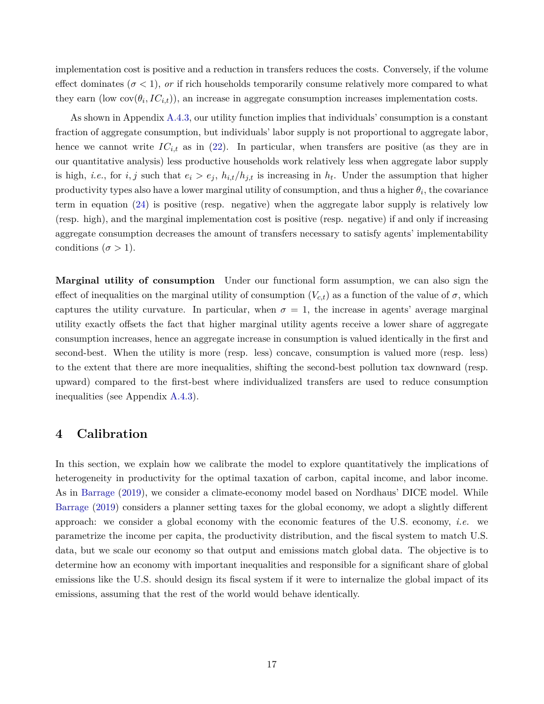implementation cost is positive and a reduction in transfers reduces the costs. Conversely, if the volume effect dominates ( $\sigma$  < 1), *or* if rich households temporarily consume relatively more compared to what they earn (low  $cov(\theta_i, IC_{i,t})$ ), an increase in aggregate consumption increases implementation costs.

As shown in Appendix [A.4.3,](#page-46-0) our utility function implies that individuals' consumption is a constant fraction of aggregate consumption, but individuals' labor supply is not proportional to aggregate labor, hence we cannot write  $IC_{i,t}$  as in [\(22](#page-13-0)). In particular, when transfers are positive (as they are in our quantitative analysis) less productive households work relatively less when aggregate labor supply is high, *i.e.*, for *i, j* such that  $e_i > e_j$ ,  $h_{i,t}/h_{j,t}$  is increasing in  $h_t$ . Under the assumption that higher productivity types also have a lower marginal utility of consumption, and thus a higher  $\theta_i$ , the covariance term in equation ([24\)](#page-15-0) is positive (resp. negative) when the aggregate labor supply is relatively low (resp. high), and the marginal implementation cost is positive (resp. negative) if and only if increasing aggregate consumption decreases the amount of transfers necessary to satisfy agents' implementability conditions ( $\sigma > 1$ ).

**Marginal utility of consumption** Under our functional form assumption, we can also sign the effect of inequalities on the marginal utility of consumption  $(V_{c,t})$  as a function of the value of  $\sigma$ , which captures the utility curvature. In particular, when  $\sigma = 1$ , the increase in agents' average marginal utility exactly offsets the fact that higher marginal utility agents receive a lower share of aggregate consumption increases, hence an aggregate increase in consumption is valued identically in the first and second-best. When the utility is more (resp. less) concave, consumption is valued more (resp. less) to the extent that there are more inequalities, shifting the second-best pollution tax downward (resp. upward) compared to the first-best where individualized transfers are used to reduce consumption inequalities (see Appendix [A.4.3\)](#page-46-0).

# <span id="page-16-0"></span>**4 Calibration**

In this section, we explain how we calibrate the model to explore quantitatively the implications of heterogeneity in productivity for the optimal taxation of carbon, capital income, and labor income. As in [Barrage](#page-35-0) [\(2019\)](#page-35-0), we consider a climate-economy model based on Nordhaus' DICE model. While [Barrage](#page-35-0) [\(2019\)](#page-35-0) considers a planner setting taxes for the global economy, we adopt a slightly different approach: we consider a global economy with the economic features of the U.S. economy, *i.e.* we parametrize the income per capita, the productivity distribution, and the fiscal system to match U.S. data, but we scale our economy so that output and emissions match global data. The objective is to determine how an economy with important inequalities and responsible for a significant share of global emissions like the U.S. should design its fiscal system if it were to internalize the global impact of its emissions, assuming that the rest of the world would behave identically.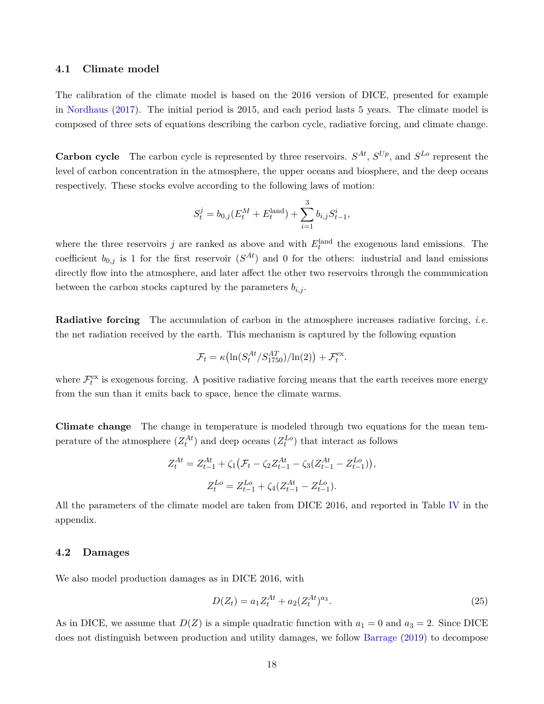#### **4.1 Climate model**

The calibration of the climate model is based on the 2016 version of DICE, presented for example in [Nordhaus](#page-37-0) [\(2017\)](#page-37-0). The initial period is 2015, and each period lasts 5 years. The climate model is composed of three sets of equations describing the carbon cycle, radiative forcing, and climate change.

**Carbon cycle** The carbon cycle is represented by three reservoirs.  $S^{At}$ ,  $S^{Up}$ , and  $S^{Lo}$  represent the level of carbon concentration in the atmosphere, the upper oceans and biosphere, and the deep oceans respectively. These stocks evolve according to the following laws of motion:

$$
S_t^j = b_{0,j}(E_t^M + E_t^{\text{land}}) + \sum_{i=1}^3 b_{i,j} S_{t-1}^i,
$$

where the three reservoirs  $j$  are ranked as above and with  $E_t^{\text{land}}$  the exogenous land emissions. The coefficient  $b_{0,j}$  is 1 for the first reservoir  $(S^{At})$  and 0 for the others: industrial and land emissions directly flow into the atmosphere, and later affect the other two reservoirs through the communication between the carbon stocks captured by the parameters  $b_{i,j}$ .

**Radiative forcing** The accumulation of carbon in the atmosphere increases radiative forcing, *i.e.* the net radiation received by the earth. This mechanism is captured by the following equation

$$
\mathcal{F}_t = \kappa \left( \ln(S_t^{At}/S_{1750}^{AT}) / \ln(2) \right) + \mathcal{F}_t^{\text{ex}}.
$$

where  $\mathcal{F}_t^{\text{ex}}$  is exogenous forcing. A positive radiative forcing means that the earth receives more energy from the sun than it emits back to space, hence the climate warms.

**Climate change** The change in temperature is modeled through two equations for the mean temperature of the atmosphere  $(Z_t^{At})$  and deep oceans  $(Z_t^{Lo})$  that interact as follows

$$
Z_t^{At} = Z_{t-1}^{At} + \zeta_1 \left( \mathcal{F}_t - \zeta_2 Z_{t-1}^{At} - \zeta_3 (Z_{t-1}^{At} - Z_{t-1}^{Lo}) \right),
$$
  

$$
Z_t^{Lo} = Z_{t-1}^{Lo} + \zeta_4 (Z_{t-1}^{At} - Z_{t-1}^{Lo}).
$$

All the parameters of the climate model are taken from DICE 2016, and reported in Table [IV](#page-62-0) in the appendix.

# **4.2 Damages**

We also model production damages as in DICE 2016, with

<span id="page-17-0"></span>
$$
D(Z_t) = a_1 Z_t^{At} + a_2 (Z_t^{At})^{a_3}.
$$
\n(25)

As in DICE, we assume that  $D(Z)$  is a simple quadratic function with  $a_1 = 0$  and  $a_3 = 2$ . Since DICE does not distinguish between production and utility damages, we follow [Barrage](#page-35-0) [\(2019\)](#page-35-0) to decompose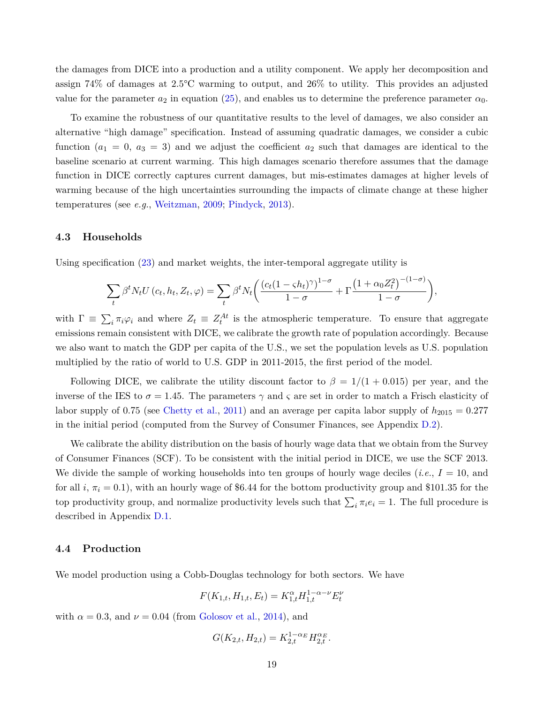the damages from DICE into a production and a utility component. We apply her decomposition and assign 74% of damages at 2.5°C warming to output, and 26% to utility. This provides an adjusted value for the parameter  $a_2$  in equation [\(25](#page-17-0)), and enables us to determine the preference parameter  $\alpha_0$ .

To examine the robustness of our quantitative results to the level of damages, we also consider an alternative "high damage" specification. Instead of assuming quadratic damages, we consider a cubic function  $(a_1 = 0, a_3 = 3)$  and we adjust the coefficient  $a_2$  such that damages are identical to the baseline scenario at current warming. This high damages scenario therefore assumes that the damage function in DICE correctly captures current damages, but mis-estimates damages at higher levels of warming because of the high uncertainties surrounding the impacts of climate change at these higher temperatures (see *e.g.*, [Weitzman,](#page-38-5) [2009](#page-38-5); [Pindyck,](#page-37-11) [2013](#page-37-11)).

# **4.3 Households**

Using specification [\(23](#page-14-2)) and market weights, the inter-temporal aggregate utility is

$$
\sum_{t} \beta^{t} N_{t} U(c_{t}, h_{t}, Z_{t}, \varphi) = \sum_{t} \beta^{t} N_{t} \left( \frac{(c_{t} (1 - \varsigma h_{t})^{\gamma})^{1 - \sigma}}{1 - \sigma} + \Gamma \frac{(1 + \alpha_{0} Z_{t}^{2})^{-(1 - \sigma)}}{1 - \sigma} \right),
$$

with  $\Gamma \equiv \sum_i \pi_i \varphi_i$  and where  $Z_t \equiv Z_t^{At}$  is the atmospheric temperature. To ensure that aggregate emissions remain consistent with DICE, we calibrate the growth rate of population accordingly. Because we also want to match the GDP per capita of the U.S., we set the population levels as U.S. population multiplied by the ratio of world to U.S. GDP in 2011-2015, the first period of the model.

Following DICE, we calibrate the utility discount factor to  $\beta = 1/(1 + 0.015)$  per year, and the inverse of the IES to  $\sigma = 1.45$ . The parameters  $\gamma$  and  $\zeta$  are set in order to match a Frisch elasticity of labor supply of 0.75 (see [Chetty et al.,](#page-35-8) [2011](#page-35-8)) and an average per capita labor supply of  $h_{2015} = 0.277$ in the initial period (computed from the Survey of Consumer Finances, see Appendix [D.2](#page-61-0)).

We calibrate the ability distribution on the basis of hourly wage data that we obtain from the Survey of Consumer Finances (SCF). To be consistent with the initial period in DICE, we use the SCF 2013. We divide the sample of working households into ten groups of hourly wage deciles (*i.e.*,  $I = 10$ , and for all *i*,  $\pi_i = 0.1$ ), with an hourly wage of \$6.44 for the bottom productivity group and \$101.35 for the top productivity group, and normalize productivity levels such that  $\sum_i \pi_i e_i = 1$ . The full procedure is described in Appendix [D.1](#page-57-0).

#### **4.4 Production**

We model production using a Cobb-Douglas technology for both sectors. We have

$$
F(K_{1,t}, H_{1,t}, E_t) = K_{1,t}^{\alpha} H_{1,t}^{1-\alpha-\nu} E_t^{\nu}
$$

with  $\alpha = 0.3$ , and  $\nu = 0.04$  (from [Golosov et al.,](#page-36-2) [2014](#page-36-2)), and

$$
G(K_{2,t}, H_{2,t}) = K_{2,t}^{1-\alpha_E} H_{2,t}^{\alpha_E}.
$$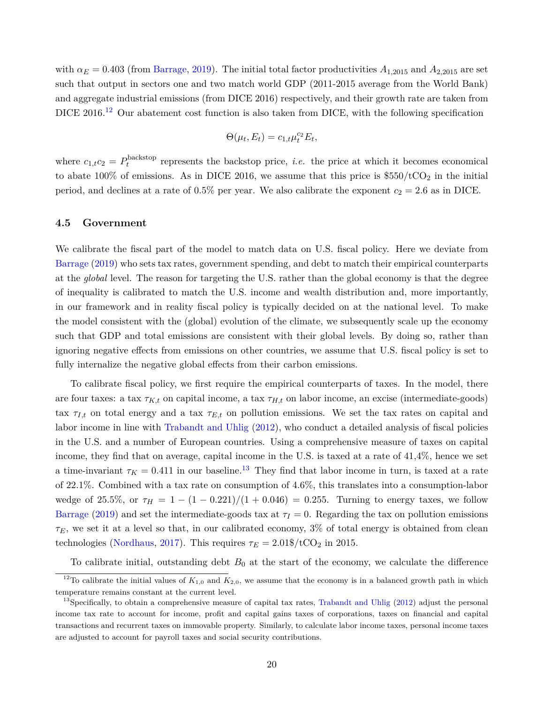with  $\alpha_E = 0.403$  (from [Barrage](#page-35-0), [2019](#page-35-0)). The initial total factor productivities  $A_{1,2015}$  and  $A_{2,2015}$  are set such that output in sectors one and two match world GDP (2011-2015 average from the World Bank) and aggregate industrial emissions (from DICE 2016) respectively, and their growth rate are taken from DICE 2016.<sup>[12](#page-19-0)</sup> Our abatement cost function is also taken from DICE, with the following specification

$$
\Theta(\mu_t, E_t) = c_{1,t} \mu_t^{c_2} E_t,
$$

where  $c_{1,t}c_2 = P_t^{\text{backstop}}$  $t_t^{\text{p}}$  represents the backstop price, *i.e.* the price at which it becomes economical to abate 100% of emissions. As in DICE 2016, we assume that this price is  $$550/tCO<sub>2</sub>$  in the initial period, and declines at a rate of 0.5% per year. We also calibrate the exponent  $c_2 = 2.6$  as in DICE.

#### **4.5 Government**

We calibrate the fiscal part of the model to match data on U.S. fiscal policy. Here we deviate from [Barrage](#page-35-0) ([2019](#page-35-0)) who sets tax rates, government spending, and debt to match their empirical counterparts at the *global* level. The reason for targeting the U.S. rather than the global economy is that the degree of inequality is calibrated to match the U.S. income and wealth distribution and, more importantly, in our framework and in reality fiscal policy is typically decided on at the national level. To make the model consistent with the (global) evolution of the climate, we subsequently scale up the economy such that GDP and total emissions are consistent with their global levels. By doing so, rather than ignoring negative effects from emissions on other countries, we assume that U.S. fiscal policy is set to fully internalize the negative global effects from their carbon emissions.

To calibrate fiscal policy, we first require the empirical counterparts of taxes. In the model, there are four taxes: a tax *τK,t* on capital income, a tax *τH,t* on labor income, an excise (intermediate-goods) tax  $\tau_{I,t}$  on total energy and a tax  $\tau_{E,t}$  on pollution emissions. We set the tax rates on capital and labor income in line with [Trabandt and Uhlig](#page-38-6) ([2012\)](#page-38-6), who conduct a detailed analysis of fiscal policies in the U.S. and a number of European countries. Using a comprehensive measure of taxes on capital income, they find that on average, capital income in the U.S. is taxed at a rate of 41,4%, hence we set a time-invariant  $\tau_K = 0.411$  in our baseline.<sup>[13](#page-19-1)</sup> They find that labor income in turn, is taxed at a rate of 22.1%. Combined with a tax rate on consumption of 4.6%, this translates into a consumption-labor wedge of 25.5%, or  $\tau_H = 1 - (1 - 0.221)/(1 + 0.046) = 0.255$ . Turning to energy taxes, we follow [Barrage](#page-35-0) [\(2019](#page-35-0)) and set the intermediate-goods tax at  $\tau_I = 0$ . Regarding the tax on pollution emissions  $\tau_E$ , we set it at a level so that, in our calibrated economy, 3% of total energy is obtained from clean technologies ([Nordhaus](#page-37-0), [2017\)](#page-37-0). This requires  $\tau_E = 2.01\frac{\text{m}}{\text{C}}/\text{tCO}_2$  in 2015.

<span id="page-19-0"></span>To calibrate initial, outstanding debt  $B_0$  at the start of the economy, we calculate the difference

<sup>&</sup>lt;sup>12</sup>To calibrate the initial values of  $K_{1,0}$  and  $K_{2,0}$ , we assume that the economy is in a balanced growth path in which temperature remains constant at the current level.

<span id="page-19-1"></span> $^{13}$ Specifically, to obtain a comprehensive measure of capital tax rates, [Trabandt and Uhlig](#page-38-6) [\(2012\)](#page-38-6) adjust the personal income tax rate to account for income, profit and capital gains taxes of corporations, taxes on financial and capital transactions and recurrent taxes on immovable property. Similarly, to calculate labor income taxes, personal income taxes are adjusted to account for payroll taxes and social security contributions.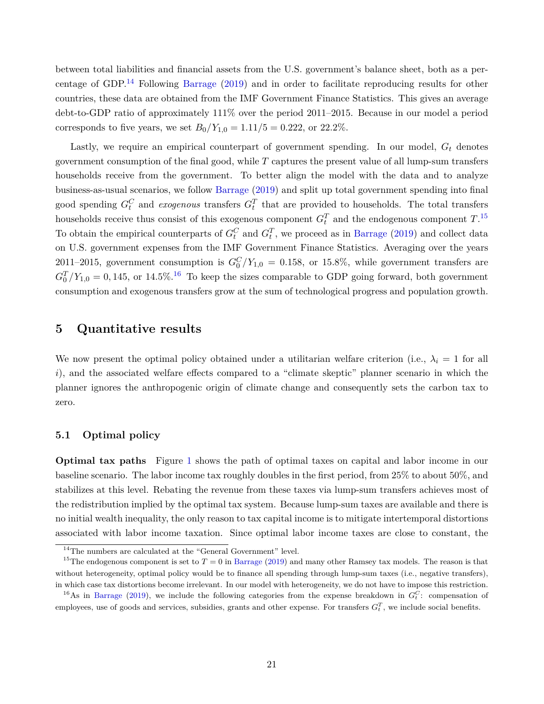between total liabilities and financial assets from the U.S. government's balance sheet, both as a per-centage of GDP.<sup>[14](#page-20-1)</sup> Following [Barrage](#page-35-0) ([2019](#page-35-0)) and in order to facilitate reproducing results for other countries, these data are obtained from the IMF Government Finance Statistics. This gives an average debt-to-GDP ratio of approximately 111% over the period 2011–2015. Because in our model a period corresponds to five years, we set  $B_0/Y_{1,0} = 1.11/5 = 0.222$ , or 22.2%.

Lastly, we require an empirical counterpart of government spending. In our model, *G<sup>t</sup>* denotes government consumption of the final good, while *T* captures the present value of all lump-sum transfers households receive from the government. To better align the model with the data and to analyze business-as-usual scenarios, we follow [Barrage](#page-35-0) ([2019](#page-35-0)) and split up total government spending into final good spending  $G_t^C$  and *exogenous* transfers  $G_t^T$  that are provided to households. The total transfers households receive thus consist of this exogenous component  $G_t^T$  and the endogenous component  $T$ .<sup>[15](#page-20-2)</sup> To obtain the empirical counterparts of  $G_t^C$  and  $G_t^T$ , we proceed as in [Barrage](#page-35-0) ([2019\)](#page-35-0) and collect data on U.S. government expenses from the IMF Government Finance Statistics. Averaging over the years 2011–2015, government consumption is  $G_0^C/Y_{1,0} = 0.158$ , or 15.8%, while government transfers are  $G_0^T/Y_{1,0} = 0,145,$  or 14.5%.<sup>[16](#page-20-3)</sup> To keep the sizes comparable to GDP going forward, both government consumption and exogenous transfers grow at the sum of technological progress and population growth.

# <span id="page-20-0"></span>**5 Quantitative results**

We now present the optimal policy obtained under a utilitarian welfare criterion (i.e.,  $\lambda_i = 1$  for all *i*), and the associated welfare effects compared to a "climate skeptic" planner scenario in which the planner ignores the anthropogenic origin of climate change and consequently sets the carbon tax to zero.

# **5.1 Optimal policy**

**Optimal tax paths** Figure [1](#page-21-0) shows the path of optimal taxes on capital and labor income in our baseline scenario. The labor income tax roughly doubles in the first period, from 25% to about 50%, and stabilizes at this level. Rebating the revenue from these taxes via lump-sum transfers achieves most of the redistribution implied by the optimal tax system. Because lump-sum taxes are available and there is no initial wealth inequality, the only reason to tax capital income is to mitigate intertemporal distortions associated with labor income taxation. Since optimal labor income taxes are close to constant, the

<span id="page-20-2"></span><span id="page-20-1"></span> $^{14}\mathrm{The}$  numbers are calculated at the "General Government" level.

<sup>&</sup>lt;sup>15</sup>The endogenous component is set to  $T = 0$  in [Barrage](#page-35-0) ([2019\)](#page-35-0) and many other Ramsey tax models. The reason is that without heterogeneity, optimal policy would be to finance all spending through lump-sum taxes (i.e., negative transfers), in which case tax distortions become irrelevant. In our model with heterogeneity, we do not have to impose this restriction.

<span id="page-20-3"></span><sup>&</sup>lt;sup>16</sup>As in [Barrage](#page-35-0) ([2019](#page-35-0)), we include the following categories from the expense breakdown in  $G_t^C$ : compensation of employees, use of goods and services, subsidies, grants and other expense. For transfers  $G_t^T$ , we include social benefits.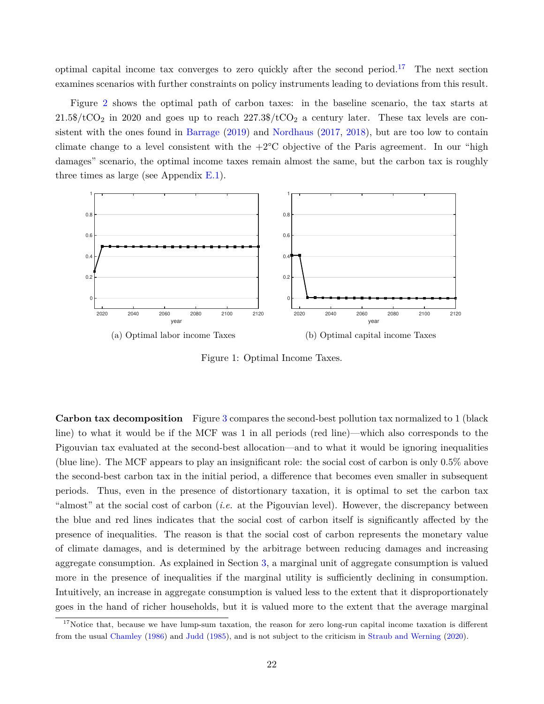optimal capital income tax converges to zero quickly after the second period.[17](#page-21-1) The next section examines scenarios with further constraints on policy instruments leading to deviations from this result.

Figure [2](#page-22-0) shows the optimal path of carbon taxes: in the baseline scenario, the tax starts at  $21.5\%$ /tCO<sub>2</sub> in 2020 and goes up to reach  $227.3\%$ /tCO<sub>2</sub> a century later. These tax levels are consistent with the ones found in [Barrage](#page-35-0) [\(2019](#page-35-0)) and [Nordhaus](#page-37-0) [\(2017,](#page-37-0) [2018\)](#page-37-12), but are too low to contain climate change to a level consistent with the  $+2^{\circ}C$  objective of the Paris agreement. In our "high damages" scenario, the optimal income taxes remain almost the same, but the carbon tax is roughly three times as large (see Appendix [E.1](#page-65-0)).

<span id="page-21-0"></span>

Figure 1: Optimal Income Taxes.

**Carbon tax decomposition** Figure [3](#page-22-1) compares the second-best pollution tax normalized to 1 (black line) to what it would be if the MCF was 1 in all periods (red line)—which also corresponds to the Pigouvian tax evaluated at the second-best allocation—and to what it would be ignoring inequalities (blue line). The MCF appears to play an insignificant role: the social cost of carbon is only 0.5% above the second-best carbon tax in the initial period, a difference that becomes even smaller in subsequent periods. Thus, even in the presence of distortionary taxation, it is optimal to set the carbon tax "almost" at the social cost of carbon (*i.e.* at the Pigouvian level). However, the discrepancy between the blue and red lines indicates that the social cost of carbon itself is significantly affected by the presence of inequalities. The reason is that the social cost of carbon represents the monetary value of climate damages, and is determined by the arbitrage between reducing damages and increasing aggregate consumption. As explained in Section [3,](#page-8-0) a marginal unit of aggregate consumption is valued more in the presence of inequalities if the marginal utility is sufficiently declining in consumption. Intuitively, an increase in aggregate consumption is valued less to the extent that it disproportionately goes in the hand of richer households, but it is valued more to the extent that the average marginal

<span id="page-21-1"></span> $17$ Notice that, because we have lump-sum taxation, the reason for zero long-run capital income taxation is different from the usual [Chamley](#page-35-9) [\(1986\)](#page-35-9) and [Judd](#page-36-13) [\(1985\)](#page-36-13), and is not subject to the criticism in [Straub and Werning](#page-38-7) [\(2020\)](#page-38-7).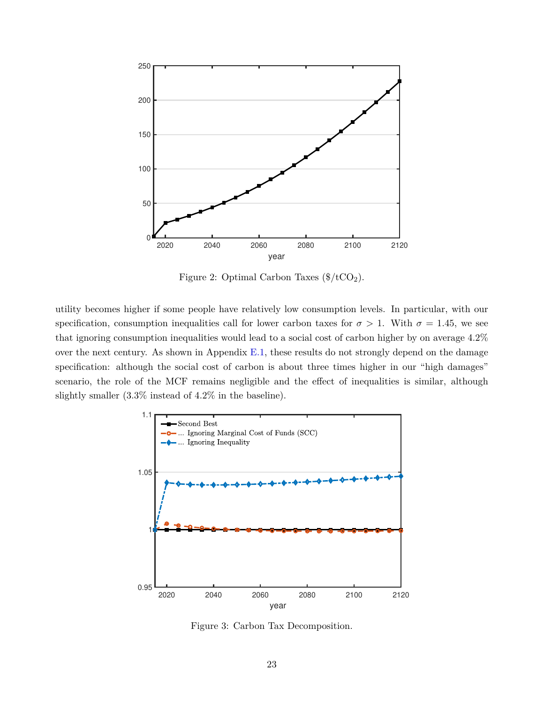<span id="page-22-0"></span>

Figure 2: Optimal Carbon Taxes  $(\frac{4}{\text{C}} \cdot \text{C} \cdot \text{C} \cdot \text{C} \cdot \text{C} \cdot \text{C})$ .

utility becomes higher if some people have relatively low consumption levels. In particular, with our specification, consumption inequalities call for lower carbon taxes for  $\sigma > 1$ . With  $\sigma = 1.45$ , we see that ignoring consumption inequalities would lead to a social cost of carbon higher by on average 4.2% over the next century. As shown in Appendix [E.1,](#page-65-0) these results do not strongly depend on the damage specification: although the social cost of carbon is about three times higher in our "high damages" scenario, the role of the MCF remains negligible and the effect of inequalities is similar, although slightly smaller (3.3% instead of 4.2% in the baseline).

<span id="page-22-1"></span>

Figure 3: Carbon Tax Decomposition.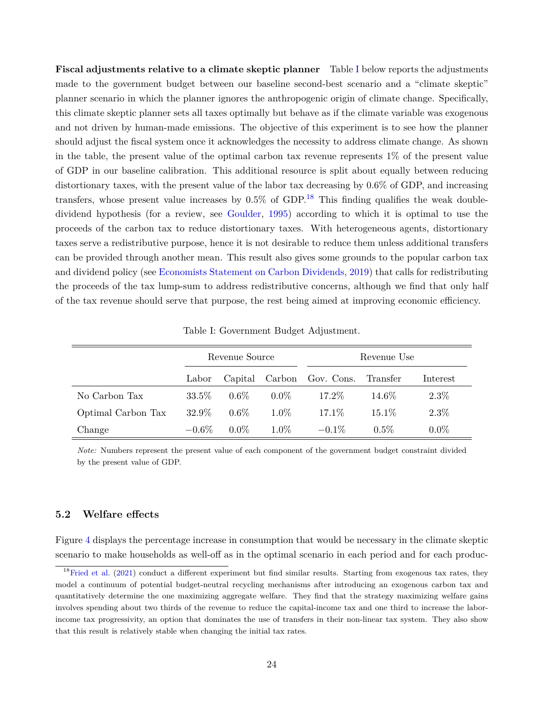**Fiscal adjustments relative to a climate skeptic planner** Table [I](#page-23-0) below reports the adjustments made to the government budget between our baseline second-best scenario and a "climate skeptic" planner scenario in which the planner ignores the anthropogenic origin of climate change. Specifically, this climate skeptic planner sets all taxes optimally but behave as if the climate variable was exogenous and not driven by human-made emissions. The objective of this experiment is to see how the planner should adjust the fiscal system once it acknowledges the necessity to address climate change. As shown in the table, the present value of the optimal carbon tax revenue represents 1% of the present value of GDP in our baseline calibration. This additional resource is split about equally between reducing distortionary taxes, with the present value of the labor tax decreasing by 0.6% of GDP, and increasing transfers, whose present value increases by  $0.5\%$  of GDP.<sup>[18](#page-23-1)</sup> This finding qualifies the weak doubledividend hypothesis (for a review, see [Goulder](#page-36-5), [1995](#page-36-5)) according to which it is optimal to use the proceeds of the carbon tax to reduce distortionary taxes. With heterogeneous agents, distortionary taxes serve a redistributive purpose, hence it is not desirable to reduce them unless additional transfers can be provided through another mean. This result also gives some grounds to the popular carbon tax and dividend policy (see [Economists Statement on Carbon Dividends, 2019](https://www.clcouncil.org/media/EconomistsStatement.pdf)) that calls for redistributing the proceeds of the tax lump-sum to address redistributive concerns, although we find that only half of the tax revenue should serve that purpose, the rest being aimed at improving economic efficiency.

<span id="page-23-0"></span>

|                    |          | Revenue Source |         | Revenue Use                        |          |          |  |  |  |
|--------------------|----------|----------------|---------|------------------------------------|----------|----------|--|--|--|
|                    | Labor    |                |         | Capital Carbon Gov. Cons. Transfer |          | Interest |  |  |  |
| No Carbon Tax      | $33.5\%$ | $0.6\%$        | $0.0\%$ | 17.2%                              | 14.6\%   | $2.3\%$  |  |  |  |
| Optimal Carbon Tax | 32.9%    | $0.6\%$        | $1.0\%$ | 17.1\%                             | $15.1\%$ | $2.3\%$  |  |  |  |
| Change             | $-0.6\%$ | $0.0\%$        | $1.0\%$ | $-0.1\%$                           | $0.5\%$  | $0.0\%$  |  |  |  |

Table I: Government Budget Adjustment.

*Note:* Numbers represent the present value of each component of the government budget constraint divided by the present value of GDP.

# **5.2 Welfare effects**

Figure [4](#page-24-0) displays the percentage increase in consumption that would be necessary in the climate skeptic scenario to make households as well-off as in the optimal scenario in each period and for each produc-

<span id="page-23-1"></span> $18$  [Fried et al.](#page-36-11) [\(2021\)](#page-36-11) conduct a different experiment but find similar results. Starting from exogenous tax rates, they model a continuum of potential budget-neutral recycling mechanisms after introducing an exogenous carbon tax and quantitatively determine the one maximizing aggregate welfare. They find that the strategy maximizing welfare gains involves spending about two thirds of the revenue to reduce the capital-income tax and one third to increase the laborincome tax progressivity, an option that dominates the use of transfers in their non-linear tax system. They also show that this result is relatively stable when changing the initial tax rates.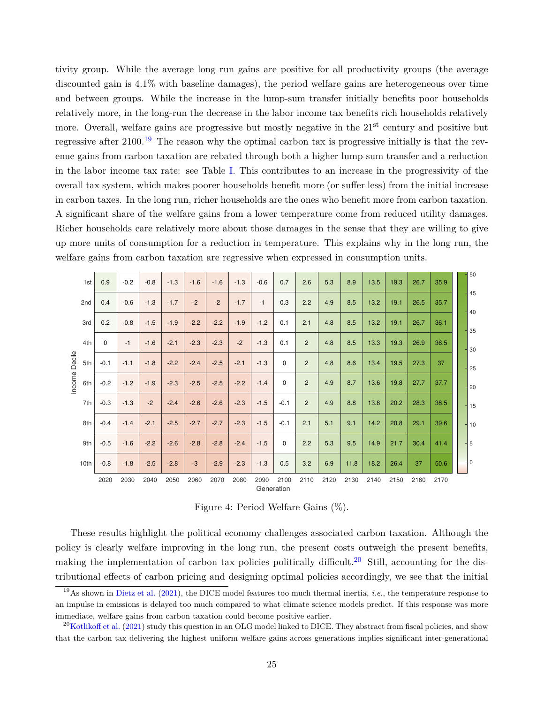tivity group. While the average long run gains are positive for all productivity groups (the average discounted gain is 4.1% with baseline damages), the period welfare gains are heterogeneous over time and between groups. While the increase in the lump-sum transfer initially benefits poor households relatively more, in the long-run the decrease in the labor income tax benefits rich households relatively more. Overall, welfare gains are progressive but mostly negative in the 21<sup>st</sup> century and positive but regressive after  $2100^{19}$  $2100^{19}$  $2100^{19}$ . The reason why the optimal carbon tax is progressive initially is that the revenue gains from carbon taxation are rebated through both a higher lump-sum transfer and a reduction in the labor income tax rate: see Table [I](#page-23-0). This contributes to an increase in the progressivity of the overall tax system, which makes poorer households benefit more (or suffer less) from the initial increase in carbon taxes. In the long run, richer households are the ones who benefit more from carbon taxation. A significant share of the welfare gains from a lower temperature come from reduced utility damages. Richer households care relatively more about those damages in the sense that they are willing to give up more units of consumption for a reduction in temperature. This explains why in the long run, the welfare gains from carbon taxation are regressive when expressed in consumption units.

<span id="page-24-0"></span>

|                                           |              |        |        |        |        |        |        |        |                    |                |      |      |      |      |      |      | 50              |
|-------------------------------------------|--------------|--------|--------|--------|--------|--------|--------|--------|--------------------|----------------|------|------|------|------|------|------|-----------------|
| 1st                                       | 0.9          | $-0.2$ | $-0.8$ | $-1.3$ | $-1.6$ | $-1.6$ | $-1.3$ | $-0.6$ | 0.7                | 2.6            | 5.3  | 8.9  | 13.5 | 19.3 | 26.7 | 35.9 |                 |
| 2nd<br>3rd<br>4th<br>Income Decile<br>5th | 0.4          | $-0.6$ | $-1.3$ | $-1.7$ | $-2$   | $-2$   | $-1.7$ | $-1$   | 0.3                | 2.2            | 4.9  | 8.5  | 13.2 | 19.1 | 26.5 | 35.7 | 45<br>40        |
|                                           | 0.2          | $-0.8$ | $-1.5$ | $-1.9$ | $-2.2$ | $-2.2$ | $-1.9$ | $-1.2$ | 0.1                | 2.1            | 4.8  | 8.5  | 13.2 | 19.1 | 26.7 | 36.1 | 35              |
|                                           | $\mathbf{0}$ | $-1$   | $-1.6$ | $-2.1$ | $-2.3$ | $-2.3$ | $-2$   | $-1.3$ | 0.1                | $\overline{2}$ | 4.8  | 8.5  | 13.3 | 19.3 | 26.9 | 36.5 | 30              |
|                                           | $-0.1$       | $-1.1$ | $-1.8$ | $-2.2$ | $-2.4$ | $-2.5$ | $-2.1$ | $-1.3$ | 0                  | $\overline{2}$ | 4.8  | 8.6  | 13.4 | 19.5 | 27.3 | 37   | 25              |
| 6th                                       | $-0.2$       | $-1.2$ | $-1.9$ | $-2.3$ | $-2.5$ | $-2.5$ | $-2.2$ | $-1.4$ | $\mathbf 0$        | $\overline{2}$ | 4.9  | 8.7  | 13.6 | 19.8 | 27.7 | 37.7 | 20              |
| 7th                                       | $-0.3$       | $-1.3$ | $-2$   | $-2.4$ | $-2.6$ | $-2.6$ | $-2.3$ | $-1.5$ | $-0.1$             | $\overline{2}$ | 4.9  | 8.8  | 13.8 | 20.2 | 28.3 | 38.5 | 15              |
| 8th                                       | $-0.4$       | $-1.4$ | $-2.1$ | $-2.5$ | $-2.7$ | $-2.7$ | $-2.3$ | $-1.5$ | $-0.1$             | 2.1            | 5.1  | 9.1  | 14.2 | 20.8 | 29.1 | 39.6 | $-110$          |
| 9th                                       | $-0.5$       | $-1.6$ | $-2.2$ | $-2.6$ | $-2.8$ | $-2.8$ | $-2.4$ | $-1.5$ | $\mathbf 0$        | 2.2            | 5.3  | 9.5  | 14.9 | 21.7 | 30.4 | 41.4 | 5               |
| 10th                                      | $-0.8$       | $-1.8$ | $-2.5$ | $-2.8$ | $-3$   | $-2.9$ | $-2.3$ | $-1.3$ | 0.5                | 3.2            | 6.9  | 11.8 | 18.2 | 26.4 | 37   | 50.6 | $\overline{10}$ |
|                                           | 2020         | 2030   | 2040   | 2050   | 2060   | 2070   | 2080   | 2090   | 2100<br>Generation | 2110           | 2120 | 2130 | 2140 | 2150 | 2160 | 2170 |                 |

Figure 4: Period Welfare Gains (%).

These results highlight the political economy challenges associated carbon taxation. Although the policy is clearly welfare improving in the long run, the present costs outweigh the present benefits, making the implementation of carbon tax policies politically difficult.<sup>[20](#page-24-2)</sup> Still, accounting for the distributional effects of carbon pricing and designing optimal policies accordingly, we see that the initial

<span id="page-24-1"></span><sup>19</sup>As shown in [Dietz et al.](#page-35-10) ([2021\)](#page-35-10), the DICE model features too much thermal inertia, *i.e.*, the temperature response to an impulse in emissions is delayed too much compared to what climate science models predict. If this response was more immediate, welfare gains from carbon taxation could become positive earlier.

<span id="page-24-2"></span> $^{20}$ [Kotlikoff et al.](#page-37-7) [\(2021\)](#page-37-7) study this question in an OLG model linked to DICE. They abstract from fiscal policies, and show that the carbon tax delivering the highest uniform welfare gains across generations implies significant inter-generational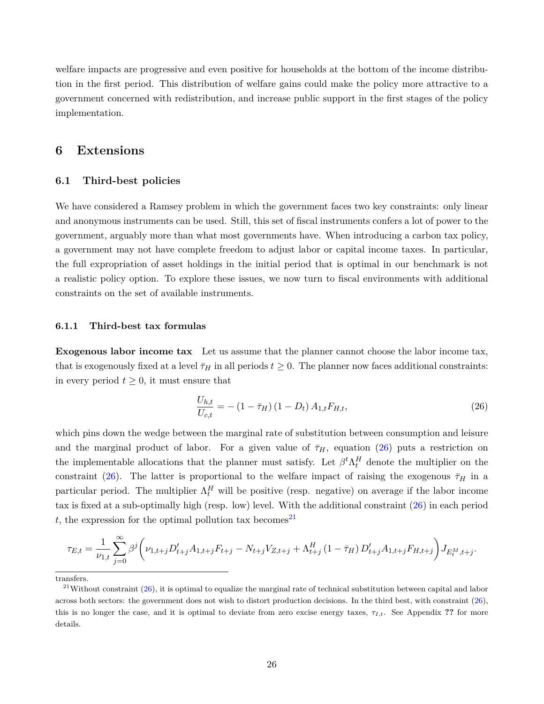welfare impacts are progressive and even positive for households at the bottom of the income distribution in the first period. This distribution of welfare gains could make the policy more attractive to a government concerned with redistribution, and increase public support in the first stages of the policy implementation.

# <span id="page-25-0"></span>**6 Extensions**

# **6.1 Third-best policies**

We have considered a Ramsey problem in which the government faces two key constraints: only linear and anonymous instruments can be used. Still, this set of fiscal instruments confers a lot of power to the government, arguably more than what most governments have. When introducing a carbon tax policy, a government may not have complete freedom to adjust labor or capital income taxes. In particular, the full expropriation of asset holdings in the initial period that is optimal in our benchmark is not a realistic policy option. To explore these issues, we now turn to fiscal environments with additional constraints on the set of available instruments.

#### **6.1.1 Third-best tax formulas**

**Exogenous labor income tax** Let us assume that the planner cannot choose the labor income tax, that is exogenously fixed at a level  $\bar{\tau}_H$  in all periods  $t \geq 0$ . The planner now faces additional constraints: in every period  $t \geq 0$ , it must ensure that

<span id="page-25-1"></span>
$$
\frac{U_{h,t}}{U_{c,t}} = -(1 - \bar{\tau}_H) (1 - D_t) A_{1,t} F_{H,t},
$$
\n(26)

which pins down the wedge between the marginal rate of substitution between consumption and leisure and the marginal product of labor. For a given value of  $\bar{\tau}_H$ , equation ([26\)](#page-25-1) puts a restriction on the implementable allocations that the planner must satisfy. Let  $\beta^t \Lambda_t^H$  denote the multiplier on the constraint [\(26](#page-25-1)). The latter is proportional to the welfare impact of raising the exogenous  $\bar{\tau}_H$  in a particular period. The multiplier  $\Lambda_t^H$  will be positive (resp. negative) on average if the labor income tax is fixed at a sub-optimally high (resp. low) level. With the additional constraint ([26](#page-25-1)) in each period  $t$ , the expression for the optimal pollution tax becomes<sup>[21](#page-25-2)</sup>

$$
\tau_{E,t} = \frac{1}{\nu_{1,t}} \sum_{j=0}^{\infty} \beta^j \left( \nu_{1,t+j} D'_{t+j} A_{1,t+j} F_{t+j} - N_{t+j} V_{Z,t+j} + \Lambda_{t+j}^H (1 - \bar{\tau}_H) D'_{t+j} A_{1,t+j} F_{H,t+j} \right) J_{E_t^M, t+j}.
$$

<span id="page-25-2"></span>transfers.

 $^{21}$ Without constraint ([26](#page-25-1)), it is optimal to equalize the marginal rate of technical substitution between capital and labor across both sectors: the government does not wish to distort production decisions. In the third best, with constraint ([26](#page-25-1)), this is no longer the case, and it is optimal to deviate from zero excise energy taxes,  $\tau_{I,t}$ . See Appendix ?? for more details.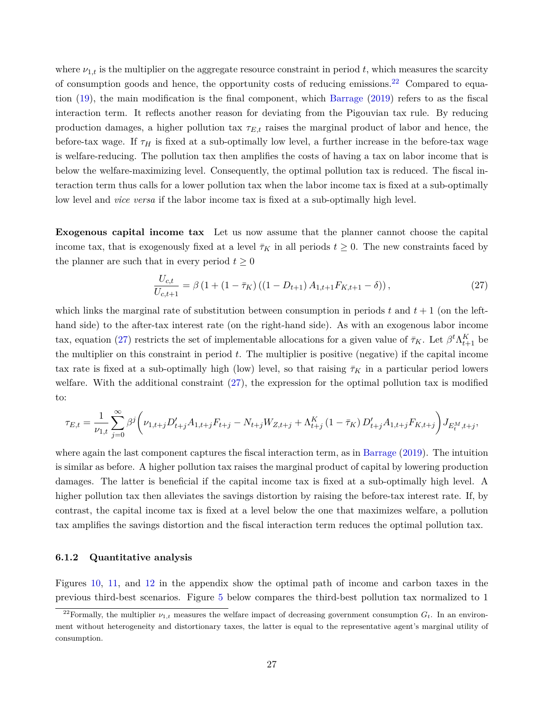where  $\nu_{1,t}$  is the multiplier on the aggregate resource constraint in period  $t$ , which measures the scarcity of consumption goods and hence, the opportunity costs of reducing emissions.<sup>[22](#page-26-0)</sup> Compared to equation ([19\)](#page-11-0), the main modification is the final component, which [Barrage](#page-35-0) ([2019](#page-35-0)) refers to as the fiscal interaction term. It reflects another reason for deviating from the Pigouvian tax rule. By reducing production damages, a higher pollution tax *τE,t* raises the marginal product of labor and hence, the before-tax wage. If  $\tau_H$  is fixed at a sub-optimally low level, a further increase in the before-tax wage is welfare-reducing. The pollution tax then amplifies the costs of having a tax on labor income that is below the welfare-maximizing level. Consequently, the optimal pollution tax is reduced. The fiscal interaction term thus calls for a lower pollution tax when the labor income tax is fixed at a sub-optimally low level and *vice versa* if the labor income tax is fixed at a sub-optimally high level.

**Exogenous capital income tax** Let us now assume that the planner cannot choose the capital income tax, that is exogenously fixed at a level  $\bar{\tau}_K$  in all periods  $t \geq 0$ . The new constraints faced by the planner are such that in every period  $t \geq 0$ 

<span id="page-26-1"></span>
$$
\frac{U_{c,t}}{U_{c,t+1}} = \beta \left(1 + \left(1 - \bar{\tau}_K\right) \left(\left(1 - D_{t+1}\right) A_{1,t+1} F_{K,t+1} - \delta\right)\right),\tag{27}
$$

which links the marginal rate of substitution between consumption in periods  $t$  and  $t + 1$  (on the lefthand side) to the after-tax interest rate (on the right-hand side). As with an exogenous labor income tax, equation ([27\)](#page-26-1) restricts the set of implementable allocations for a given value of  $\bar{\tau}_K$ . Let  $\beta^t \Lambda_{t+1}^K$  be the multiplier on this constraint in period *t*. The multiplier is positive (negative) if the capital income tax rate is fixed at a sub-optimally high (low) level, so that raising  $\bar{\tau}_K$  in a particular period lowers welfare. With the additional constraint [\(27](#page-26-1)), the expression for the optimal pollution tax is modified to:

$$
\tau_{E,t} = \frac{1}{\nu_{1,t}} \sum_{j=0}^{\infty} \beta^j \bigg( \nu_{1,t+j} D_{t+j}' A_{1,t+j} F_{t+j} - N_{t+j} W_{Z,t+j} + \Lambda^K_{t+j} \left( 1-\bar{\tau}_K \right) D_{t+j}' A_{1,t+j} F_{K,t+j} \bigg) J_{E^M_t,t+j},
$$

where again the last component captures the fiscal interaction term, as in [Barrage](#page-35-0) [\(2019](#page-35-0)). The intuition is similar as before. A higher pollution tax raises the marginal product of capital by lowering production damages. The latter is beneficial if the capital income tax is fixed at a sub-optimally high level. A higher pollution tax then alleviates the savings distortion by raising the before-tax interest rate. If, by contrast, the capital income tax is fixed at a level below the one that maximizes welfare, a pollution tax amplifies the savings distortion and the fiscal interaction term reduces the optimal pollution tax.

#### **6.1.2 Quantitative analysis**

Figures [10](#page-67-0), [11,](#page-67-1) and [12](#page-68-0) in the appendix show the optimal path of income and carbon taxes in the previous third-best scenarios. Figure [5](#page-27-0) below compares the third-best pollution tax normalized to 1

<span id="page-26-0"></span><sup>&</sup>lt;sup>22</sup>Formally, the multiplier  $\nu_{1,t}$  measures the welfare impact of decreasing government consumption  $G_t$ . In an environment without heterogeneity and distortionary taxes, the latter is equal to the representative agent's marginal utility of consumption.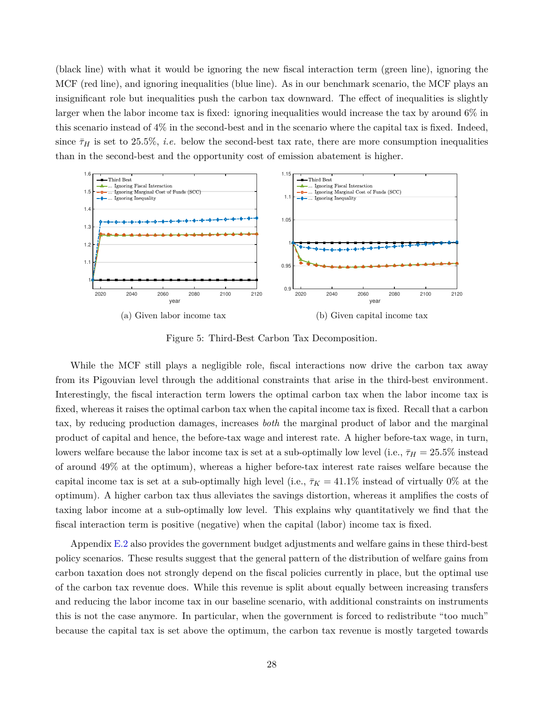(black line) with what it would be ignoring the new fiscal interaction term (green line), ignoring the MCF (red line), and ignoring inequalities (blue line). As in our benchmark scenario, the MCF plays an insignificant role but inequalities push the carbon tax downward. The effect of inequalities is slightly larger when the labor income tax is fixed: ignoring inequalities would increase the tax by around  $6\%$  in this scenario instead of 4% in the second-best and in the scenario where the capital tax is fixed. Indeed, since  $\bar{\tau}_H$  is set to 25.5%, *i.e.* below the second-best tax rate, there are more consumption inequalities than in the second-best and the opportunity cost of emission abatement is higher.

<span id="page-27-0"></span>

Figure 5: Third-Best Carbon Tax Decomposition.

While the MCF still plays a negligible role, fiscal interactions now drive the carbon tax away from its Pigouvian level through the additional constraints that arise in the third-best environment. Interestingly, the fiscal interaction term lowers the optimal carbon tax when the labor income tax is fixed, whereas it raises the optimal carbon tax when the capital income tax is fixed. Recall that a carbon tax, by reducing production damages, increases *both* the marginal product of labor and the marginal product of capital and hence, the before-tax wage and interest rate. A higher before-tax wage, in turn, lowers welfare because the labor income tax is set at a sub-optimally low level (i.e.,  $\bar{\tau}_H = 25.5\%$  instead of around 49% at the optimum), whereas a higher before-tax interest rate raises welfare because the capital income tax is set at a sub-optimally high level (i.e.,  $\bar{\tau}_K = 41.1\%$  instead of virtually 0% at the optimum). A higher carbon tax thus alleviates the savings distortion, whereas it amplifies the costs of taxing labor income at a sub-optimally low level. This explains why quantitatively we find that the fiscal interaction term is positive (negative) when the capital (labor) income tax is fixed.

Appendix [E.2](#page-67-2) also provides the government budget adjustments and welfare gains in these third-best policy scenarios. These results suggest that the general pattern of the distribution of welfare gains from carbon taxation does not strongly depend on the fiscal policies currently in place, but the optimal use of the carbon tax revenue does. While this revenue is split about equally between increasing transfers and reducing the labor income tax in our baseline scenario, with additional constraints on instruments this is not the case anymore. In particular, when the government is forced to redistribute "too much" because the capital tax is set above the optimum, the carbon tax revenue is mostly targeted towards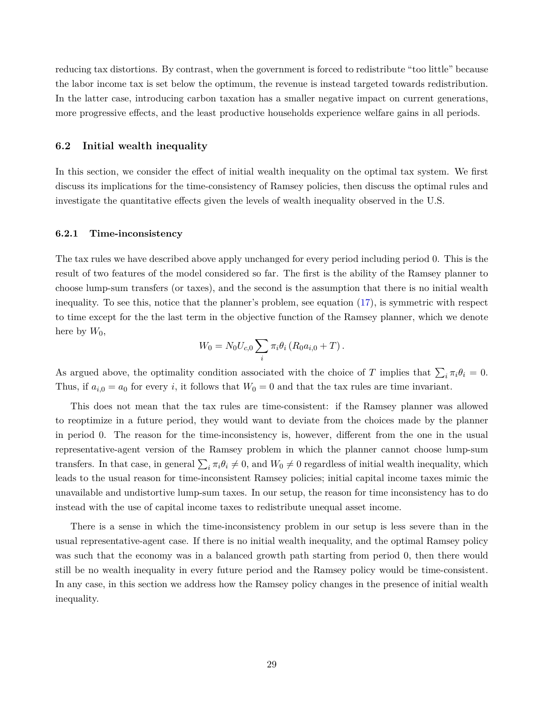reducing tax distortions. By contrast, when the government is forced to redistribute "too little" because the labor income tax is set below the optimum, the revenue is instead targeted towards redistribution. In the latter case, introducing carbon taxation has a smaller negative impact on current generations, more progressive effects, and the least productive households experience welfare gains in all periods.

## <span id="page-28-0"></span>**6.2 Initial wealth inequality**

In this section, we consider the effect of initial wealth inequality on the optimal tax system. We first discuss its implications for the time-consistency of Ramsey policies, then discuss the optimal rules and investigate the quantitative effects given the levels of wealth inequality observed in the U.S.

## **6.2.1 Time-inconsistency**

The tax rules we have described above apply unchanged for every period including period 0. This is the result of two features of the model considered so far. The first is the ability of the Ramsey planner to choose lump-sum transfers (or taxes), and the second is the assumption that there is no initial wealth inequality. To see this, notice that the planner's problem, see equation ([17\)](#page-9-1), is symmetric with respect to time except for the the last term in the objective function of the Ramsey planner, which we denote here by  $W_0$ ,

$$
W_0 = N_0 U_{c,0} \sum_i \pi_i \theta_i (R_0 a_{i,0} + T).
$$

As argued above, the optimality condition associated with the choice of *T* implies that  $\sum_i \pi_i \theta_i = 0$ . Thus, if  $a_{i,0} = a_0$  for every *i*, it follows that  $W_0 = 0$  and that the tax rules are time invariant.

This does not mean that the tax rules are time-consistent: if the Ramsey planner was allowed to reoptimize in a future period, they would want to deviate from the choices made by the planner in period 0. The reason for the time-inconsistency is, however, different from the one in the usual representative-agent version of the Ramsey problem in which the planner cannot choose lump-sum transfers. In that case, in general  $\sum_i \pi_i \theta_i \neq 0$ , and  $W_0 \neq 0$  regardless of initial wealth inequality, which leads to the usual reason for time-inconsistent Ramsey policies; initial capital income taxes mimic the unavailable and undistortive lump-sum taxes. In our setup, the reason for time inconsistency has to do instead with the use of capital income taxes to redistribute unequal asset income.

There is a sense in which the time-inconsistency problem in our setup is less severe than in the usual representative-agent case. If there is no initial wealth inequality, and the optimal Ramsey policy was such that the economy was in a balanced growth path starting from period 0, then there would still be no wealth inequality in every future period and the Ramsey policy would be time-consistent. In any case, in this section we address how the Ramsey policy changes in the presence of initial wealth inequality.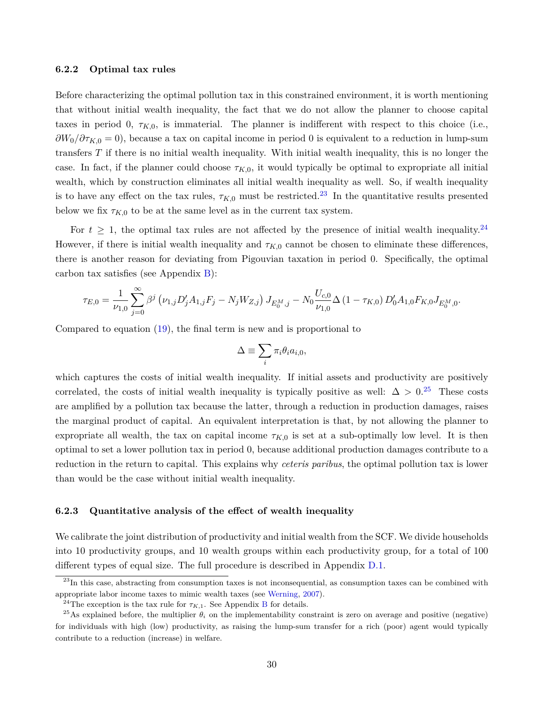#### **6.2.2 Optimal tax rules**

Before characterizing the optimal pollution tax in this constrained environment, it is worth mentioning that without initial wealth inequality, the fact that we do not allow the planner to choose capital taxes in period 0,  $\tau_{K,0}$ , is immaterial. The planner is indifferent with respect to this choice (i.e., *∂W*0*/∂τK,*<sup>0</sup> = 0), because a tax on capital income in period 0 is equivalent to a reduction in lump-sum transfers *T* if there is no initial wealth inequality. With initial wealth inequality, this is no longer the case. In fact, if the planner could choose  $\tau_{K,0}$ , it would typically be optimal to expropriate all initial wealth, which by construction eliminates all initial wealth inequality as well. So, if wealth inequality is to have any effect on the tax rules,  $\tau_{K,0}$  must be restricted.<sup>[23](#page-29-0)</sup> In the quantitative results presented below we fix  $\tau_{K,0}$  to be at the same level as in the current tax system.

For  $t \geq 1$ , the optimal tax rules are not affected by the presence of initial wealth inequality.<sup>[24](#page-29-1)</sup> However, if there is initial wealth inequality and  $\tau_{K,0}$  cannot be chosen to eliminate these differences, there is another reason for deviating from Pigouvian taxation in period 0. Specifically, the optimal carbon tax satisfies (see Appendix [B](#page-49-0)):

$$
\tau_{E,0} = \frac{1}{\nu_{1,0}} \sum_{j=0}^{\infty} \beta^j \left( \nu_{1,j} D'_j A_{1,j} F_j - N_j W_{Z,j} \right) J_{E_0^M, j} - N_0 \frac{U_{c,0}}{\nu_{1,0}} \Delta \left( 1 - \tau_{K,0} \right) D'_0 A_{1,0} F_{K,0} J_{E_0^M,0}.
$$

Compared to equation [\(19](#page-11-0)), the final term is new and is proportional to

$$
\Delta \equiv \sum_i \pi_i \theta_i a_{i,0},
$$

which captures the costs of initial wealth inequality. If initial assets and productivity are positively correlated, the costs of initial wealth inequality is typically positive as well:  $\Delta > 0.25$  $\Delta > 0.25$  These costs are amplified by a pollution tax because the latter, through a reduction in production damages, raises the marginal product of capital. An equivalent interpretation is that, by not allowing the planner to expropriate all wealth, the tax on capital income  $\tau_{K,0}$  is set at a sub-optimally low level. It is then optimal to set a lower pollution tax in period 0, because additional production damages contribute to a reduction in the return to capital. This explains why *ceteris paribus*, the optimal pollution tax is lower than would be the case without initial wealth inequality.

#### **6.2.3 Quantitative analysis of the effect of wealth inequality**

We calibrate the joint distribution of productivity and initial wealth from the SCF. We divide households into 10 productivity groups, and 10 wealth groups within each productivity group, for a total of 100 different types of equal size. The full procedure is described in Appendix [D.1](#page-57-0).

<span id="page-29-0"></span> $^{23}$ In this case, abstracting from consumption taxes is not inconsequential, as consumption taxes can be combined with appropriate labor income taxes to mimic wealth taxes (see [Werning,](#page-38-0) [2007\)](#page-38-0).

<span id="page-29-2"></span><span id="page-29-1"></span><sup>&</sup>lt;sup>24</sup>The exception is the tax rule for  $\tau_{K,1}$ . See Appendix [B](#page-49-0) for details.

<sup>&</sup>lt;sup>25</sup>As explained before, the multiplier  $\theta_i$  on the implementability constraint is zero on average and positive (negative) for individuals with high (low) productivity, as raising the lump-sum transfer for a rich (poor) agent would typically contribute to a reduction (increase) in welfare.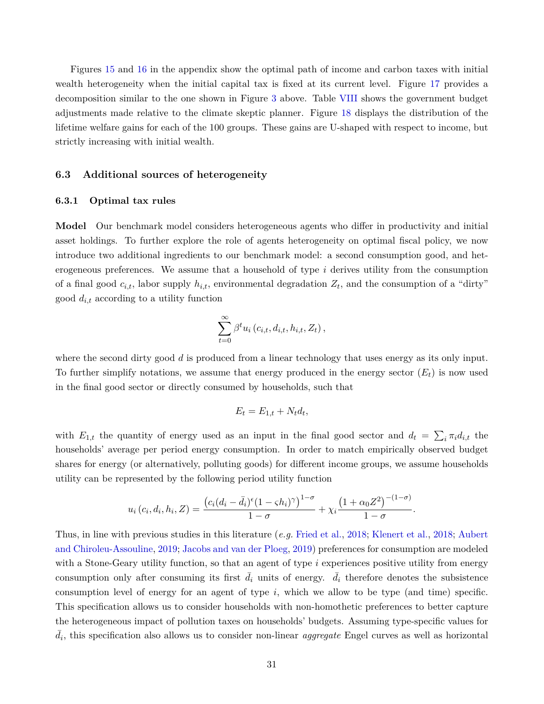Figures [15](#page-70-0) and [16](#page-70-1) in the appendix show the optimal path of income and carbon taxes with initial wealth heterogeneity when the initial capital tax is fixed at its current level. Figure [17](#page-71-0) provides a decomposition similar to the one shown in Figure [3](#page-22-1) above. Table [VIII](#page-71-1) shows the government budget adjustments made relative to the climate skeptic planner. Figure [18](#page-72-0) displays the distribution of the lifetime welfare gains for each of the 100 groups. These gains are U-shaped with respect to income, but strictly increasing with initial wealth.

#### **6.3 Additional sources of heterogeneity**

#### **6.3.1 Optimal tax rules**

**Model** Our benchmark model considers heterogeneous agents who differ in productivity and initial asset holdings. To further explore the role of agents heterogeneity on optimal fiscal policy, we now introduce two additional ingredients to our benchmark model: a second consumption good, and heterogeneous preferences. We assume that a household of type *i* derives utility from the consumption of a final good  $c_{i,t}$ , labor supply  $h_{i,t}$ , environmental degradation  $Z_t$ , and the consumption of a "dirty" good *di,t* according to a utility function

$$
\sum_{t=0}^{\infty} \beta^t u_i (c_{i,t}, d_{i,t}, h_{i,t}, Z_t),
$$

where the second dirty good *d* is produced from a linear technology that uses energy as its only input. To further simplify notations, we assume that energy produced in the energy sector  $(E_t)$  is now used in the final good sector or directly consumed by households, such that

$$
E_t = E_{1,t} + N_t d_t,
$$

with  $E_{1,t}$  the quantity of energy used as an input in the final good sector and  $d_t = \sum_i \pi_i d_{i,t}$  the households' average per period energy consumption. In order to match empirically observed budget shares for energy (or alternatively, polluting goods) for different income groups, we assume households utility can be represented by the following period utility function

$$
u_i(c_i, d_i, h_i, Z) = \frac{(c_i(d_i - \bar{d}_i)^{\epsilon}(1 - \varsigma h_i)^{\gamma})^{1-\sigma}}{1-\sigma} + \chi_i \frac{(1+\alpha_0 Z^2)^{-(1-\sigma)}}{1-\sigma}.
$$

Thus, in line with previous studies in this literature (*e.g.* [Fried et al.,](#page-36-9) [2018;](#page-36-9) [Klenert et al.,](#page-37-13) [2018;](#page-37-13) [Aubert](#page-35-11) [and Chiroleu-Assouline](#page-35-11), [2019;](#page-35-11) [Jacobs and van der Ploeg,](#page-36-1) [2019](#page-36-1)) preferences for consumption are modeled with a Stone-Geary utility function, so that an agent of type *i* experiences positive utility from energy consumption only after consuming its first  $\bar{d}_i$  units of energy.  $\bar{d}_i$  therefore denotes the subsistence consumption level of energy for an agent of type *i*, which we allow to be type (and time) specific. This specification allows us to consider households with non-homothetic preferences to better capture the heterogeneous impact of pollution taxes on households' budgets. Assuming type-specific values for  $\bar{d}_i$ , this specification also allows us to consider non-linear *aggregate* Engel curves as well as horizontal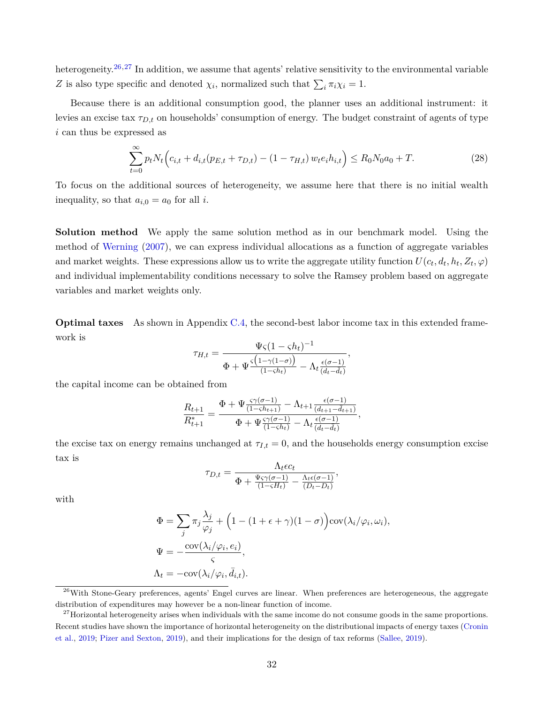heterogeneity.<sup>[26](#page-31-0),[27](#page-31-1)</sup> In addition, we assume that agents' relative sensitivity to the environmental variable *Z* is also type specific and denoted  $\chi_i$ , normalized such that  $\sum_i \pi_i \chi_i = 1$ .

Because there is an additional consumption good, the planner uses an additional instrument: it levies an excise tax *τD,t* on households' consumption of energy. The budget constraint of agents of type *i* can thus be expressed as

$$
\sum_{t=0}^{\infty} p_t N_t \Big( c_{i,t} + d_{i,t} (p_{E,t} + \tau_{D,t}) - (1 - \tau_{H,t}) w_t e_i h_{i,t} \Big) \le R_0 N_0 a_0 + T.
$$
 (28)

*,*

To focus on the additional sources of heterogeneity, we assume here that there is no initial wealth inequality, so that  $a_{i,0} = a_0$  for all *i*.

**Solution method** We apply the same solution method as in our benchmark model. Using the method of [Werning](#page-38-0) ([2007\)](#page-38-0), we can express individual allocations as a function of aggregate variables and market weights. These expressions allow us to write the aggregate utility function  $U(c_t, d_t, h_t, Z_t, \varphi)$ and individual implementability conditions necessary to solve the Ramsey problem based on aggregate variables and market weights only.

**Optimal taxes** As shown in Appendix [C.4,](#page-55-0) the second-best labor income tax in this extended framework is

$$
\tau_{H,t} = \frac{\Psi \varsigma (1 - \varsigma h_t)^{-1}}{\Phi + \Psi \frac{\varsigma \left(1 - \gamma (1 - \sigma)\right)}{(1 - \varsigma h_t)} - \Lambda_t \frac{\epsilon (\sigma - 1)}{(d_t - d_t)}}
$$

the capital income can be obtained from

$$
\frac{R_{t+1}}{R_{t+1}^*} = \frac{\Phi + \Psi \frac{\varsigma \gamma(\sigma - 1)}{(1 - \varsigma h_{t+1})} - \Lambda_{t+1} \frac{\epsilon(\sigma - 1)}{(d_{t+1} - d_{t+1})}}{\Phi + \Psi \frac{\varsigma \gamma(\sigma - 1)}{(1 - \varsigma h_t)} - \Lambda_t \frac{\epsilon(\sigma - 1)}{(d_t - d_t)}},
$$

the excise tax on energy remains unchanged at  $\tau_{I,t} = 0$ , and the households energy consumption excise tax is

$$
\tau_{D,t} = \frac{\Lambda_t \epsilon c_t}{\Phi + \frac{\Psi \varsigma \gamma (\sigma - 1)}{(1 - \varsigma H_t)} - \frac{\Lambda_t \epsilon (\sigma - 1)}{(D_t - \bar{D}_t)}},
$$

with

$$
\Phi = \sum_{j} \pi_{j} \frac{\lambda_{j}}{\varphi_{j}} + \left(1 - (1 + \epsilon + \gamma)(1 - \sigma)\right) \text{cov}(\lambda_{i}/\varphi_{i}, \omega_{i}),
$$

$$
\Psi = -\frac{\text{cov}(\lambda_{i}/\varphi_{i}, e_{i})}{\varsigma},
$$

$$
\Lambda_{t} = -\text{cov}(\lambda_{i}/\varphi_{i}, \bar{d}_{i,t}).
$$

<span id="page-31-0"></span><sup>26</sup>With Stone-Geary preferences, agents' Engel curves are linear. When preferences are heterogeneous, the aggregate distribution of expenditures may however be a non-linear function of income.

<span id="page-31-1"></span><sup>&</sup>lt;sup>27</sup>Horizontal heterogeneity arises when individuals with the same income do not consume goods in the same proportions. Recent studies have shown the importance of horizontal heterogeneity on the distributional impacts of energy taxes ([Cronin](#page-35-12) [et al.,](#page-35-12) [2019;](#page-35-12) [Pizer and Sexton,](#page-37-4) [2019\)](#page-37-4), and their implications for the design of tax reforms ([Sallee](#page-38-8), [2019](#page-38-8)).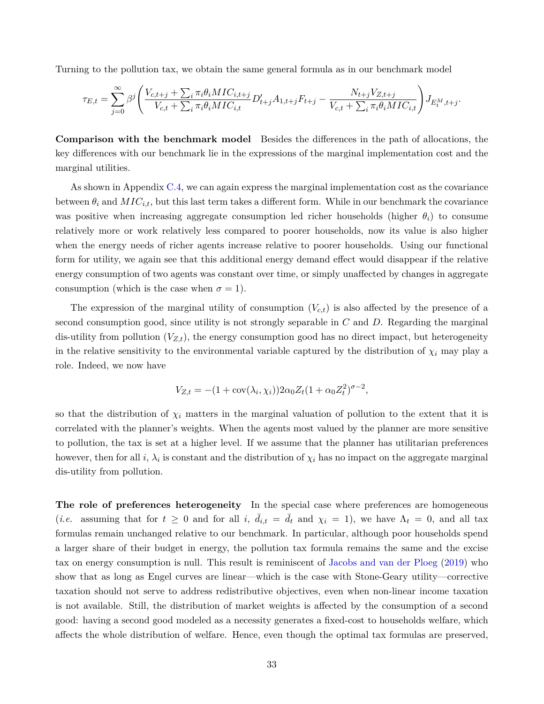Turning to the pollution tax, we obtain the same general formula as in our benchmark model

$$
\tau_{E,t} = \sum_{j=0}^{\infty} \beta^j \left( \frac{V_{c,t+j} + \sum_i \pi_i \theta_i MIC_{i,t+j}}{V_{c,t} + \sum_i \pi_i \theta_i MIC_{i,t}} D'_{t+j} A_{1,t+j} F_{t+j} - \frac{N_{t+j} V_{Z,t+j}}{V_{c,t} + \sum_i \pi_i \theta_i MIC_{i,t}} \right) J_{E_t^M, t+j}.
$$

**Comparison with the benchmark model** Besides the differences in the path of allocations, the key differences with our benchmark lie in the expressions of the marginal implementation cost and the marginal utilities.

As shown in Appendix [C.4,](#page-55-0) we can again express the marginal implementation cost as the covariance between  $\theta_i$  and  $MIC_{i,t}$ , but this last term takes a different form. While in our benchmark the covariance was positive when increasing aggregate consumption led richer households (higher *θi*) to consume relatively more or work relatively less compared to poorer households, now its value is also higher when the energy needs of richer agents increase relative to poorer households. Using our functional form for utility, we again see that this additional energy demand effect would disappear if the relative energy consumption of two agents was constant over time, or simply unaffected by changes in aggregate consumption (which is the case when  $\sigma = 1$ ).

The expression of the marginal utility of consumption  $(V_{c,t})$  is also affected by the presence of a second consumption good, since utility is not strongly separable in *C* and *D*. Regarding the marginal dis-utility from pollution  $(V_{Z,t})$ , the energy consumption good has no direct impact, but heterogeneity in the relative sensitivity to the environmental variable captured by the distribution of  $\chi_i$  may play a role. Indeed, we now have

$$
V_{Z,t} = -(1 + \text{cov}(\lambda_i, \chi_i)) 2\alpha_0 Z_t (1 + \alpha_0 Z_t^2)^{\sigma - 2},
$$

so that the distribution of  $\chi_i$  matters in the marginal valuation of pollution to the extent that it is correlated with the planner's weights. When the agents most valued by the planner are more sensitive to pollution, the tax is set at a higher level. If we assume that the planner has utilitarian preferences however, then for all *i*,  $\lambda_i$  is constant and the distribution of  $\chi_i$  has no impact on the aggregate marginal dis-utility from pollution.

**The role of preferences heterogeneity** In the special case where preferences are homogeneous (*i.e.* assuming that for  $t \geq 0$  and for all *i*,  $\bar{d}_{i,t} = \bar{d}_t$  and  $\chi_i = 1$ ), we have  $\Lambda_t = 0$ , and all tax formulas remain unchanged relative to our benchmark. In particular, although poor households spend a larger share of their budget in energy, the pollution tax formula remains the same and the excise tax on energy consumption is null. This result is reminiscent of [Jacobs and van der Ploeg](#page-36-1) [\(2019](#page-36-1)) who show that as long as Engel curves are linear—which is the case with Stone-Geary utility—corrective taxation should not serve to address redistributive objectives, even when non-linear income taxation is not available. Still, the distribution of market weights is affected by the consumption of a second good: having a second good modeled as a necessity generates a fixed-cost to households welfare, which affects the whole distribution of welfare. Hence, even though the optimal tax formulas are preserved,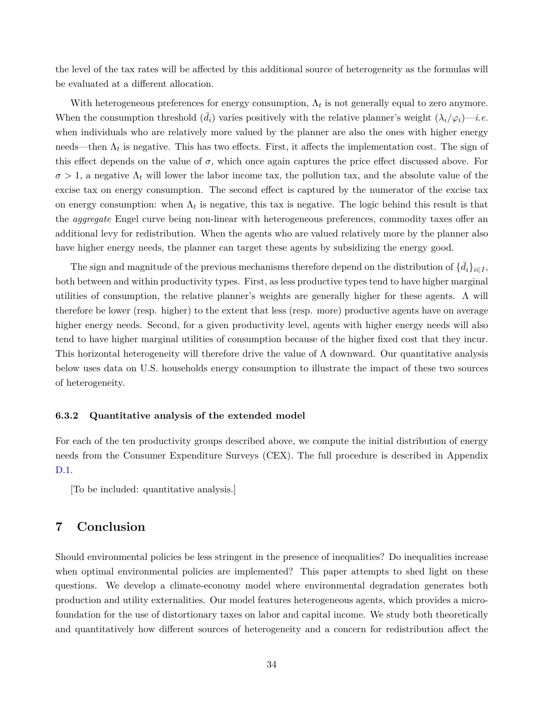the level of the tax rates will be affected by this additional source of heterogeneity as the formulas will be evaluated at a different allocation.

With heterogeneous preferences for energy consumption,  $\Lambda_t$  is not generally equal to zero anymore. When the consumption threshold  $(\bar{d}_i)$  varies positively with the relative planner's weight  $(\lambda_i/\varphi_i)$ —*i.e.* when individuals who are relatively more valued by the planner are also the ones with higher energy needs—then  $\Lambda_t$  is negative. This has two effects. First, it affects the implementation cost. The sign of this effect depends on the value of  $\sigma$ , which once again captures the price effect discussed above. For  $\sigma > 1$ , a negative  $\Lambda_t$  will lower the labor income tax, the pollution tax, and the absolute value of the excise tax on energy consumption. The second effect is captured by the numerator of the excise tax on energy consumption: when  $\Lambda_t$  is negative, this tax is negative. The logic behind this result is that the *aggregate* Engel curve being non-linear with heterogeneous preferences, commodity taxes offer an additional levy for redistribution. When the agents who are valued relatively more by the planner also have higher energy needs, the planner can target these agents by subsidizing the energy good.

The sign and magnitude of the previous mechanisms therefore depend on the distribution of  $\{\bar{d}_i\}_{i\in I}$ , both between and within productivity types. First, as less productive types tend to have higher marginal utilities of consumption, the relative planner's weights are generally higher for these agents.  $\Lambda$  will therefore be lower (resp. higher) to the extent that less (resp. more) productive agents have on average higher energy needs. Second, for a given productivity level, agents with higher energy needs will also tend to have higher marginal utilities of consumption because of the higher fixed cost that they incur. This horizontal heterogeneity will therefore drive the value of  $\Lambda$  downward. Our quantitative analysis below uses data on U.S. households energy consumption to illustrate the impact of these two sources of heterogeneity.

#### **6.3.2 Quantitative analysis of the extended model**

For each of the ten productivity groups described above, we compute the initial distribution of energy needs from the Consumer Expenditure Surveys (CEX). The full procedure is described in Appendix [D.1](#page-57-0).

[To be included: quantitative analysis.]

# <span id="page-33-0"></span>**7 Conclusion**

Should environmental policies be less stringent in the presence of inequalities? Do inequalities increase when optimal environmental policies are implemented? This paper attempts to shed light on these questions. We develop a climate-economy model where environmental degradation generates both production and utility externalities. Our model features heterogeneous agents, which provides a microfoundation for the use of distortionary taxes on labor and capital income. We study both theoretically and quantitatively how different sources of heterogeneity and a concern for redistribution affect the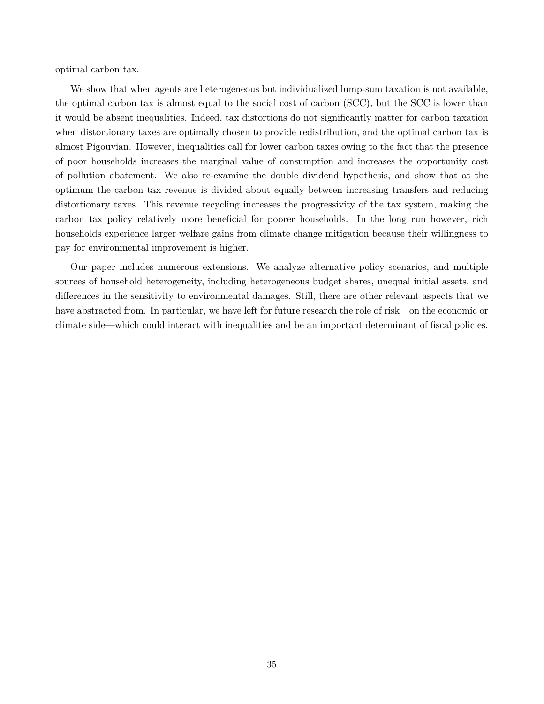optimal carbon tax.

We show that when agents are heterogeneous but individualized lump-sum taxation is not available, the optimal carbon tax is almost equal to the social cost of carbon (SCC), but the SCC is lower than it would be absent inequalities. Indeed, tax distortions do not significantly matter for carbon taxation when distortionary taxes are optimally chosen to provide redistribution, and the optimal carbon tax is almost Pigouvian. However, inequalities call for lower carbon taxes owing to the fact that the presence of poor households increases the marginal value of consumption and increases the opportunity cost of pollution abatement. We also re-examine the double dividend hypothesis, and show that at the optimum the carbon tax revenue is divided about equally between increasing transfers and reducing distortionary taxes. This revenue recycling increases the progressivity of the tax system, making the carbon tax policy relatively more beneficial for poorer households. In the long run however, rich households experience larger welfare gains from climate change mitigation because their willingness to pay for environmental improvement is higher.

Our paper includes numerous extensions. We analyze alternative policy scenarios, and multiple sources of household heterogeneity, including heterogeneous budget shares, unequal initial assets, and differences in the sensitivity to environmental damages. Still, there are other relevant aspects that we have abstracted from. In particular, we have left for future research the role of risk—on the economic or climate side—which could interact with inequalities and be an important determinant of fiscal policies.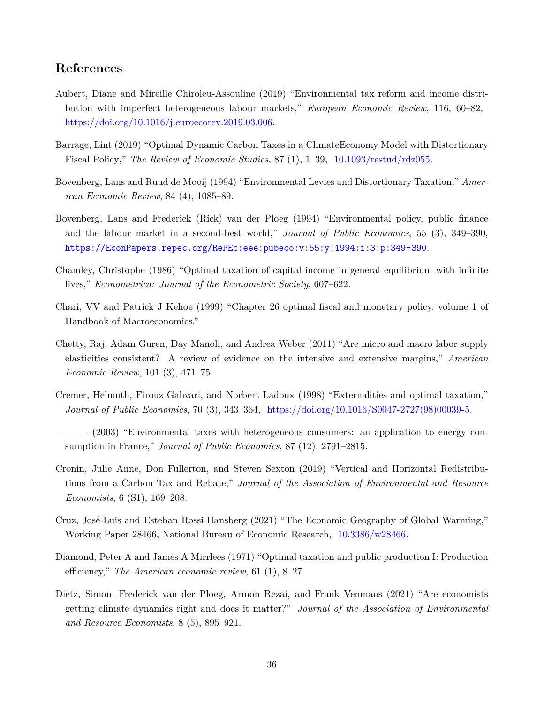# **References**

- <span id="page-35-11"></span>Aubert, Diane and Mireille Chiroleu-Assouline (2019) "Environmental tax reform and income distribution with imperfect heterogeneous labour markets," *European Economic Review*, 116, 60–82, [https://doi.org/10.1016/j.euroecorev.2019.03.006.](http://dx.doi.org/https://doi.org/10.1016/j.euroecorev.2019.03.006)
- <span id="page-35-0"></span>Barrage, Lint (2019) "Optimal Dynamic Carbon Taxes in a ClimateEconomy Model with Distortionary Fiscal Policy," *The Review of Economic Studies*, 87 (1), 1–39, [10.1093/restud/rdz055](http://dx.doi.org/10.1093/restud/rdz055).
- <span id="page-35-1"></span>Bovenberg, Lans and Ruud de Mooij (1994) "Environmental Levies and Distortionary Taxation," *American Economic Review*, 84 (4), 1085–89.
- <span id="page-35-2"></span>Bovenberg, Lans and Frederick (Rick) van der Ploeg (1994) "Environmental policy, public finance and the labour market in a second-best world," *Journal of Public Economics*, 55 (3), 349–390, <https://EconPapers.repec.org/RePEc:eee:pubeco:v:55:y:1994:i:3:p:349-390>.
- <span id="page-35-9"></span>Chamley, Christophe (1986) "Optimal taxation of capital income in general equilibrium with infinite lives," *Econometrica: Journal of the Econometric Society*, 607–622.
- <span id="page-35-3"></span>Chari, VV and Patrick J Kehoe (1999) "Chapter 26 optimal fiscal and monetary policy. volume 1 of Handbook of Macroeconomics."
- <span id="page-35-8"></span>Chetty, Raj, Adam Guren, Day Manoli, and Andrea Weber (2011) "Are micro and macro labor supply elasticities consistent? A review of evidence on the intensive and extensive margins," *American Economic Review*, 101 (3), 471–75.
- <span id="page-35-4"></span>Cremer, Helmuth, Firouz Gahvari, and Norbert Ladoux (1998) "Externalities and optimal taxation," *Journal of Public Economics*, 70 (3), 343–364, [https://doi.org/10.1016/S0047-2727\(98\)00039-5.](http://dx.doi.org/https://doi.org/10.1016/S0047-2727(98)00039-5)
- <span id="page-35-5"></span>(2003) "Environmental taxes with heterogeneous consumers: an application to energy consumption in France," *Journal of Public Economics*, 87 (12), 2791–2815.
- <span id="page-35-12"></span>Cronin, Julie Anne, Don Fullerton, and Steven Sexton (2019) "Vertical and Horizontal Redistributions from a Carbon Tax and Rebate," *Journal of the Association of Environmental and Resource Economists*, 6 (S1), 169–208.
- <span id="page-35-6"></span>Cruz, José-Luis and Esteban Rossi-Hansberg (2021) "The Economic Geography of Global Warming," Working Paper 28466, National Bureau of Economic Research, [10.3386/w28466.](http://dx.doi.org/10.3386/w28466)
- <span id="page-35-7"></span>Diamond, Peter A and James A Mirrlees (1971) "Optimal taxation and public production I: Production efficiency," *The American economic review*, 61 (1), 8–27.
- <span id="page-35-10"></span>Dietz, Simon, Frederick van der Ploeg, Armon Rezai, and Frank Venmans (2021) "Are economists getting climate dynamics right and does it matter?" *Journal of the Association of Environmental and Resource Economists*, 8 (5), 895–921.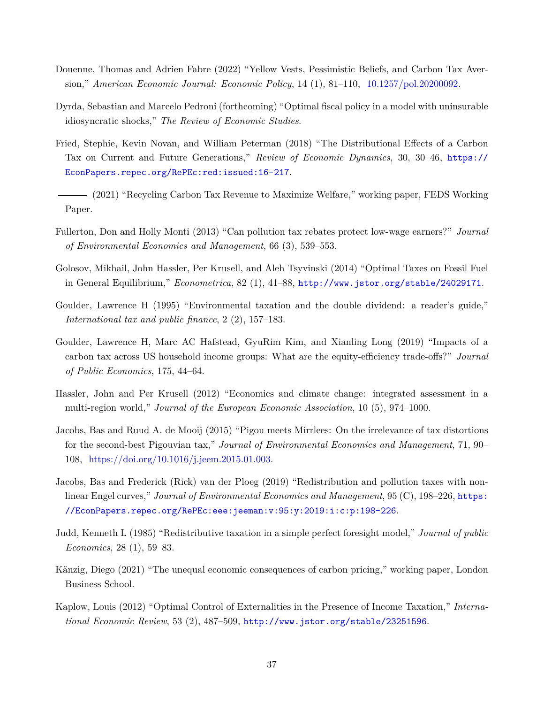- Douenne, Thomas and Adrien Fabre (2022) "Yellow Vests, Pessimistic Beliefs, and Carbon Tax Aversion," *American Economic Journal: Economic Policy*, 14 (1), 81–110, [10.1257/pol.20200092.](http://dx.doi.org/10.1257/pol.20200092)
- Dyrda, Sebastian and Marcelo Pedroni (forthcoming) "Optimal fiscal policy in a model with uninsurable idiosyncratic shocks," *The Review of Economic Studies*.
- Fried, Stephie, Kevin Novan, and William Peterman (2018) "The Distributional Effects of a Carbon Tax on Current and Future Generations," *Review of Economic Dynamics*, 30, 30–46, [https://](https://EconPapers.repec.org/RePEc:red:issued:16-217) [EconPapers.repec.org/RePEc:red:issued:16-217](https://EconPapers.repec.org/RePEc:red:issued:16-217).
- (2021) "Recycling Carbon Tax Revenue to Maximize Welfare," working paper, FEDS Working Paper.
- Fullerton, Don and Holly Monti (2013) "Can pollution tax rebates protect low-wage earners?" *Journal of Environmental Economics and Management*, 66 (3), 539–553.
- Golosov, Mikhail, John Hassler, Per Krusell, and Aleh Tsyvinski (2014) "Optimal Taxes on Fossil Fuel in General Equilibrium," *Econometrica*, 82 (1), 41–88, <http://www.jstor.org/stable/24029171>.
- Goulder, Lawrence H (1995) "Environmental taxation and the double dividend: a reader's guide," *International tax and public finance*, 2 (2), 157–183.
- Goulder, Lawrence H, Marc AC Hafstead, GyuRim Kim, and Xianling Long (2019) "Impacts of a carbon tax across US household income groups: What are the equity-efficiency trade-offs?" *Journal of Public Economics*, 175, 44–64.
- Hassler, John and Per Krusell (2012) "Economics and climate change: integrated assessment in a multi-region world," *Journal of the European Economic Association*, 10 (5), 974–1000.
- Jacobs, Bas and Ruud A. de Mooij (2015) "Pigou meets Mirrlees: On the irrelevance of tax distortions for the second-best Pigouvian tax," *Journal of Environmental Economics and Management*, 71, 90– 108, [https://doi.org/10.1016/j.jeem.2015.01.003.](http://dx.doi.org/https://doi.org/10.1016/j.jeem.2015.01.003)
- Jacobs, Bas and Frederick (Rick) van der Ploeg (2019) "Redistribution and pollution taxes with nonlinear Engel curves," *Journal of Environmental Economics and Management*, 95 (C), 198–226, [https:](https://EconPapers.repec.org/RePEc:eee:jeeman:v:95:y:2019:i:c:p:198-226) [//EconPapers.repec.org/RePEc:eee:jeeman:v:95:y:2019:i:c:p:198-226](https://EconPapers.repec.org/RePEc:eee:jeeman:v:95:y:2019:i:c:p:198-226).
- Judd, Kenneth L (1985) "Redistributive taxation in a simple perfect foresight model," *Journal of public Economics*, 28 (1), 59–83.
- Känzig, Diego (2021) "The unequal economic consequences of carbon pricing," working paper, London Business School.
- Kaplow, Louis (2012) "Optimal Control of Externalities in the Presence of Income Taxation," *International Economic Review*, 53 (2), 487–509, <http://www.jstor.org/stable/23251596>.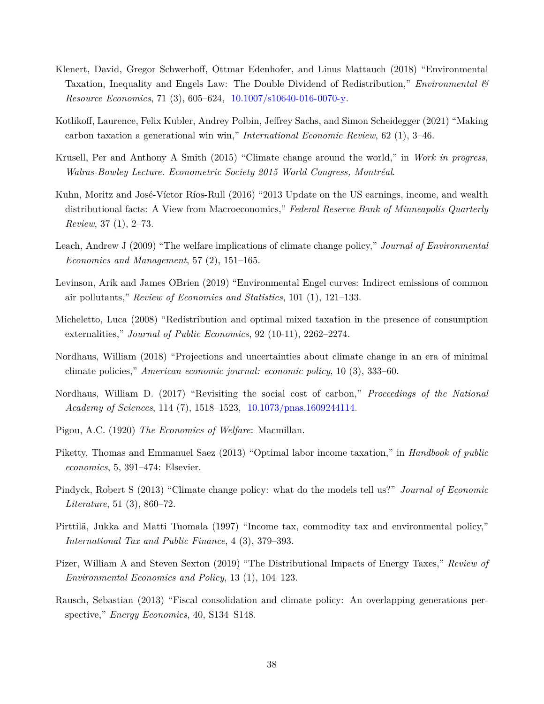- Klenert, David, Gregor Schwerhoff, Ottmar Edenhofer, and Linus Mattauch (2018) "Environmental Taxation, Inequality and Engels Law: The Double Dividend of Redistribution," *Environmental & Resource Economics*, 71 (3), 605–624, [10.1007/s10640-016-0070-y](http://dx.doi.org/10.1007/s10640-016-0070-y).
- Kotlikoff, Laurence, Felix Kubler, Andrey Polbin, Jeffrey Sachs, and Simon Scheidegger (2021) "Making carbon taxation a generational win win," *International Economic Review*, 62 (1), 3–46.
- Krusell, Per and Anthony A Smith (2015) "Climate change around the world," in *Work in progress, Walras-Bowley Lecture. Econometric Society 2015 World Congress, Montréal*.
- <span id="page-37-0"></span>Kuhn, Moritz and José-Víctor Ríos-Rull (2016) "2013 Update on the US earnings, income, and wealth distributional facts: A View from Macroeconomics," *Federal Reserve Bank of Minneapolis Quarterly Review*, 37 (1), 2–73.
- Leach, Andrew J (2009) "The welfare implications of climate change policy," *Journal of Environmental Economics and Management*, 57 (2), 151–165.
- Levinson, Arik and James OBrien (2019) "Environmental Engel curves: Indirect emissions of common air pollutants," *Review of Economics and Statistics*, 101 (1), 121–133.
- Micheletto, Luca (2008) "Redistribution and optimal mixed taxation in the presence of consumption externalities," *Journal of Public Economics*, 92 (10-11), 2262–2274.
- Nordhaus, William (2018) "Projections and uncertainties about climate change in an era of minimal climate policies," *American economic journal: economic policy*, 10 (3), 333–60.
- Nordhaus, William D. (2017) "Revisiting the social cost of carbon," *Proceedings of the National Academy of Sciences*, 114 (7), 1518–1523, [10.1073/pnas.1609244114](http://dx.doi.org/10.1073/pnas.1609244114).
- Pigou, A.C. (1920) *The Economics of Welfare*: Macmillan.
- Piketty, Thomas and Emmanuel Saez (2013) "Optimal labor income taxation," in *Handbook of public economics*, 5, 391–474: Elsevier.
- Pindyck, Robert S (2013) "Climate change policy: what do the models tell us?" *Journal of Economic Literature*, 51 (3), 860–72.
- Pirttilä, Jukka and Matti Tuomala (1997) "Income tax, commodity tax and environmental policy," *International Tax and Public Finance*, 4 (3), 379–393.
- Pizer, William A and Steven Sexton (2019) "The Distributional Impacts of Energy Taxes," *Review of Environmental Economics and Policy*, 13 (1), 104–123.
- Rausch, Sebastian (2013) "Fiscal consolidation and climate policy: An overlapping generations perspective," *Energy Economics*, 40, S134–S148.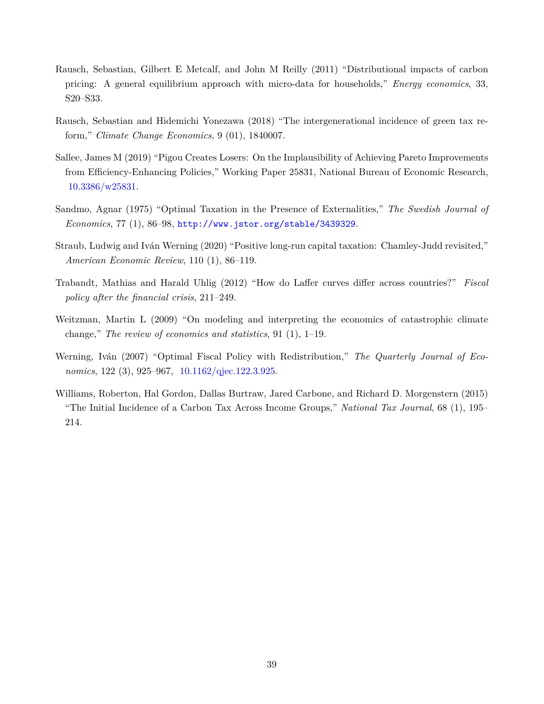- Rausch, Sebastian, Gilbert E Metcalf, and John M Reilly (2011) "Distributional impacts of carbon pricing: A general equilibrium approach with micro-data for households," *Energy economics*, 33, S20–S33.
- Rausch, Sebastian and Hidemichi Yonezawa (2018) "The intergenerational incidence of green tax reform," *Climate Change Economics*, 9 (01), 1840007.
- Sallee, James M (2019) "Pigou Creates Losers: On the Implausibility of Achieving Pareto Improvements from Efficiency-Enhancing Policies," Working Paper 25831, National Bureau of Economic Research, [10.3386/w25831](http://dx.doi.org/10.3386/w25831).
- Sandmo, Agnar (1975) "Optimal Taxation in the Presence of Externalities," *The Swedish Journal of Economics*, 77 (1), 86–98, <http://www.jstor.org/stable/3439329>.
- Straub, Ludwig and Iván Werning (2020) "Positive long-run capital taxation: Chamley-Judd revisited," *American Economic Review*, 110 (1), 86–119.
- Trabandt, Mathias and Harald Uhlig (2012) "How do Laffer curves differ across countries?" *Fiscal policy after the financial crisis*, 211–249.
- Weitzman, Martin L (2009) "On modeling and interpreting the economics of catastrophic climate change," *The review of economics and statistics*, 91 (1), 1–19.
- Werning, Iván (2007) "Optimal Fiscal Policy with Redistribution," *The Quarterly Journal of Economics*, 122 (3), 925–967, [10.1162/qjec.122.3.925.](http://dx.doi.org/10.1162/qjec.122.3.925)
- Williams, Roberton, Hal Gordon, Dallas Burtraw, Jared Carbone, and Richard D. Morgenstern (2015) "The Initial Incidence of a Carbon Tax Across Income Groups," *National Tax Journal*, 68 (1), 195– 214.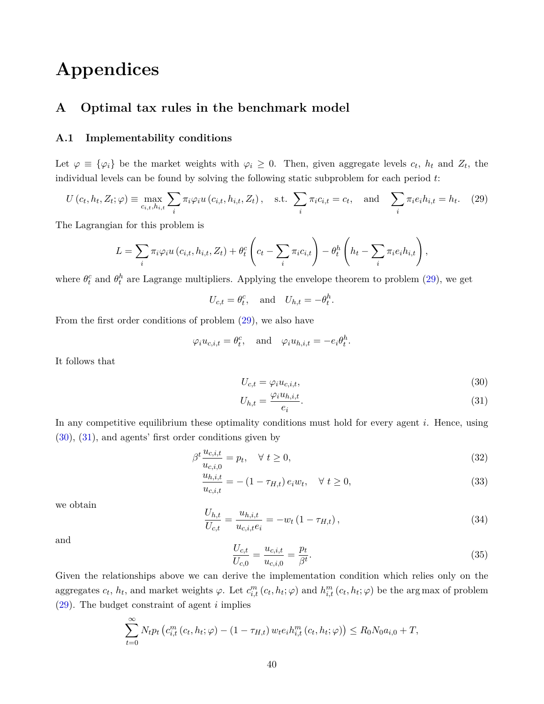# **Appendices**

# <span id="page-39-5"></span>**A Optimal tax rules in the benchmark model**

#### **A.1 Implementability conditions**

Let  $\varphi \equiv {\varphi_i}$  be the market weights with  $\varphi_i \geq 0$ . Then, given aggregate levels  $c_t$ ,  $h_t$  and  $Z_t$ , the individual levels can be found by solving the following static subproblem for each period *t*:

$$
U\left(c_{t}, h_{t}, Z_{t}; \varphi\right) \equiv \max_{c_{i,t}, h_{i,t}} \sum_{i} \pi_{i} \varphi_{i} u\left(c_{i,t}, h_{i,t}, Z_{t}\right), \quad \text{s.t.} \sum_{i} \pi_{i} c_{i,t} = c_{t}, \quad \text{and} \quad \sum_{i} \pi_{i} e_{i} h_{i,t} = h_{t}. \tag{29}
$$

The Lagrangian for this problem is

$$
L = \sum_{i} \pi_i \varphi_i u(c_{i,t}, h_{i,t}, Z_t) + \theta_t^c \left(c_t - \sum_i \pi_i c_{i,t}\right) - \theta_t^h \left(h_t - \sum_i \pi_i e_i h_{i,t}\right),
$$

where  $\theta_t^c$  and  $\theta_t^h$  are Lagrange multipliers. Applying the envelope theorem to problem ([29\)](#page-39-0), we get

<span id="page-39-0"></span> $U_{c,t} = \theta_t^c$ , and  $U_{h,t} = -\theta_t^h$ .

From the first order conditions of problem [\(29](#page-39-0)), we also have

$$
\varphi_i u_{c,i,t} = \theta_t^c
$$
, and  $\varphi_i u_{h,i,t} = -e_i \theta_t^h$ .

It follows that

$$
U_{c,t} = \varphi_i u_{c,i,t},\tag{30}
$$

<span id="page-39-2"></span><span id="page-39-1"></span>
$$
U_{h,t} = \frac{\varphi_i u_{h,i,t}}{e_i}.\tag{31}
$$

In any competitive equilibrium these optimality conditions must hold for every agent *i*. Hence, using ([30\)](#page-39-1), ([31\)](#page-39-2), and agents' first order conditions given by

$$
\beta^t \frac{u_{c,i,t}}{u_{c,i,0}} = p_t, \quad \forall \ t \ge 0,
$$
\n(32)

$$
\frac{u_{h,i,t}}{u_{c,i,t}} = -(1 - \tau_{H,t}) e_i w_t, \quad \forall \ t \ge 0,
$$
\n(33)

<span id="page-39-3"></span>we obtain

$$
\frac{U_{h,t}}{U_{c,t}} = \frac{u_{h,i,t}}{u_{c,i,t}e_i} = -w_t \left(1 - \tau_{H,t}\right),\tag{34}
$$

<span id="page-39-4"></span>and

$$
\frac{U_{c,t}}{U_{c,0}} = \frac{u_{c,i,t}}{u_{c,i,0}} = \frac{p_t}{\beta^t}.
$$
\n(35)

Given the relationships above we can derive the implementation condition which relies only on the aggregates  $c_t$ ,  $h_t$ , and market weights  $\varphi$ . Let  $c_{i,t}^m(c_t, h_t; \varphi)$  and  $h_{i,t}^m(c_t, h_t; \varphi)$  be the arg max of problem ([29\)](#page-39-0). The budget constraint of agent *i* implies

$$
\sum_{t=0}^{\infty} N_t p_t \left( c_{i,t}^m \left( c_t, h_t; \varphi \right) - (1 - \tau_{H,t}) w_t e_i h_{i,t}^m \left( c_t, h_t; \varphi \right) \right) \le R_0 N_0 a_{i,0} + T,
$$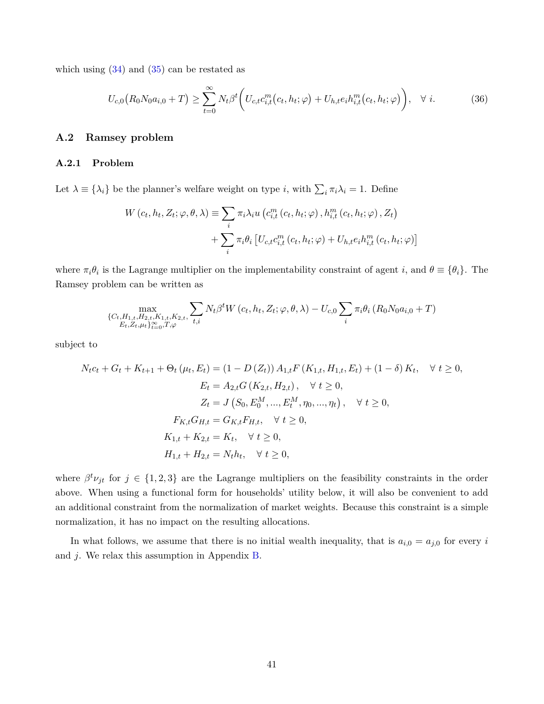which using  $(34)$  $(34)$  and  $(35)$  $(35)$  can be restated as

<span id="page-40-0"></span>
$$
U_{c,0}(R_0N_0a_{i,0}+T) \ge \sum_{t=0}^{\infty} N_t \beta^t \bigg( U_{c,t}c_{i,t}^m(c_t, h_t; \varphi) + U_{h,t}e_i h_{i,t}^m(c_t, h_t; \varphi) \bigg), \quad \forall \ i.
$$
 (36)

## **A.2 Ramsey problem**

#### <span id="page-40-1"></span>**A.2.1 Problem**

Let  $\lambda \equiv {\lambda_i}$  be the planner's welfare weight on type *i*, with  $\sum_i \pi_i \lambda_i = 1$ . Define

$$
W(c_t, h_t, Z_t; \varphi, \theta, \lambda) \equiv \sum_i \pi_i \lambda_i u \left( c_{i,t}^m(c_t, h_t; \varphi), h_{i,t}^m(c_t, h_t; \varphi), Z_t \right)
$$

$$
+ \sum_i \pi_i \theta_i \left[ U_{c,t} c_{i,t}^m(c_t, h_t; \varphi) + U_{h,t} e_i h_{i,t}^m(c_t, h_t; \varphi) \right]
$$

where  $\pi_i \theta_i$  is the Lagrange multiplier on the implementability constraint of agent *i*, and  $\theta \equiv {\theta_i}$ . The Ramsey problem can be written as

$$
\max_{\substack{\{C_{t},H_{1,t},H_{2,t},K_{1,t},K_{2,t},\\E_{t},Z_{t},\mu_{t}\}_{t=0}^{\infty},T,\varphi}} N_{t}\beta^{t}W(c_{t},h_{t},Z_{t};\varphi,\theta,\lambda) - U_{c,0} \sum_{i} \pi_{i}\theta_{i} (R_{0}N_{0}a_{i,0}+T)
$$

subject to

$$
N_t c_t + G_t + K_{t+1} + \Theta_t (\mu_t, E_t) = (1 - D(Z_t)) A_{1,t} F(K_{1,t}, H_{1,t}, E_t) + (1 - \delta) K_t, \quad \forall \ t \ge 0,
$$
  
\n
$$
E_t = A_{2,t} G(K_{2,t}, H_{2,t}), \quad \forall \ t \ge 0,
$$
  
\n
$$
Z_t = J(S_0, E_0^M, ..., E_t^M, \eta_0, ..., \eta_t), \quad \forall \ t \ge 0,
$$
  
\n
$$
F_{K,t} G_{H,t} = G_{K,t} F_{H,t}, \quad \forall \ t \ge 0,
$$
  
\n
$$
K_{1,t} + K_{2,t} = K_t, \quad \forall \ t \ge 0,
$$
  
\n
$$
H_{1,t} + H_{2,t} = N_t h_t, \quad \forall \ t \ge 0,
$$

where  $\beta^t \nu_{jt}$  for  $j \in \{1,2,3\}$  are the Lagrange multipliers on the feasibility constraints in the order above. When using a functional form for households' utility below, it will also be convenient to add an additional constraint from the normalization of market weights. Because this constraint is a simple normalization, it has no impact on the resulting allocations.

In what follows, we assume that there is no initial wealth inequality, that is  $a_{i,0} = a_{j,0}$  for every *i* and *j*. We relax this assumption in Appendix [B.](#page-49-0)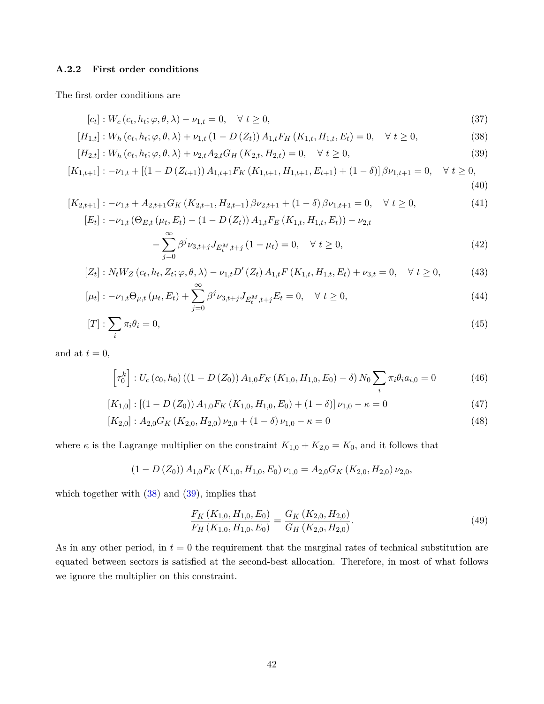## **A.2.2 First order conditions**

The first order conditions are

<span id="page-41-3"></span><span id="page-41-2"></span><span id="page-41-1"></span><span id="page-41-0"></span>
$$
[c_t] : W_c(c_t, h_t; \varphi, \theta, \lambda) - \nu_{1,t} = 0, \quad \forall \ t \ge 0,
$$
\n
$$
(37)
$$

$$
[H_{1,t}] : W_h(c_t, h_t; \varphi, \theta, \lambda) + \nu_{1,t} (1 - D(Z_t)) A_{1,t} F_H(K_{1,t}, H_{1,t}, E_t) = 0, \quad \forall \ t \ge 0,
$$
\n(38)

$$
[H_{2,t}]: W_h(c_t, h_t; \varphi, \theta, \lambda) + \nu_{2,t} A_{2,t} G_H(K_{2,t}, H_{2,t}) = 0, \quad \forall \ t \ge 0,
$$
\n(39)

$$
[K_{1,t+1}] : -\nu_{1,t} + \left[ (1 - D(Z_{t+1})) A_{1,t+1} F_K\left( K_{1,t+1}, H_{1,t+1}, E_{t+1} \right) + (1 - \delta) \right] \beta \nu_{1,t+1} = 0, \quad \forall \ t \ge 0,
$$
\n
$$
\tag{40}
$$

$$
[K_{2,t+1}] : -\nu_{1,t} + A_{2,t+1}G_K(K_{2,t+1}, H_{2,t+1})\beta\nu_{2,t+1} + (1 - \delta)\beta\nu_{1,t+1} = 0, \quad \forall \ t \ge 0,
$$
\n
$$
[E_t] : -\nu_{1,t}(\Theta_{E,t}(\mu_t, E_t) - (1 - D(Z_t))A_{1,t}F_E(K_{1,t}, H_{1,t}, E_t)) - \nu_{2,t}
$$
\n
$$
- \sum_{j=0}^{\infty} \beta^j \nu_{3,t+j} J_{E_t^M, t+j} (1 - \mu_t) = 0, \quad \forall \ t \ge 0,
$$
\n
$$
(42)
$$

$$
[Z_t]: N_t W_Z(c_t, h_t, Z_t; \varphi, \theta, \lambda) - \nu_{1,t} D'(Z_t) A_{1,t} F(K_{1,t}, H_{1,t}, E_t) + \nu_{3,t} = 0, \quad \forall \ t \ge 0,
$$
 (43)

$$
[\mu_t] : -\nu_{1,t} \Theta_{\mu,t} \left(\mu_t, E_t\right) + \sum_{j=0}^{\infty} \beta^j \nu_{3,t+j} J_{E_t^M, t+j} E_t = 0, \quad \forall \ t \ge 0,
$$
\n(44)

$$
[T]: \sum_{i} \pi_i \theta_i = 0,\tag{45}
$$

and at  $t = 0$ ,

<span id="page-41-6"></span>
$$
\left[\tau_0^k\right]: U_c\left(c_0, h_0\right) \left(\left(1 - D\left(Z_0\right)\right) A_{1,0} F_K\left(K_{1,0}, H_{1,0}, E_0\right) - \delta\right) N_0 \sum_i \pi_i \theta_i a_{i,0} = 0 \tag{46}
$$

$$
[K_{1,0}] : [(1 - D(Z_0)) A_{1,0} F_K (K_{1,0}, H_{1,0}, E_0) + (1 - \delta)] \nu_{1,0} - \kappa = 0 \tag{47}
$$

$$
[K_{2,0}]: A_{2,0}G_K(K_{2,0}, H_{2,0})\nu_{2,0} + (1 - \delta)\nu_{1,0} - \kappa = 0 \tag{48}
$$

where *κ* is the Lagrange multiplier on the constraint  $K_{1,0} + K_{2,0} = K_0$ , and it follows that

$$
(1 - D(Z_0)) A_{1,0} F_K(K_{1,0}, H_{1,0}, E_0) \nu_{1,0} = A_{2,0} G_K(K_{2,0}, H_{2,0}) \nu_{2,0},
$$

which together with ([38\)](#page-41-0) and ([39\)](#page-41-1), implies that

<span id="page-41-7"></span><span id="page-41-5"></span><span id="page-41-4"></span>
$$
\frac{F_K\left(K_{1,0}, H_{1,0}, E_0\right)}{F_H\left(K_{1,0}, H_{1,0}, E_0\right)} = \frac{G_K\left(K_{2,0}, H_{2,0}\right)}{G_H\left(K_{2,0}, H_{2,0}\right)}.\tag{49}
$$

As in any other period, in  $t = 0$  the requirement that the marginal rates of technical substitution are equated between sectors is satisfied at the second-best allocation. Therefore, in most of what follows we ignore the multiplier on this constraint.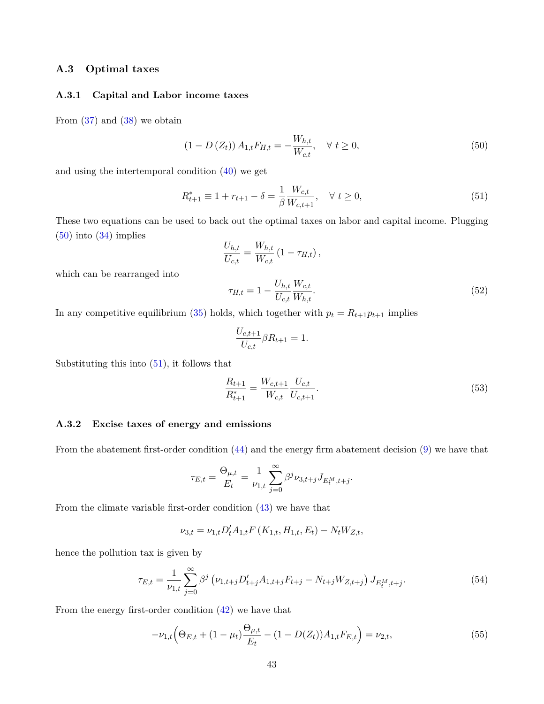## **A.3 Optimal taxes**

#### **A.3.1 Capital and Labor income taxes**

From [\(37](#page-41-2)) and ([38](#page-41-0)) we obtain

<span id="page-42-1"></span><span id="page-42-0"></span>
$$
(1 - D(Z_t)) A_{1,t} F_{H,t} = -\frac{W_{h,t}}{W_{c,t}}, \quad \forall \ t \ge 0,
$$
\n(50)

and using the intertemporal condition ([40](#page-41-3)) we get

$$
R_{t+1}^* \equiv 1 + r_{t+1} - \delta = \frac{1}{\beta} \frac{W_{c,t}}{W_{c,t+1}}, \quad \forall \ t \ge 0,
$$
\n(51)

These two equations can be used to back out the optimal taxes on labor and capital income. Plugging ([50\)](#page-42-0) into ([34\)](#page-39-3) implies

<span id="page-42-3"></span>
$$
\frac{U_{h,t}}{U_{c,t}} = \frac{W_{h,t}}{W_{c,t}} (1 - \tau_{H,t}),
$$

which can be rearranged into

$$
\tau_{H,t} = 1 - \frac{U_{h,t}}{U_{c,t}} \frac{W_{c,t}}{W_{h,t}}.\tag{52}
$$

In any competitive equilibrium ([35\)](#page-39-4) holds, which together with  $p_t = R_{t+1}p_{t+1}$  implies

<span id="page-42-4"></span>
$$
\frac{U_{c,t+1}}{U_{c,t}} \beta R_{t+1} = 1.
$$

Substituting this into  $(51)$  $(51)$ , it follows that

$$
\frac{R_{t+1}}{R_{t+1}^*} = \frac{W_{c,t+1}}{W_{c,t}} \frac{U_{c,t}}{U_{c,t+1}}.
$$
\n(53)

#### **A.3.2 Excise taxes of energy and emissions**

From the abatement first-order condition ([44](#page-41-4)) and the energy firm abatement decision ([9](#page-7-0)) we have that

$$
\tau_{E,t} = \frac{\Theta_{\mu,t}}{E_t} = \frac{1}{\nu_{1,t}} \sum_{j=0}^{\infty} \beta^j \nu_{3,t+j} J_{E_t^M,t+j}.
$$

From the climate variable first-order condition [\(43](#page-41-5)) we have that

<span id="page-42-5"></span><span id="page-42-2"></span>
$$
\nu_{3,t} = \nu_{1,t} D_t' A_{1,t} F(K_{1,t}, H_{1,t}, E_t) - N_t W_{Z,t},
$$

hence the pollution tax is given by

$$
\tau_{E,t} = \frac{1}{\nu_{1,t}} \sum_{j=0}^{\infty} \beta^j \left( \nu_{1,t+j} D'_{t+j} A_{1,t+j} F_{t+j} - N_{t+j} W_{Z,t+j} \right) J_{E_t^M, t+j}.
$$
\n(54)

From the energy first-order condition ([42\)](#page-41-6) we have that

$$
-\nu_{1,t}\left(\Theta_{E,t} + (1 - \mu_t)\frac{\Theta_{\mu,t}}{E_t} - (1 - D(Z_t))A_{1,t}F_{E,t}\right) = \nu_{2,t},\tag{55}
$$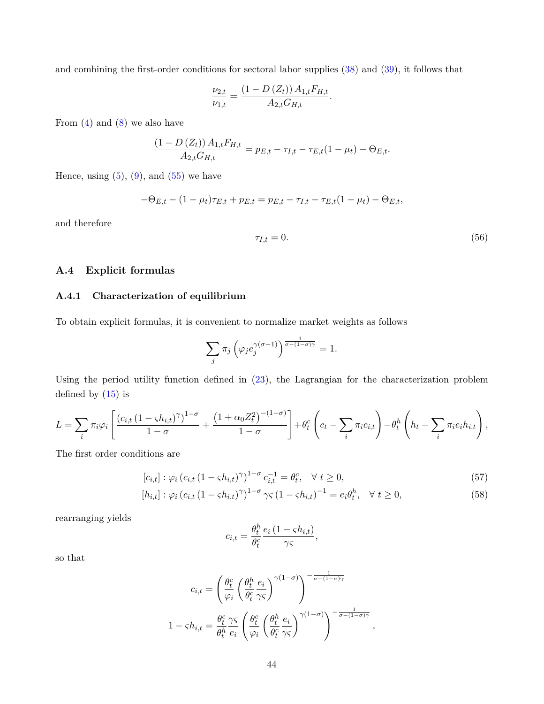and combining the first-order conditions for sectoral labor supplies ([38\)](#page-41-0) and ([39\)](#page-41-1), it follows that

$$
\frac{\nu_{2,t}}{\nu_{1,t}} = \frac{(1 - D(Z_t)) A_{1,t} F_{H,t}}{A_{2,t} G_{H,t}}.
$$

From  $(4)$  and  $(8)$  we also have

$$
\frac{(1 - D(Z_t)) A_{1,t} F_{H,t}}{A_{2,t} G_{H,t}} = p_{E,t} - \tau_{I,t} - \tau_{E,t} (1 - \mu_t) - \Theta_{E,t}.
$$

Hence, using  $(5)$  $(5)$  $(5)$ ,  $(9)$ , and  $(55)$  $(55)$  we have

$$
-\Theta_{E,t} - (1 - \mu_t)\tau_{E,t} + p_{E,t} = p_{E,t} - \tau_{I,t} - \tau_{E,t}(1 - \mu_t) - \Theta_{E,t},
$$

and therefore

$$
\tau_{I,t} = 0.\tag{56}
$$

*,*

## **A.4 Explicit formulas**

#### **A.4.1 Characterization of equilibrium**

To obtain explicit formulas, it is convenient to normalize market weights as follows

$$
\sum_{j} \pi_{j} \left( \varphi_{j} e_{j}^{\gamma(\sigma-1)} \right)^{\frac{1}{\sigma - (1-\sigma)\gamma}} = 1.
$$

Using the period utility function defined in [\(23](#page-14-0)), the Lagrangian for the characterization problem defined by  $(15)$  $(15)$  is

$$
L = \sum_{i} \pi_i \varphi_i \left[ \frac{(c_{i,t} (1 - \varsigma h_{i,t})^{\gamma})^{1-\sigma}}{1-\sigma} + \frac{(1 + \alpha_0 Z_t^2)^{-(1-\sigma)}}{1-\sigma} \right] + \theta_t^c \left( c_t - \sum_i \pi_i c_{i,t} \right) - \theta_t^h \left( h_t - \sum_i \pi_i e_i h_{i,t} \right),
$$

The first order conditions are

$$
[c_{i,t}] : \varphi_i (c_{i,t} (1 - \varsigma h_{i,t})^{\gamma})^{1-\sigma} c_{i,t}^{-1} = \theta_t^c, \quad \forall \ t \ge 0,
$$
\n(57)

$$
[h_{i,t}] : \varphi_i (c_{i,t} (1 - \varsigma h_{i,t})^{\gamma})^{1-\sigma} \gamma \varsigma (1 - \varsigma h_{i,t})^{-1} = e_i \theta_t^h, \quad \forall \ t \ge 0,
$$
\n(58)

rearranging yields

$$
c_{i,t} = \frac{\theta_t^h}{\theta_t^c} \frac{e_i (1 - \varsigma h_{i,t})}{\gamma \varsigma},
$$

so that

$$
c_{i,t} = \left(\frac{\theta_t^c}{\varphi_i} \left(\frac{\theta_t^h}{\theta_t^c} \frac{e_i}{\gamma \varsigma}\right)^{\gamma(1-\sigma)}\right)^{-\frac{1}{\sigma - (1-\sigma)\gamma}}
$$

$$
1 - \varsigma h_{i,t} = \frac{\theta_t^c}{\theta_t^h} \frac{\gamma \varsigma}{e_i} \left(\frac{\theta_t^c}{\varphi_i} \left(\frac{\theta_t^h}{\theta_t^c} \frac{e_i}{\gamma \varsigma}\right)^{\gamma(1-\sigma)}\right)^{-\frac{1}{\sigma - (1-\sigma)\gamma}}
$$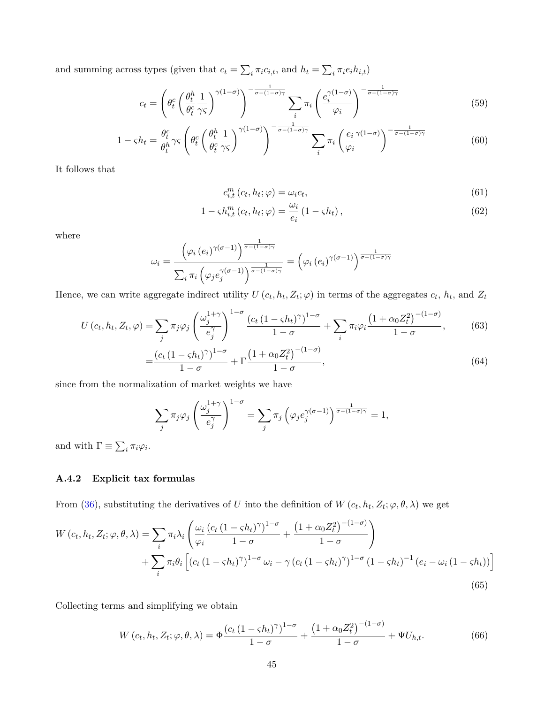and summing across types (given that  $c_t = \sum_i \pi_i c_{i,t}$ , and  $h_t = \sum_i \pi_i e_i h_{i,t}$ )

$$
c_t = \left(\theta_t^c \left(\frac{\theta_t^h}{\theta_t^c} \frac{1}{\gamma \varsigma}\right)^{\gamma(1-\sigma)}\right)^{-\frac{1}{\sigma - (1-\sigma)\gamma}} \sum_i \pi_i \left(\frac{e_i^{\gamma(1-\sigma)}}{\varphi_i}\right)^{-\frac{1}{\sigma - (1-\sigma)\gamma}}
$$
(59)

$$
1 - \varsigma h_t = \frac{\theta_t^c}{\theta_t^h} \gamma \varsigma \left( \theta_t^c \left( \frac{\theta_t^h}{\theta_t^c} \frac{1}{\gamma \varsigma} \right)^{\gamma (1 - \sigma)} \right)^{-\frac{1}{\sigma - (1 - \sigma)\gamma}} \sum_i \pi_i \left( \frac{e_i}{\varphi_i}^{\gamma (1 - \sigma)} \right)^{-\frac{1}{\sigma - (1 - \sigma)\gamma}} \tag{60}
$$

It follows that

$$
c_{i,t}^m(c_t, h_t; \varphi) = \omega_i c_t,\tag{61}
$$

$$
1 - \varsigma h_{i,t}^{m} \left( c_{t}, h_{t}; \varphi \right) = \frac{\omega_{i}}{e_{i}} \left( 1 - \varsigma h_{t} \right), \tag{62}
$$

where

$$
\omega_i = \frac{\left(\varphi_i\left(e_i\right)^{\gamma(\sigma-1)}\right)^{\frac{1}{\sigma-(1-\sigma)\gamma}}}{\sum_i \pi_i \left(\varphi_j e_j^{\gamma(\sigma-1)}\right)^{\frac{1}{\sigma-(1-\sigma)\gamma}}} = \left(\varphi_i\left(e_i\right)^{\gamma(\sigma-1)}\right)^{\frac{1}{\sigma-(1-\sigma)\gamma}}
$$

Hence, we can write aggregate indirect utility  $U(c_t, h_t, Z_t; \varphi)$  in terms of the aggregates  $c_t, h_t$ , and  $Z_t$ 

$$
U\left(c_{t}, h_{t}, Z_{t}, \varphi\right) = \sum_{j} \pi_{j} \varphi_{j} \left(\frac{\omega_{j}^{1+\gamma}}{e_{j}^{\gamma}}\right)^{1-\sigma} \frac{\left(c_{t} \left(1-\varsigma h_{t}\right)^{\gamma}\right)^{1-\sigma}}{1-\sigma} + \sum_{i} \pi_{i} \varphi_{i} \frac{\left(1+\alpha_{0} Z_{t}^{2}\right)^{-(1-\sigma)}}{1-\sigma},\tag{63}
$$
\n
$$
\left(c_{t} \left(1-\varsigma h_{t}\right)^{\gamma}\right)^{1-\sigma} \prod_{i} \left(1+\alpha_{0} Z_{t}^{2}\right)^{-(1-\sigma)}\tag{64}
$$

$$
=\frac{(c_t(1-\varsigma h_t)^{\gamma})^{1-\sigma}}{1-\sigma} + \Gamma \frac{(1+\alpha_0 Z_t^2)^{-(1-\sigma)}}{1-\sigma},
$$
\n(64)

since from the normalization of market weights we have

$$
\sum_{j} \pi_{j} \varphi_{j} \left( \frac{\omega_{j}^{1+\gamma}}{e_{j}^{\gamma}} \right)^{1-\sigma} = \sum_{j} \pi_{j} \left( \varphi_{j} e_{j}^{\gamma(\sigma-1)} \right)^{\frac{1}{\sigma - (1-\sigma)\gamma}} = 1,
$$

and with  $\Gamma \equiv \sum_i \pi_i \varphi_i$ .

# **A.4.2 Explicit tax formulas**

From [\(36](#page-40-0)), substituting the derivatives of *U* into the definition of  $W(c_t, h_t, Z_t; \varphi, \theta, \lambda)$  we get

$$
W\left(c_{t}, h_{t}, Z_{t}; \varphi, \theta, \lambda\right) = \sum_{i} \pi_{i} \lambda_{i} \left( \frac{\omega_{i}}{\varphi_{i}} \frac{\left(c_{t} \left(1 - \varsigma h_{t}\right)^{\gamma}\right)^{1 - \sigma}}{1 - \sigma} + \frac{\left(1 + \alpha_{0} Z_{t}^{2}\right)^{-(1 - \sigma)}}{1 - \sigma} \right) + \sum_{i} \pi_{i} \theta_{i} \left[ \left(c_{t} \left(1 - \varsigma h_{t}\right)^{\gamma}\right)^{1 - \sigma} \omega_{i} - \gamma \left(c_{t} \left(1 - \varsigma h_{t}\right)^{\gamma}\right)^{1 - \sigma} \left(1 - \varsigma h_{t}\right)^{-1} \left(e_{i} - \omega_{i} \left(1 - \varsigma h_{t}\right)\right) \right] \tag{65}
$$

Collecting terms and simplifying we obtain

$$
W(c_t, h_t, Z_t; \varphi, \theta, \lambda) = \Phi \frac{\left(c_t \left(1 - \varsigma h_t\right)^{\gamma}\right)^{1 - \sigma}}{1 - \sigma} + \frac{\left(1 + \alpha_0 Z_t^2\right)^{-(1 - \sigma)}}{1 - \sigma} + \Psi U_{h, t}.
$$
\n(66)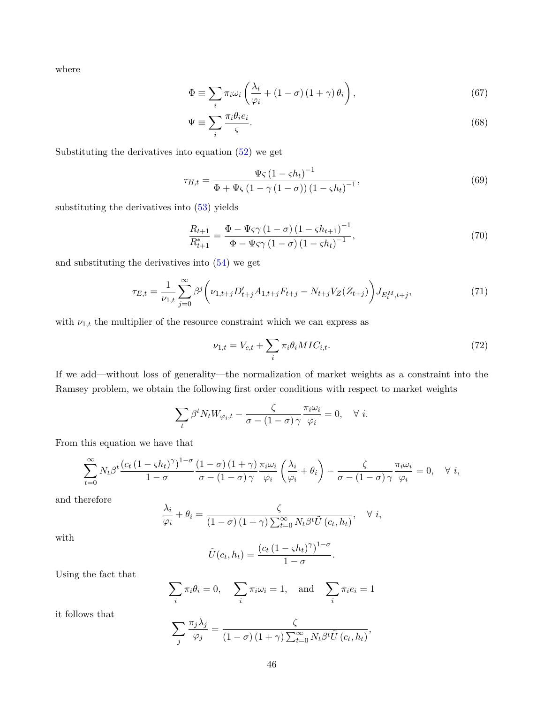where

$$
\Phi \equiv \sum_{i} \pi_{i} \omega_{i} \left( \frac{\lambda_{i}}{\varphi_{i}} + (1 - \sigma) (1 + \gamma) \theta_{i} \right), \qquad (67)
$$

$$
\Psi \equiv \sum_{i} \frac{\pi_i \theta_i e_i}{\varsigma}.\tag{68}
$$

Substituting the derivatives into equation ([52\)](#page-42-3) we get

$$
\tau_{H,t} = \frac{\Psi \varsigma \left(1 - \varsigma h_{t}\right)^{-1}}{\Phi + \Psi \varsigma \left(1 - \gamma \left(1 - \sigma\right)\right) \left(1 - \varsigma h_{t}\right)^{-1}},\tag{69}
$$

substituting the derivatives into ([53](#page-42-4)) yields

<span id="page-45-0"></span>
$$
\frac{R_{t+1}}{R_{t+1}^*} = \frac{\Phi - \Psi \varsigma \gamma \left(1 - \sigma\right) \left(1 - \varsigma h_{t+1}\right)^{-1}}{\Phi - \Psi \varsigma \gamma \left(1 - \sigma\right) \left(1 - \varsigma h_t\right)^{-1}},\tag{70}
$$

and substituting the derivatives into ([54\)](#page-42-5) we get

$$
\tau_{E,t} = \frac{1}{\nu_{1,t}} \sum_{j=0}^{\infty} \beta^j \left( \nu_{1,t+j} D'_{t+j} A_{1,t+j} F_{t+j} - N_{t+j} V_Z(Z_{t+j}) \right) J_{E_t^M, t+j},\tag{71}
$$

with  $\nu_{1,t}$  the multiplier of the resource constraint which we can express as

$$
\nu_{1,t} = V_{c,t} + \sum_{i} \pi_i \theta_i MIC_{i,t}.\tag{72}
$$

*.*

If we add—without loss of generality—the normalization of market weights as a constraint into the Ramsey problem, we obtain the following first order conditions with respect to market weights

$$
\sum_{t} \beta^{t} N_{t} W_{\varphi_{i},t} - \frac{\zeta}{\sigma - (1 - \sigma) \gamma} \frac{\pi_{i} \omega_{i}}{\varphi_{i}} = 0, \quad \forall \ i.
$$

From this equation we have that

$$
\sum_{t=0}^{\infty} N_t \beta^t \frac{\left(c_t \left(1 - \varsigma h_t\right)^{\gamma}\right)^{1-\sigma}}{1-\sigma} \frac{\left(1-\sigma\right)\left(1+\gamma\right)}{\sigma - \left(1-\sigma\right)\gamma} \frac{\pi_i \omega_i}{\varphi_i} \left(\frac{\lambda_i}{\varphi_i} + \theta_i\right) - \frac{\zeta}{\sigma - \left(1-\sigma\right)\gamma} \frac{\pi_i \omega_i}{\varphi_i} = 0, \quad \forall i,
$$

and therefore

$$
\frac{\lambda_i}{\varphi_i} + \theta_i = \frac{\zeta}{(1-\sigma)(1+\gamma)\sum_{t=0}^{\infty} N_t \beta^t \tilde{U}(c_t, h_t)}, \quad \forall i,
$$

with

$$
\tilde{U}(c_t, h_t) = \frac{(c_t (1 - \varsigma h_t)^{\gamma})^{1 - \sigma}}{1 - \sigma}
$$

Using the fact that

$$
\sum_{i} \pi_i \theta_i = 0, \quad \sum_{i} \pi_i \omega_i = 1, \quad \text{and} \quad \sum_{i} \pi_i e_i = 1
$$

it follows that

$$
\sum_{j} \frac{\pi_j \lambda_j}{\varphi_j} = \frac{\zeta}{(1-\sigma)(1+\gamma) \sum_{t=0}^{\infty} N_t \beta^t \tilde{U}(c_t, h_t)},
$$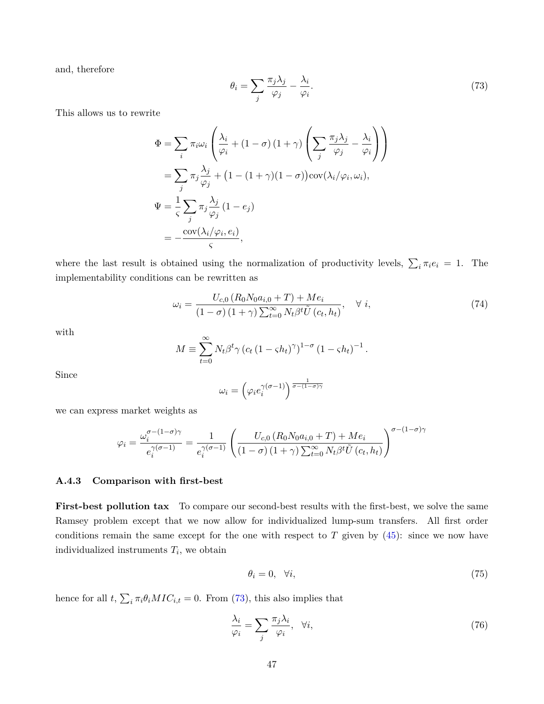<span id="page-46-0"></span>and, therefore

$$
\theta_i = \sum_j \frac{\pi_j \lambda_j}{\varphi_j} - \frac{\lambda_i}{\varphi_i}.\tag{73}
$$

This allows us to rewrite

$$
\Phi = \sum_{i} \pi_{i} \omega_{i} \left( \frac{\lambda_{i}}{\varphi_{i}} + (1 - \sigma) (1 + \gamma) \left( \sum_{j} \frac{\pi_{j} \lambda_{j}}{\varphi_{j}} - \frac{\lambda_{i}}{\varphi_{i}} \right) \right)
$$
  
\n
$$
= \sum_{j} \pi_{j} \frac{\lambda_{j}}{\varphi_{j}} + (1 - (1 + \gamma) (1 - \sigma)) \text{cov}(\lambda_{i} / \varphi_{i}, \omega_{i}),
$$
  
\n
$$
\Psi = \frac{1}{\varsigma} \sum_{j} \pi_{j} \frac{\lambda_{j}}{\varphi_{j}} (1 - e_{j})
$$
  
\n
$$
= -\frac{\text{cov}(\lambda_{i} / \varphi_{i}, e_{i})}{\varsigma},
$$

where the last result is obtained using the normalization of productivity levels,  $\sum_i \pi_i e_i = 1$ . The implementability conditions can be rewritten as

<span id="page-46-1"></span>
$$
\omega_i = \frac{U_{c,0} \left( R_0 N_0 a_{i,0} + T \right) + Me_i}{\left( 1 - \sigma \right) \left( 1 + \gamma \right) \sum_{t=0}^{\infty} N_t \beta^t \tilde{U} \left( c_t, h_t \right)}, \quad \forall i,
$$
\n
$$
(74)
$$

with

$$
M \equiv \sum_{t=0}^{\infty} N_t \beta^t \gamma \left( c_t \left( 1 - \varsigma h_t \right)^{\gamma} \right)^{1-\sigma} \left( 1 - \varsigma h_t \right)^{-1}.
$$

Since

$$
\omega_i = \left(\varphi_i e_i^{\gamma(\sigma - 1)}\right)^{\frac{1}{\sigma - (1 - \sigma)\gamma}}
$$

we can express market weights as

$$
\varphi_i = \frac{\omega_i^{\sigma - (1 - \sigma)\gamma}}{e_i^{\gamma(\sigma - 1)}} = \frac{1}{e_i^{\gamma(\sigma - 1)}} \left( \frac{U_{c,0} \left( R_0 N_0 a_{i,0} + T \right) + Me_i}{\left( 1 - \sigma \right) \left( 1 + \gamma \right) \sum_{t=0}^{\infty} N_t \beta^t \tilde{U} \left( c_t, h_t \right)} \right)^{\sigma - (1 - \sigma)\gamma}
$$

#### **A.4.3 Comparison with first-best**

**First-best pollution tax** To compare our second-best results with the first-best, we solve the same Ramsey problem except that we now allow for individualized lump-sum transfers. All first order conditions remain the same except for the one with respect to  $T$  given by  $(45)$  $(45)$ : since we now have individualized instruments *T<sup>i</sup>* , we obtain

$$
\theta_i = 0, \quad \forall i,
$$
\n<sup>(75)</sup>

hence for all  $t$ ,  $\sum_{i} \pi_i \theta_i MIC_{i,t} = 0$ . From ([73\)](#page-46-0), this also implies that

$$
\frac{\lambda_i}{\varphi_i} = \sum_j \frac{\pi_j \lambda_i}{\varphi_i}, \quad \forall i,
$$
\n(76)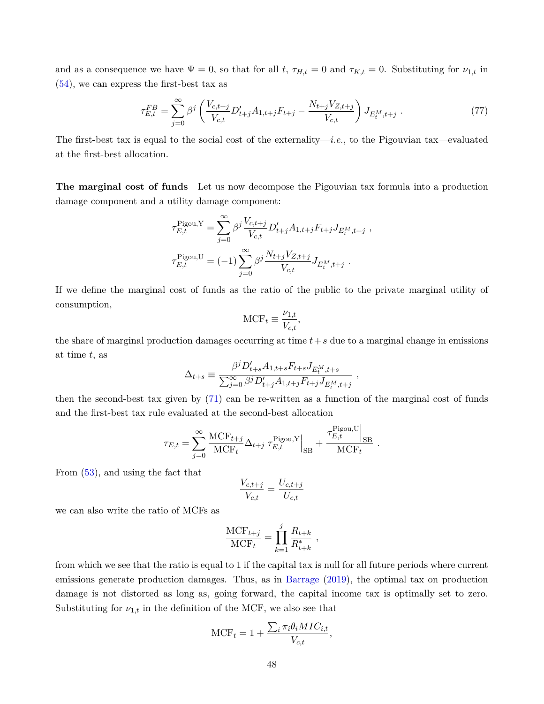and as a consequence we have  $\Psi = 0$ , so that for all *t*,  $\tau_{H,t} = 0$  and  $\tau_{K,t} = 0$ . Substituting for  $\nu_{1,t}$  in ([54\)](#page-42-5), we can express the first-best tax as

$$
\tau_{E,t}^{FB} = \sum_{j=0}^{\infty} \beta^j \left( \frac{V_{c,t+j}}{V_{c,t}} D'_{t+j} A_{1,t+j} F_{t+j} - \frac{N_{t+j} V_{Z,t+j}}{V_{c,t}} \right) J_{E_t^M, t+j} \tag{77}
$$

The first-best tax is equal to the social cost of the externality—*i.e.*, to the Pigouvian tax—evaluated at the first-best allocation.

**The marginal cost of funds** Let us now decompose the Pigouvian tax formula into a production damage component and a utility damage component:

$$
\tau_{E,t}^{\text{Pigou},Y} = \sum_{j=0}^{\infty} \beta^j \frac{V_{c,t+j}}{V_{c,t}} D'_{t+j} A_{1,t+j} F_{t+j} J_{E_t^M, t+j} ,
$$
  

$$
\tau_{E,t}^{\text{Pigou},U} = (-1) \sum_{j=0}^{\infty} \beta^j \frac{N_{t+j} V_{Z,t+j}}{V_{c,t}} J_{E_t^M, t+j} .
$$

If we define the marginal cost of funds as the ratio of the public to the private marginal utility of consumption,

$$
\text{MCF}_t \equiv \frac{\nu_{1,t}}{V_{c,t}},
$$

the share of marginal production damages occurring at time *t*+*s* due to a marginal change in emissions at time *t*, as

$$
\Delta_{t+s} \equiv \frac{\beta^j D'_{t+s} A_{1,t+s} F_{t+s} J_{E_t^M,t+s}}{\sum_{j=0}^{\infty} \beta^j D'_{t+j} A_{1,t+j} F_{t+j} J_{E_t^M,t+j}} \ ,
$$

then the second-best tax given by ([71](#page-45-0)) can be re-written as a function of the marginal cost of funds and the first-best tax rule evaluated at the second-best allocation

$$
\tau_{E,t} = \sum_{j=0}^{\infty} \frac{\text{MCF}_{t+j}}{\text{MCF}_{t}} \Delta_{t+j} \left. \tau_{E,t}^{\text{Pigou,Y}} \right|_{\text{SB}} + \frac{\tau_{E,t}^{\text{Pigou,U}}\Big|_{\text{SB}}}{\text{MCF}_{t}}
$$

*.*

From [\(53](#page-42-4)), and using the fact that

$$
\frac{V_{c,t+j}}{V_{c,t}} = \frac{U_{c,t+j}}{U_{c,t}}
$$

we can also write the ratio of MCFs as

$$
\frac{\text{MCF}_{t+j}}{\text{MCF}_{t}} = \prod_{k=1}^{j} \frac{R_{t+k}}{R_{t+k}^{*}} ,
$$

from which we see that the ratio is equal to 1 if the capital tax is null for all future periods where current emissions generate production damages. Thus, as in [Barrage](#page-35-0) [\(2019\)](#page-35-0), the optimal tax on production damage is not distorted as long as, going forward, the capital income tax is optimally set to zero. Substituting for  $\nu_{1,t}$  in the definition of the MCF, we also see that

$$
\text{MCF}_t = 1 + \frac{\sum_i \pi_i \theta_i MIC_{i,t}}{V_{c,t}},
$$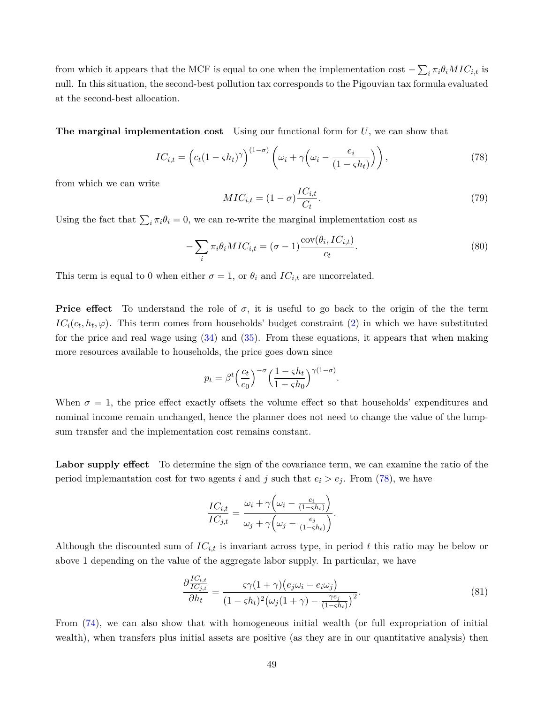from which it appears that the MCF is equal to one when the implementation cost  $-\sum_i \pi_i \theta_i MIC_{i,t}$  is null. In this situation, the second-best pollution tax corresponds to the Pigouvian tax formula evaluated at the second-best allocation.

**The marginal implementation cost** Using our functional form for *U*, we can show that

$$
IC_{i,t} = \left( c_t (1 - \varsigma h_t)^\gamma \right)^{(1 - \sigma)} \left( \omega_i + \gamma \left( \omega_i - \frac{e_i}{(1 - \varsigma h_t)} \right) \right),\tag{78}
$$

from which we can write

<span id="page-48-0"></span>
$$
MIC_{i,t} = (1 - \sigma) \frac{IC_{i,t}}{C_t}.
$$
\n
$$
(79)
$$

Using the fact that  $\sum_i \pi_i \theta_i = 0$ , we can re-write the marginal implementation cost as

$$
-\sum_{i} \pi_i \theta_i MIC_{i,t} = (\sigma - 1) \frac{\text{cov}(\theta_i, IC_{i,t})}{c_t}.
$$
\n(80)

<span id="page-48-2"></span><span id="page-48-1"></span>*.*

This term is equal to 0 when either  $\sigma = 1$ , or  $\theta_i$  and  $IC_{i,t}$  are uncorrelated.

 $\overline{I}$ 

**Price effect** To understand the role of  $\sigma$ , it is useful to go back to the origin of the term  $IC_i(c_t, h_t, \varphi)$ . This term comes from households' budget constraint ([2](#page-6-2)) in which we have substituted for the price and real wage using ([34\)](#page-39-3) and [\(35](#page-39-4)). From these equations, it appears that when making more resources available to households, the price goes down since

$$
p_t = \beta^t \left(\frac{c_t}{c_0}\right)^{-\sigma} \left(\frac{1 - \varsigma h_t}{1 - \varsigma h_0}\right)^{\gamma(1 - \sigma)}
$$

When  $\sigma = 1$ , the price effect exactly offsets the volume effect so that households' expenditures and nominal income remain unchanged, hence the planner does not need to change the value of the lumpsum transfer and the implementation cost remains constant.

**Labor supply effect** To determine the sign of the covariance term, we can examine the ratio of the period implemantation cost for two agents *i* and *j* such that  $e_i > e_j$ . From [\(78](#page-48-0)), we have

$$
\frac{IC_{i,t}}{IC_{j,t}} = \frac{\omega_i + \gamma \left(\omega_i - \frac{e_i}{(1-\varsigma h_t)}\right)}{\omega_j + \gamma \left(\omega_j - \frac{e_j}{(1-\varsigma h_t)}\right)}.
$$

Although the discounted sum of *ICi,t* is invariant across type, in period *t* this ratio may be below or above 1 depending on the value of the aggregate labor supply. In particular, we have

$$
\frac{\partial \frac{IC_{i,t}}{IC_{j,t}}}{\partial h_t} = \frac{\varsigma \gamma (1+\gamma) \left(e_j \omega_i - e_i \omega_j\right)}{(1-\varsigma h_t)^2 \left(\omega_j (1+\gamma) - \frac{\gamma e_j}{(1-\varsigma h_t)}\right)^2}.
$$
\n(81)

From ([74\)](#page-46-1), we can also show that with homogeneous initial wealth (or full expropriation of initial wealth), when transfers plus initial assets are positive (as they are in our quantitative analysis) then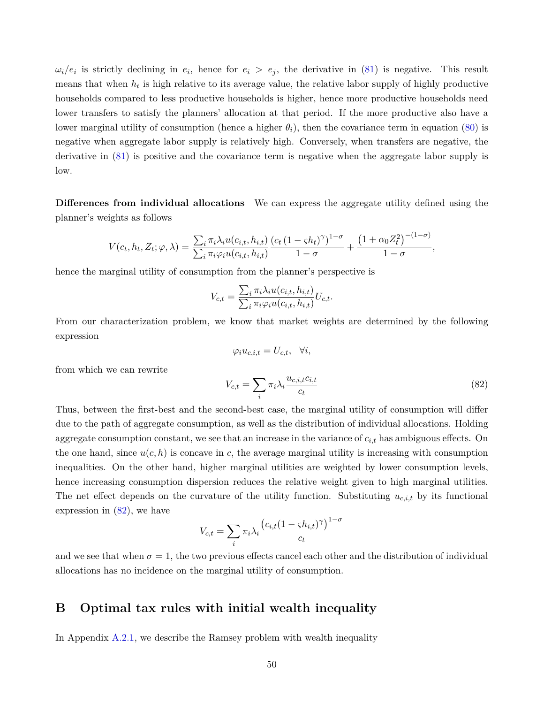$\omega_i/e_i$  is strictly declining in  $e_i$ , hence for  $e_i > e_j$ , the derivative in ([81\)](#page-48-1) is negative. This result means that when  $h_t$  is high relative to its average value, the relative labor supply of highly productive households compared to less productive households is higher, hence more productive households need lower transfers to satisfy the planners' allocation at that period. If the more productive also have a lower marginal utility of consumption (hence a higher  $\theta_i$ ), then the covariance term in equation ([80\)](#page-48-2) is negative when aggregate labor supply is relatively high. Conversely, when transfers are negative, the derivative in ([81\)](#page-48-1) is positive and the covariance term is negative when the aggregate labor supply is low.

**Differences from individual allocations** We can express the aggregate utility defined using the planner's weights as follows

$$
V(c_t, h_t, Z_t; \varphi, \lambda) = \frac{\sum_i \pi_i \lambda_i u(c_{i,t}, h_{i,t})}{\sum_i \pi_i \varphi_i u(c_{i,t}, h_{i,t})} \frac{(c_t (1 - \varsigma h_t)^{\gamma})^{1 - \sigma}}{1 - \sigma} + \frac{\left(1 + \alpha_0 Z_t^2\right)^{-(1 - \sigma)}}{1 - \sigma},
$$

hence the marginal utility of consumption from the planner's perspective is

from which we can rewrite

$$
V_{c,t} = \frac{\sum_{i} \pi_i \lambda_i u(c_{i,t}, h_{i,t})}{\sum_{i} \pi_i \varphi_i u(c_{i,t}, h_{i,t})} U_{c,t}.
$$

From our characterization problem, we know that market weights are determined by the following expression

<span id="page-49-1"></span>
$$
\varphi_i u_{c,i,t} = U_{c,t}, \quad \forall i,
$$
  

$$
V_{c,t} = \sum_i \pi_i \lambda_i \frac{u_{c,i,t} c_{i,t}}{c_t}
$$
 (82)

Thus, between the first-best and the second-best case, the marginal utility of consumption will differ due to the path of aggregate consumption, as well as the distribution of individual allocations. Holding aggregate consumption constant, we see that an increase in the variance of *ci,t* has ambiguous effects. On the one hand, since  $u(c, h)$  is concave in c, the average marginal utility is increasing with consumption inequalities. On the other hand, higher marginal utilities are weighted by lower consumption levels, hence increasing consumption dispersion reduces the relative weight given to high marginal utilities. The net effect depends on the curvature of the utility function. Substituting  $u_{c,i,t}$  by its functional expression in ([82\)](#page-49-1), we have

$$
V_{c,t} = \sum_{i} \pi_i \lambda_i \frac{\left(c_{i,t} (1 - \varsigma h_{i,t})^{\gamma}\right)^{1 - \sigma}}{c_t}
$$

and we see that when  $\sigma = 1$ , the two previous effects cancel each other and the distribution of individual allocations has no incidence on the marginal utility of consumption.

# <span id="page-49-0"></span>**B Optimal tax rules with initial wealth inequality**

In Appendix [A.2.1](#page-40-1), we describe the Ramsey problem with wealth inequality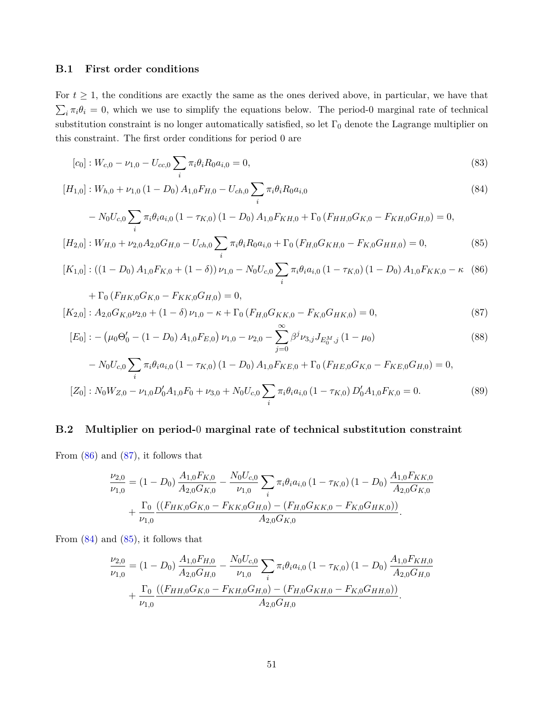### **B.1 First order conditions**

For  $t \geq 1$ , the conditions are exactly the same as the ones derived above, in particular, we have that  $\sum_i \pi_i \theta_i = 0$ , which we use to simplify the equations below. The period-0 marginal rate of technical substitution constraint is no longer automatically satisfied, so let  $\Gamma_0$  denote the Lagrange multiplier on this constraint. The first order conditions for period 0 are

$$
[c_0]: W_{c,0} - \nu_{1,0} - U_{cc,0} \sum_i \pi_i \theta_i R_0 a_{i,0} = 0,
$$
\n(83)

$$
[H_{1,0}] : W_{h,0} + \nu_{1,0} (1 - D_0) A_{1,0} F_{H,0} - U_{ch,0} \sum_i \pi_i \theta_i R_0 a_{i,0}
$$
  

$$
- N_0 U_{c,0} \sum \pi_i \theta_i a_{i,0} (1 - \tau_{K,0}) (1 - D_0) A_{1,0} F_{KH,0} + \Gamma_0 (F_{HH,0} G_{K,0} - F_{KH,0} G_{H,0}) = 0,
$$
 (84)

<span id="page-50-4"></span><span id="page-50-3"></span><span id="page-50-2"></span><span id="page-50-1"></span><span id="page-50-0"></span>
$$
-N_0U_{c,0}\sum_i \pi_i\theta_i a_{i,0} (1-\tau_{K,0}) (1-D_0) A_{1,0}F_{KH,0} + \Gamma_0 (F_{HH,0}G_{K,0} - F_{KH,0}G_{H,0}) = 0,
$$

$$
[H_{2,0}]: W_{H,0} + \nu_{2,0} A_{2,0} G_{H,0} - U_{ch,0} \sum_{i} \pi_i \theta_i R_0 a_{i,0} + \Gamma_0 (F_{H,0} G_{KH,0} - F_{K,0} G_{HH,0}) = 0, \tag{85}
$$

$$
[K_{1,0}] : ((1 - D_0) A_{1,0} F_{K,0} + (1 - \delta)) \nu_{1,0} - N_0 U_{c,0} \sum_i \pi_i \theta_i a_{i,0} (1 - \tau_{K,0}) (1 - D_0) A_{1,0} F_{KK,0} - \kappa \tag{86}
$$
  
+  $\Gamma_0 (F_{UK,0} G_{K,0} - F_{KK,0} G_{K,0}) = 0$ 

+ 1 0 
$$
(FHK,0 \cdot K,0 - FKK,0 \cdot H,0) = 0
$$
,  
\n
$$
[K_{2,0}] : A_{2,0}G_{K,0}\nu_{2,0} + (1 - \delta)\nu_{1,0} - \kappa + \Gamma_0(F_{H,0}G_{KK,0} - F_{K,0}G_{HK,0}) = 0,
$$
\n(87)

$$
[E_0] : -(\mu_0 \Theta'_0 - (1 - D_0) A_{1,0} F_{E,0}) \nu_{1,0} - \nu_{2,0} - \sum_{j=0}^{\infty} \beta^j \nu_{3,j} J_{E_0^M,j} (1 - \mu_0)
$$
\n(88)

$$
- N_0 U_{c,0} \sum_i \pi_i \theta_i a_{i,0} (1 - \tau_{K,0}) (1 - D_0) A_{1,0} F_{KE,0} + \Gamma_0 (F_{HE,0} G_{K,0} - F_{KE,0} G_{H,0}) = 0,
$$
  
\n
$$
[Z_0] : N_0 W_{Z,0} - \nu_{1,0} D_0' A_{1,0} F_0 + \nu_{3,0} + N_0 U_{c,0} \sum_i \pi_i \theta_i a_{i,0} (1 - \tau_{K,0}) D_0' A_{1,0} F_{K,0} = 0.
$$
 (89)

#### **B.2 Multiplier on period-**0 **marginal rate of technical substitution constraint**

From [\(86](#page-50-0)) and ([87](#page-50-1)), it follows that

<span id="page-50-6"></span><span id="page-50-5"></span>
$$
\frac{\nu_{2,0}}{\nu_{1,0}} = (1 - D_0) \frac{A_{1,0} F_{K,0}}{A_{2,0} G_{K,0}} - \frac{N_0 U_{c,0}}{\nu_{1,0}} \sum_i \pi_i \theta_i a_{i,0} (1 - \tau_{K,0}) (1 - D_0) \frac{A_{1,0} F_{KK,0}}{A_{2,0} G_{K,0}} + \frac{\Gamma_0}{\nu_{1,0}} \frac{\left( (F_{HK,0} G_{K,0} - F_{KK,0} G_{H,0}) - (F_{H,0} G_{KK,0} - F_{K,0} G_{HK,0}) \right)}{A_{2,0} G_{K,0}}.
$$

From  $(84)$  $(84)$  and  $(85)$  $(85)$  $(85)$ , it follows that

$$
\frac{\nu_{2,0}}{\nu_{1,0}} = (1 - D_0) \frac{A_{1,0}F_{H,0}}{A_{2,0}G_{H,0}} - \frac{N_0 U_{c,0}}{\nu_{1,0}} \sum_i \pi_i \theta_i a_{i,0} (1 - \tau_{K,0}) (1 - D_0) \frac{A_{1,0}F_{KH,0}}{A_{2,0}G_{H,0}} + \frac{\Gamma_0}{\nu_{1,0}} \frac{\left((F_{HH,0}G_{K,0} - F_{KH,0}G_{H,0}) - (F_{H,0}G_{KH,0} - F_{K,0}G_{HH,0})\right)}{A_{2,0}G_{H,0}}.
$$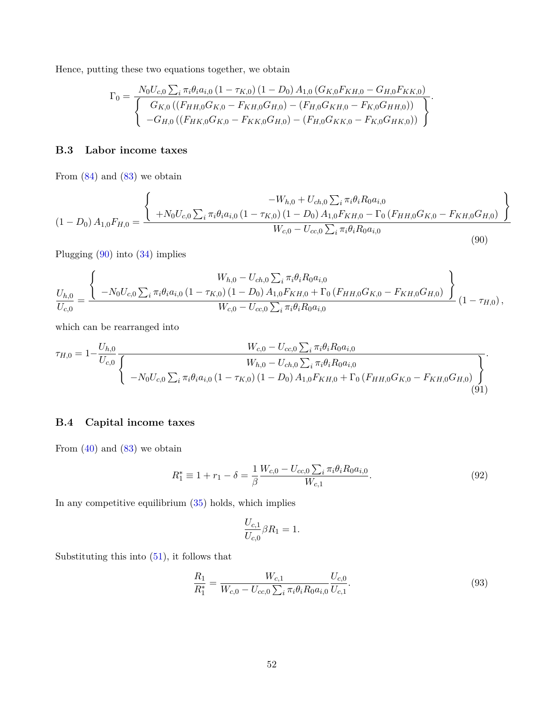Hence, putting these two equations together, we obtain

<span id="page-51-0"></span>
$$
\Gamma_0 = \frac{N_0 U_{c,0} \sum_i \pi_i \theta_i a_{i,0} (1 - \tau_{K,0}) (1 - D_0) A_{1,0} (G_{K,0} F_{KH,0} - G_{H,0} F_{KK,0})}{\int G_{K,0} ((F_{HH,0} G_{K,0} - F_{KH,0} G_{H,0}) - (F_{H,0} G_{KH,0} - F_{K,0} G_{HH,0}))}{\int -G_{H,0} ((F_{HK,0} G_{K,0} - F_{KK,0} G_{H,0}) - (F_{H,0} G_{KK,0} - F_{K,0} G_{HK,0}))}
$$

## **B.3 Labor income taxes**

From  $(84)$  $(84)$  and  $(83)$  $(83)$  $(83)$  we obtain

$$
(1 - D_0) A_{1,0} F_{H,0} = \frac{\left\{\n\begin{array}{c}\n-W_{h,0} + U_{ch,0} \sum_i \pi_i \theta_i R_0 a_{i,0} \\
+ N_0 U_{c,0} \sum_i \pi_i \theta_i a_{i,0} \left(1 - \tau_{K,0}\right) \left(1 - D_0\right) A_{1,0} F_{KH,0} - \Gamma_0 \left(F_{HH,0} G_{K,0} - F_{KH,0} G_{H,0}\right)\n\end{array}\n\right\}}{\nW_{c,0} - U_{cc,0} \sum_i \pi_i \theta_i R_0 a_{i,0}}\n\tag{90}
$$

Plugging [\(90](#page-51-0)) into [\(34](#page-39-3)) implies

$$
\frac{U_{h,0}}{U_{c,0}} = \frac{\left\{-N_0 U_{c,0} \sum_i \pi_i \theta_i a_{i,0} (1 - \tau_{K,0}) (1 - D_0) A_{1,0} F_{KH,0} + \Gamma_0 (F_{HH,0} G_{K,0} - F_{KH,0} G_{H,0})\right\}}{W_{c,0} - U_{cc,0} \sum_i \pi_i \theta_i R_{0} a_{i,0}} (1 - \tau_{H,0}),
$$
\n(1 - \tau\_{H,0}),

which can be rearranged into

$$
\tau_{H,0} = 1 - \frac{U_{h,0}}{U_{c,0}} \frac{W_{c,0} - U_{cc,0} \sum_{i} \pi_{i} \theta_{i} R_{0} a_{i,0}}{V_{h,0} - U_{ch,0} \sum_{i} \pi_{i} \theta_{i} R_{0} a_{i,0}} -N_{0} U_{c,0} \sum_{i} \pi_{i} \theta_{i} a_{i,0} (1 - \tau_{K,0}) (1 - D_{0}) A_{1,0} F_{KH,0} + \Gamma_{0} (F_{HH,0} G_{K,0} - F_{KH,0} G_{H,0}) \begin{pmatrix} 0 & 0 \\ 0 & 1 \end{pmatrix}.
$$

## **B.4 Capital income taxes**

From  $(40)$  $(40)$  and  $(83)$  $(83)$  $(83)$  we obtain

$$
R_1^* \equiv 1 + r_1 - \delta = \frac{1}{\beta} \frac{W_{c,0} - U_{cc,0} \sum_i \pi_i \theta_i R_0 a_{i,0}}{W_{c,1}}.
$$
\n(92)

In any competitive equilibrium ([35\)](#page-39-4) holds, which implies

$$
\frac{U_{c,1}}{U_{c,0}}\beta R_1 = 1.
$$

Substituting this into [\(51](#page-42-1)), it follows that

$$
\frac{R_1}{R_1^*} = \frac{W_{c,1}}{W_{c,0} - U_{cc,0} \sum_i \pi_i \theta_i R_0 a_{i,0}} \frac{U_{c,0}}{U_{c,1}}.
$$
\n(93)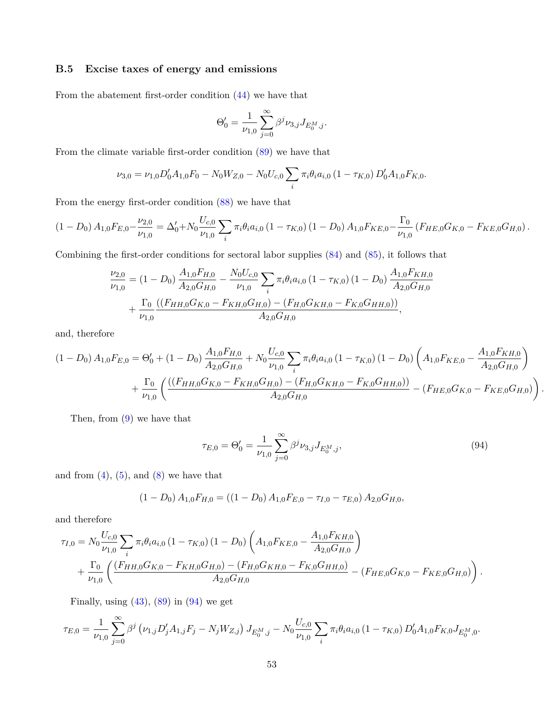# **B.5 Excise taxes of energy and emissions**

From the abatement first-order condition ([44\)](#page-41-4) we have that

$$
\Theta'_0 = \frac{1}{\nu_{1,0}} \sum_{j=0}^{\infty} \beta^j \nu_{3,j} J_{E_0^M,j}.
$$

From the climate variable first-order condition [\(89](#page-50-5)) we have that

$$
\nu_{3,0} = \nu_{1,0} D'_0 A_{1,0} F_0 - N_0 W_{Z,0} - N_0 U_{c,0} \sum_i \pi_i \theta_i a_{i,0} (1 - \tau_{K,0}) D'_0 A_{1,0} F_{K,0}.
$$

From the energy first-order condition ([88\)](#page-50-6) we have that

$$
(1 - D_0) A_{1,0} F_{E,0} - \frac{\nu_{2,0}}{\nu_{1,0}} = \Delta'_0 + N_0 \frac{U_{c,0}}{\nu_{1,0}} \sum_i \pi_i \theta_i a_{i,0} (1 - \tau_{K,0}) (1 - D_0) A_{1,0} F_{KE,0} - \frac{\Gamma_0}{\nu_{1,0}} (F_{HE,0} G_{K,0} - F_{KE,0} G_{H,0}).
$$

Combining the first-order conditions for sectoral labor supplies [\(84](#page-50-2)) and ([85\)](#page-50-3), it follows that

$$
\frac{\nu_{2,0}}{\nu_{1,0}} = (1 - D_0) \frac{A_{1,0} F_{H,0}}{A_{2,0} G_{H,0}} - \frac{N_0 U_{c,0}}{\nu_{1,0}} \sum_i \pi_i \theta_i a_{i,0} (1 - \tau_{K,0}) (1 - D_0) \frac{A_{1,0} F_{KH,0}}{A_{2,0} G_{H,0}} + \frac{\Gamma_0}{\nu_{1,0}} \frac{\left( (F_{HH,0} G_{K,0} - F_{KH,0} G_{H,0}) - (F_{H,0} G_{KH,0} - F_{K,0} G_{HH,0}) \right)}{A_{2,0} G_{H,0}},
$$

and, therefore

$$
(1 - D_0) A_{1,0} F_{E,0} = \Theta'_0 + (1 - D_0) \frac{A_{1,0} F_{H,0}}{A_{2,0} G_{H,0}} + N_0 \frac{U_{c,0}}{\nu_{1,0}} \sum_i \pi_i \theta_i a_{i,0} (1 - \tau_{K,0}) (1 - D_0) \left( A_{1,0} F_{KE,0} - \frac{A_{1,0} F_{KH,0}}{A_{2,0} G_{H,0}} \right) + \frac{\Gamma_0}{\nu_{1,0}} \left( \frac{((F_{HH,0} G_{K,0} - F_{KH,0} G_{H,0}) - (F_{H,0} G_{KH,0} - F_{K,0} G_{HH,0}))}{A_{2,0} G_{H,0}} - (F_{HE,0} G_{K,0} - F_{KE,0} G_{H,0}) \right)
$$

Then, from ([9](#page-7-0)) we have that

<span id="page-52-0"></span>
$$
\tau_{E,0} = \Theta'_0 = \frac{1}{\nu_{1,0}} \sum_{j=0}^{\infty} \beta^j \nu_{3,j} J_{E_0^M, j}, \qquad (94)
$$

*.*

and from  $(4)$  $(4)$  $(4)$ ,  $(5)$ , and  $(8)$  $(8)$  we have that

$$
(1 - D_0) A_{1,0} F_{H,0} = ((1 - D_0) A_{1,0} F_{E,0} - \tau_{I,0} - \tau_{E,0}) A_{2,0} G_{H,0},
$$

and therefore

$$
\tau_{I,0} = N_0 \frac{U_{c,0}}{\nu_{1,0}} \sum_i \pi_i \theta_i a_{i,0} (1 - \tau_{K,0}) (1 - D_0) \left( A_{1,0} F_{KE,0} - \frac{A_{1,0} F_{KH,0}}{A_{2,0} G_{H,0}} \right) + \frac{\Gamma_0}{\nu_{1,0}} \left( \frac{(F_{HH,0} G_{K,0} - F_{KH,0} G_{H,0}) - (F_{H,0} G_{KH,0} - F_{K,0} G_{HH,0})}{A_{2,0} G_{H,0}} - (F_{HE,0} G_{K,0} - F_{KE,0} G_{H,0}) \right).
$$

Finally, using  $(43)$  $(43)$ ,  $(89)$  $(89)$  in  $(94)$  $(94)$  we get

$$
\tau_{E,0} = \frac{1}{\nu_{1,0}} \sum_{j=0}^{\infty} \beta^j \left( \nu_{1,j} D'_j A_{1,j} F_j - N_j W_{Z,j} \right) J_{E_0^M, j} - N_0 \frac{U_{c,0}}{\nu_{1,0}} \sum_i \pi_i \theta_i a_{i,0} \left( 1 - \tau_{K,0} \right) D'_0 A_{1,0} F_{K,0} J_{E_0^M,0}.
$$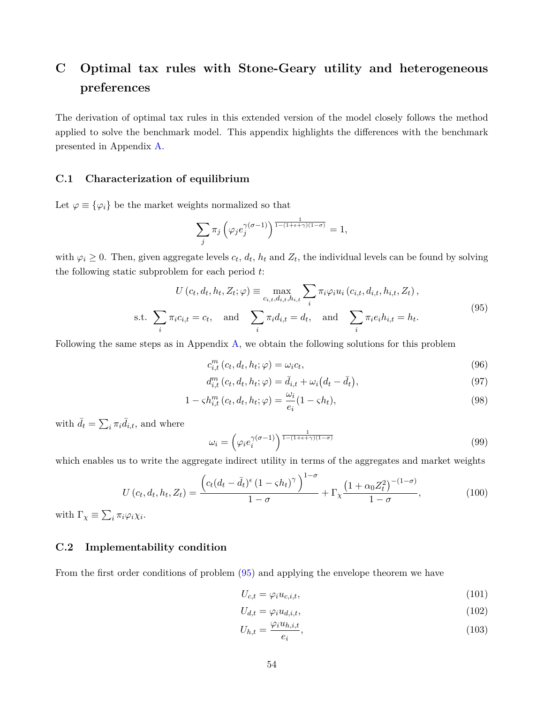# **C Optimal tax rules with Stone-Geary utility and heterogeneous preferences**

The derivation of optimal tax rules in this extended version of the model closely follows the method applied to solve the benchmark model. This appendix highlights the differences with the benchmark presented in Appendix [A](#page-39-5).

#### **C.1 Characterization of equilibrium**

Let  $\varphi \equiv {\varphi_i}$  be the market weights normalized so that

<span id="page-53-0"></span>
$$
\sum_{j} \pi_j \left( \varphi_j e_j^{\gamma(\sigma-1)} \right)^{\frac{1}{1-(1+\epsilon+\gamma)(1-\sigma)}} = 1,
$$

with  $\varphi_i \geq 0$ . Then, given aggregate levels  $c_t$ ,  $d_t$ ,  $h_t$  and  $Z_t$ , the individual levels can be found by solving the following static subproblem for each period *t*:

$$
U(c_t, d_t, h_t, Z_t; \varphi) \equiv \max_{c_{i,t}, d_{i,t}, h_{i,t}} \sum_i \pi_i \varphi_i u_i (c_{i,t}, d_{i,t}, h_{i,t}, Z_t),
$$
  
s.t.  $\sum_i \pi_i c_{i,t} = c_t$ , and  $\sum_i \pi_i d_{i,t} = d_t$ , and  $\sum_i \pi_i e_i h_{i,t} = h_t$ . (95)

Following the same steps as in Appendix [A](#page-39-5), we obtain the following solutions for this problem

$$
c_{i,t}^m(c_t, d_t, h_t; \varphi) = \omega_i c_t,\tag{96}
$$

$$
d_{i,t}^{m}(c_{t}, d_{t}, h_{t}; \varphi) = \bar{d}_{i,t} + \omega_{i} (d_{t} - \bar{d}_{t}), \qquad (97)
$$

$$
1 - \varsigma h_{i,t}^m(c_t, d_t, h_t; \varphi) = \frac{\omega_i}{e_i} (1 - \varsigma h_t), \qquad (98)
$$

with  $\bar{d}_t = \sum_i \pi_i \bar{d}_{i,t}$ , and where

$$
\omega_i = \left(\varphi_i e_i^{\gamma(\sigma - 1)}\right)^{\frac{1}{1 - (1 + \epsilon + \gamma)(1 - \sigma)}}
$$
\n(99)

which enables us to write the aggregate indirect utility in terms of the aggregates and market weights

$$
U\left(c_t, d_t, h_t, Z_t\right) = \frac{\left(c_t(d_t - \bar{d}_t)^{\epsilon} \left(1 - \varsigma h_t\right)^{\gamma}\right)^{1 - \sigma}}{1 - \sigma} + \Gamma_\chi \frac{\left(1 + \alpha_0 Z_t^2\right)^{-(1 - \sigma)}}{1 - \sigma},\tag{100}
$$

with  $\Gamma_{\chi} \equiv \sum_{i} \pi_{i} \varphi_{i} \chi_{i}$ .

# **C.2 Implementability condition**

From the first order conditions of problem [\(95](#page-53-0)) and applying the envelope theorem we have

$$
U_{c,t} = \varphi_i u_{c,i,t},\tag{101}
$$

$$
U_{d,t} = \varphi_i u_{d,i,t},\tag{102}
$$

$$
U_{h,t} = \frac{\varphi_i u_{h,i,t}}{e_i},\tag{103}
$$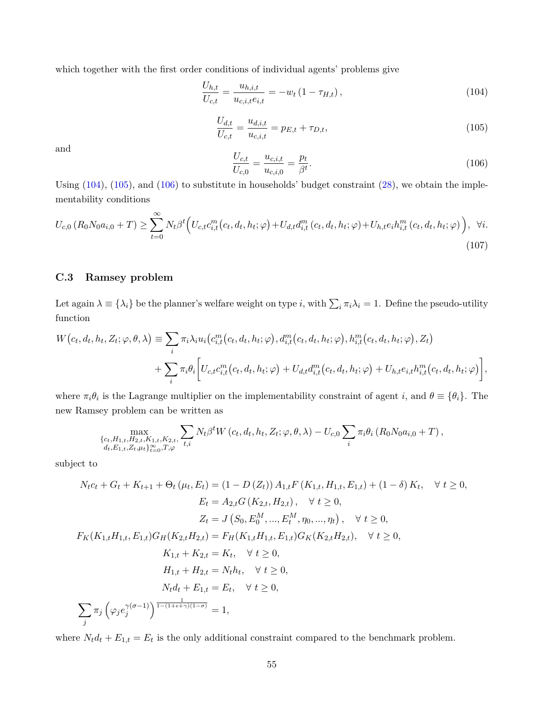<span id="page-54-1"></span>which together with the first order conditions of individual agents' problems give

$$
\frac{U_{h,t}}{U_{c,t}} = \frac{u_{h,i,t}}{u_{c,i,t}e_{i,t}} = -w_t \left(1 - \tau_{H,t}\right),\tag{104}
$$

<span id="page-54-0"></span>
$$
\frac{U_{d,t}}{U_{c,t}} = \frac{u_{d,i,t}}{u_{c,i,t}} = p_{E,t} + \tau_{D,t},\tag{105}
$$

<span id="page-54-2"></span>and

$$
\frac{U_{c,t}}{U_{c,0}} = \frac{u_{c,i,t}}{u_{c,i,0}} = \frac{p_t}{\beta^t}.
$$
\n(106)

Using ([104](#page-54-0)), [\(105\)](#page-54-1), and ([106\)](#page-54-2) to substitute in households' budget constraint [\(28](#page-31-0)), we obtain the implementability conditions

$$
U_{c,0}(R_0N_0a_{i,0}+T) \ge \sum_{t=0}^{\infty} N_t \beta^t \Big( U_{c,t}c_{i,t}^m(c_t, d_t, h_t; \varphi) + U_{d,t}d_{i,t}^m(c_t, d_t, h_t; \varphi) + U_{h,t}e_i h_{i,t}^m(c_t, d_t, h_t; \varphi) \Big), \quad \forall i.
$$
\n(107)

## **C.3 Ramsey problem**

Let again  $\lambda \equiv \{\lambda_i\}$  be the planner's welfare weight on type *i*, with  $\sum_i \pi_i \lambda_i = 1$ . Define the pseudo-utility function

$$
W(c_t, d_t, h_t, Z_t; \varphi, \theta, \lambda) \equiv \sum_i \pi_i \lambda_i u_i \big( c_{i,t}^m(c_t, d_t, h_t; \varphi), d_{i,t}^m(c_t, d_t, h_t; \varphi), h_{i,t}^m(c_t, d_t, h_t; \varphi), Z_t \big) + \sum_i \pi_i \theta_i \bigg[ U_{c,t} c_{i,t}^m(c_t, d_t, h_t; \varphi) + U_{d,t} d_{i,t}^m(c_t, d_t, h_t; \varphi) + U_{h,t} e_{i,t} h_{i,t}^m(c_t, d_t, h_t; \varphi) \bigg],
$$

where  $\pi_i \theta_i$  is the Lagrange multiplier on the implementability constraint of agent *i*, and  $\theta \equiv {\theta_i}$ . The new Ramsey problem can be written as

$$
\max_{\substack{\{c_t, H_{1,t}, H_{2,t}, K_{1,t}, K_{2,t}, \\d_t, E_{1,t}, Z_t, \mu_t\}_{t=0}^{\infty}, T, \varphi}} \sum_{t, i} N_t \beta^t W(c_t, d_t, h_t, Z_t; \varphi, \theta, \lambda) - U_{c,0} \sum_i \pi_i \theta_i (R_0 N_0 a_{i,0} + T),
$$

subject to

$$
N_{t}c_{t} + G_{t} + K_{t+1} + \Theta_{t} (\mu_{t}, E_{t}) = (1 - D(Z_{t})) A_{1,t}F (K_{1,t}, H_{1,t}, E_{1,t}) + (1 - \delta) K_{t}, \quad \forall t \ge 0,
$$
  
\n
$$
E_{t} = A_{2,t}G (K_{2,t}, H_{2,t}), \quad \forall t \ge 0,
$$
  
\n
$$
Z_{t} = J (S_{0}, E_{0}^{M}, ..., E_{t}^{M}, \eta_{0}, ..., \eta_{t}), \quad \forall t \ge 0,
$$
  
\n
$$
F_{K}(K_{1,t}H_{1,t}, E_{1,t})G_{H}(K_{2,t}H_{2,t}) = F_{H}(K_{1,t}H_{1,t}, E_{1,t})G_{K}(K_{2,t}H_{2,t}), \quad \forall t \ge 0,
$$
  
\n
$$
K_{1,t} + K_{2,t} = K_{t}, \quad \forall t \ge 0,
$$
  
\n
$$
H_{1,t} + H_{2,t} = N_{t}h_{t}, \quad \forall t \ge 0,
$$
  
\n
$$
N_{t}d_{t} + E_{1,t} = E_{t}, \quad \forall t \ge 0,
$$
  
\n
$$
\sum_{j} \pi_{j} (\varphi_{j}e_{j}^{\gamma(\sigma-1)})^{\frac{1}{1-(1+\epsilon+\gamma)(1-\sigma)}} = 1,
$$

where  $N_t d_t + E_{1,t} = E_t$  is the only additional constraint compared to the benchmark problem.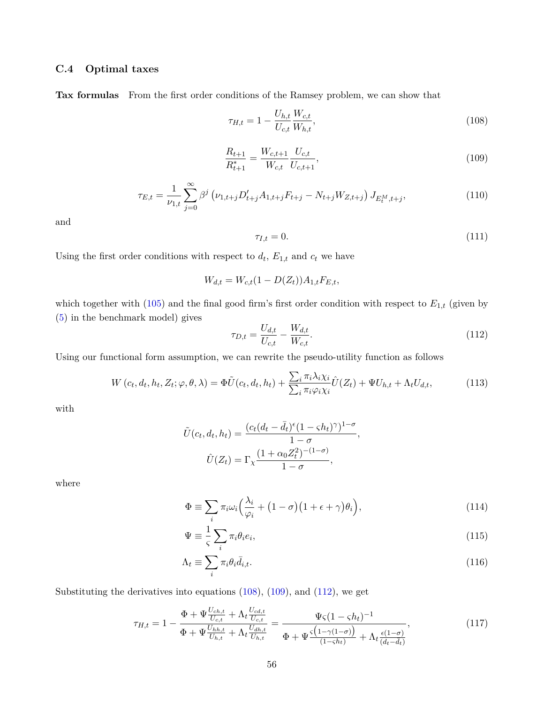# **C.4 Optimal taxes**

<span id="page-55-1"></span>**Tax formulas** From the first order conditions of the Ramsey problem, we can show that

<span id="page-55-0"></span>
$$
\tau_{H,t} = 1 - \frac{U_{h,t}}{U_{c,t}} \frac{W_{c,t}}{W_{h,t}},\tag{108}
$$

$$
\frac{R_{t+1}}{R_{t+1}^*} = \frac{W_{c,t+1}}{W_{c,t}} \frac{U_{c,t}}{U_{c,t+1}},
$$
\n(109)

$$
\tau_{E,t} = \frac{1}{\nu_{1,t}} \sum_{j=0}^{\infty} \beta^j \left( \nu_{1,t+j} D'_{t+j} A_{1,t+j} F_{t+j} - N_{t+j} W_{Z,t+j} \right) J_{E_t^M, t+j}, \tag{110}
$$

and

$$
\tau_{I,t} = 0.\tag{111}
$$

Using the first order conditions with respect to  $d_t$ ,  $E_{1,t}$  and  $c_t$  we have

<span id="page-55-2"></span>
$$
W_{d,t} = W_{c,t}(1 - D(Z_t))A_{1,t}F_{E,t},
$$

which together with  $(105)$  and the final good firm's first order condition with respect to  $E_{1,t}$  (given by ([5](#page-6-1)) in the benchmark model) gives

$$
\tau_{D,t} = \frac{U_{d,t}}{U_{c,t}} - \frac{W_{d,t}}{W_{c,t}}.\tag{112}
$$

Using our functional form assumption, we can rewrite the pseudo-utility function as follows

$$
W(c_t, d_t, h_t, Z_t; \varphi, \theta, \lambda) = \Phi \tilde{U}(c_t, d_t, h_t) + \frac{\sum_i \pi_i \lambda_i \chi_i}{\sum_i \pi_i \varphi_i \chi_i} \hat{U}(Z_t) + \Psi U_{h,t} + \Lambda_t U_{d,t},
$$
(113)

with

$$
\tilde{U}(c_t, d_t, h_t) = \frac{(c_t(d_t - \bar{d}_t)^{\epsilon}(1 - \varsigma h_t)^{\gamma})^{1-\sigma}}{1-\sigma},
$$

$$
\hat{U}(Z_t) = \Gamma_\chi \frac{(1 + \alpha_0 Z_t^2)^{-(1-\sigma)}}{1-\sigma},
$$

where

$$
\Phi \equiv \sum_{i} \pi_{i} \omega_{i} \Big( \frac{\lambda_{i}}{\varphi_{i}} + (1 - \sigma) \big( 1 + \epsilon + \gamma \big) \theta_{i} \Big), \tag{114}
$$

$$
\Psi \equiv \frac{1}{\varsigma} \sum_{i} \pi_{i} \theta_{i} e_{i},\tag{115}
$$

$$
\Lambda_t \equiv \sum_i \pi_i \theta_i \bar{d}_{i,t}.\tag{116}
$$

Substituting the derivatives into equations ([108\)](#page-55-0), ([109](#page-55-1)), and [\(112\)](#page-55-2), we get

$$
\tau_{H,t} = 1 - \frac{\Phi + \Psi \frac{U_{ch,t}}{U_{c,t}} + \Lambda_t \frac{U_{cd,t}}{U_{c,t}}}{\Phi + \Psi \frac{U_{hh,t}}{U_{h,t}} + \Lambda_t \frac{U_{dh,t}}{U_{h,t}}} = \frac{\Psi \varsigma (1 - \varsigma h_t)^{-1}}{\Phi + \Psi \frac{\varsigma (1 - \gamma (1 - \sigma))}{(1 - \varsigma h_t)} + \Lambda_t \frac{\epsilon (1 - \sigma)}{(d_t - \bar{d}_t)}},\tag{117}
$$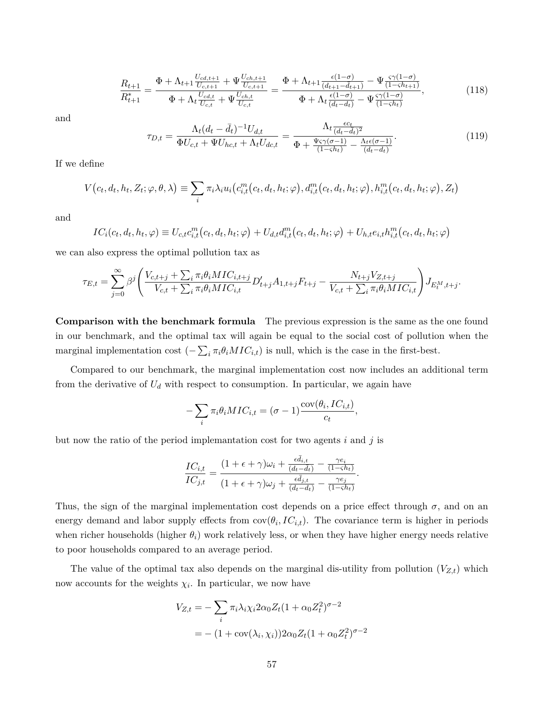$$
\frac{R_{t+1}}{R_{t+1}^*} = \frac{\Phi + \Lambda_{t+1} \frac{U_{cd,t+1}}{U_{c,t+1}} + \Psi \frac{U_{ch,t+1}}{U_{c,t+1}}}{\Phi + \Lambda_t \frac{U_{cd,t}}{U_{c,t}} + \Psi \frac{U_{ch,t}}{U_{c,t}}} = \frac{\Phi + \Lambda_{t+1} \frac{\epsilon(1-\sigma)}{(d_{t+1}-d_{t+1})} - \Psi \frac{\varsigma \gamma(1-\sigma)}{(1-\varsigma h_{t+1})}}{\Phi + \Lambda_t \frac{\epsilon(1-\sigma)}{(d_t-d_t)} - \Psi \frac{\varsigma \gamma(1-\sigma)}{(1-\varsigma h_t)}},\tag{118}
$$

and

$$
\tau_{D,t} = \frac{\Lambda_t (d_t - \bar{d}_t)^{-1} U_{d,t}}{\Phi U_{c,t} + \Psi U_{hc,t} + \Lambda_t U_{dc,t}} = \frac{\Lambda_t \frac{\epsilon c_t}{(d_t - \bar{d}_t)^2}}{\Phi + \frac{\Psi \varsigma \gamma (\sigma - 1)}{(1 - \varsigma h_t)} - \frac{\Lambda_t \epsilon (\sigma - 1)}{(d_t - \bar{d}_t)}}.
$$
(119)

If we define

$$
V(c_t, d_t, h_t, Z_t; \varphi, \theta, \lambda) \equiv \sum_i \pi_i \lambda_i u_i (c_{i,t}^m(c_t, d_t, h_t; \varphi), d_{i,t}^m(c_t, d_t, h_t; \varphi), h_{i,t}^m(c_t, d_t, h_t; \varphi), Z_t)
$$

and

$$
IC_i(c_t, d_t, h_t, \varphi) \equiv U_{c,t}c_{i,t}^m(c_t, d_t, h_t; \varphi) + U_{d,t}d_{i,t}^m(c_t, d_t, h_t; \varphi) + U_{h,t}e_{i,t}h_{i,t}^m(c_t, d_t, h_t; \varphi)
$$

we can also express the optimal pollution tax as

$$
\tau_{E,t} = \sum_{j=0}^{\infty} \beta^j \left( \frac{V_{c,t+j} + \sum_i \pi_i \theta_i MIC_{i,t+j}}{V_{c,t} + \sum_i \pi_i \theta_i MIC_{i,t}} D'_{t+j} A_{1,t+j} F_{t+j} - \frac{N_{t+j} V_{Z,t+j}}{V_{c,t} + \sum_i \pi_i \theta_i MIC_{i,t}} \right) J_{E_t^M, t+j}.
$$

**Comparison with the benchmark formula** The previous expression is the same as the one found in our benchmark, and the optimal tax will again be equal to the social cost of pollution when the marginal implementation cost  $(-\sum_i \pi_i \theta_i MIC_{i,t})$  is null, which is the case in the first-best.

Compared to our benchmark, the marginal implementation cost now includes an additional term from the derivative of  $U_d$  with respect to consumption. In particular, we again have

$$
-\sum_{i} \pi_i \theta_i MIC_{i,t} = (\sigma - 1) \frac{\text{cov}(\theta_i, IC_{i,t})}{c_t},
$$

but now the ratio of the period implemantation cost for two agents *i* and *j* is

$$
\frac{IC_{i,t}}{IC_{j,t}} = \frac{(1+\epsilon+\gamma)\omega_i + \frac{\epsilon \bar{d}_{i,t}}{(d_t-\bar{d}_t)} - \frac{\gamma e_i}{(1-\varsigma h_t)}}{(1+\epsilon+\gamma)\omega_j + \frac{\epsilon \bar{d}_{j,t}}{(d_t-\bar{d}_t)} - \frac{\gamma e_j}{(1-\varsigma h_t)}}.
$$

Thus, the sign of the marginal implementation cost depends on a price effect through  $\sigma$ , and on an energy demand and labor supply effects from  $cov(\theta_i, IC_{i,t})$ . The covariance term is higher in periods when richer households (higher  $\theta_i$ ) work relatively less, or when they have higher energy needs relative to poor households compared to an average period.

The value of the optimal tax also depends on the marginal dis-utility from pollution  $(V_{Z,t})$  which now accounts for the weights  $\chi_i$ . In particular, we now have

$$
V_{Z,t} = -\sum_{i} \pi_i \lambda_i \chi_i 2\alpha_0 Z_t (1 + \alpha_0 Z_t^2)^{\sigma - 2}
$$

$$
= -(1 + \text{cov}(\lambda_i, \chi_i)) 2\alpha_0 Z_t (1 + \alpha_0 Z_t^2)^{\sigma - 2}
$$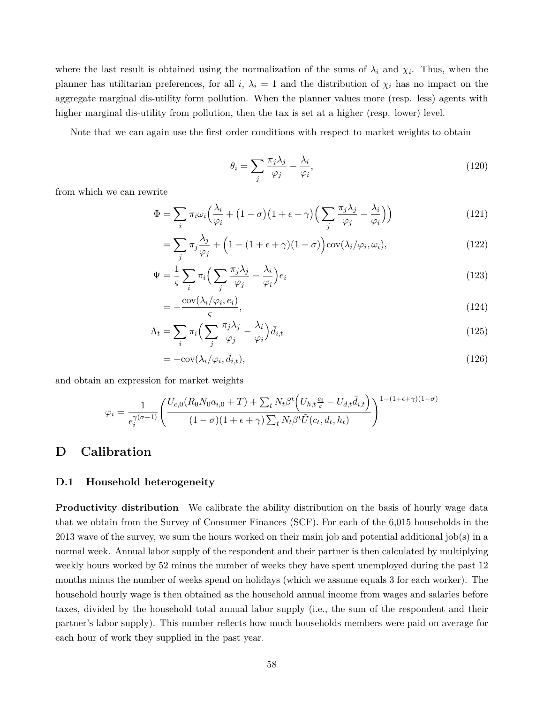where the last result is obtained using the normalization of the sums of  $\lambda_i$  and  $\chi_i$ . Thus, when the planner has utilitarian preferences, for all *i*,  $\lambda_i = 1$  and the distribution of  $\chi_i$  has no impact on the aggregate marginal dis-utility form pollution. When the planner values more (resp. less) agents with higher marginal dis-utility from pollution, then the tax is set at a higher (resp. lower) level.

Note that we can again use the first order conditions with respect to market weights to obtain

$$
\theta_i = \sum_j \frac{\pi_j \lambda_j}{\varphi_j} - \frac{\lambda_i}{\varphi_i},\tag{120}
$$

from which we can rewrite

$$
\Phi = \sum_{i} \pi_{i} \omega_{i} \left( \frac{\lambda_{i}}{\varphi_{i}} + (1 - \sigma) \left( 1 + \epsilon + \gamma \right) \left( \sum_{j} \frac{\pi_{j} \lambda_{j}}{\varphi_{j}} - \frac{\lambda_{i}}{\varphi_{i}} \right) \right)
$$
(121)

$$
= \sum_{j} \pi_{j} \frac{\lambda_{j}}{\varphi_{j}} + \left(1 - (1 + \epsilon + \gamma)(1 - \sigma)\right) \text{cov}(\lambda_{i}/\varphi_{i}, \omega_{i}), \qquad (122)
$$

$$
\Psi = \frac{1}{\varsigma} \sum_{i} \pi_i \Big( \sum_{j} \frac{\pi_j \lambda_j}{\varphi_j} - \frac{\lambda_i}{\varphi_i} \Big) e_i \tag{123}
$$

$$
=-\frac{\text{cov}(\lambda_i/\varphi_i, e_i)}{\varsigma},\tag{124}
$$

$$
\Lambda_t = \sum_i \pi_i \Big( \sum_j \frac{\pi_j \lambda_j}{\varphi_j} - \frac{\lambda_i}{\varphi_i} \Big) \bar{d}_{i,t} \tag{125}
$$

$$
= -\text{cov}(\lambda_i/\varphi_i, \bar{d}_{i,t}),\tag{126}
$$

and obtain an expression for market weights

$$
\varphi_i = \frac{1}{e_i^{\gamma(\sigma-1)}} \left( \frac{U_{c,0}(R_0 N_0 a_{i,0} + T) + \sum_t N_t \beta^t \left( U_{h,t} \frac{e_i}{\varsigma} - U_{d,t} \overline{d}_{i,t} \right)}{(1-\sigma)(1+\epsilon+\gamma) \sum_t N_t \beta^t \tilde{U}(c_t, d_t, h_t)} \right)^{1-(1+\epsilon+\gamma)(1-\sigma)}
$$

# **D Calibration**

#### **D.1 Household heterogeneity**

**Productivity distribution** We calibrate the ability distribution on the basis of hourly wage data that we obtain from the Survey of Consumer Finances (SCF). For each of the 6,015 households in the 2013 wave of the survey, we sum the hours worked on their main job and potential additional job(s) in a normal week. Annual labor supply of the respondent and their partner is then calculated by multiplying weekly hours worked by 52 minus the number of weeks they have spent unemployed during the past 12 months minus the number of weeks spend on holidays (which we assume equals 3 for each worker). The household hourly wage is then obtained as the household annual income from wages and salaries before taxes, divided by the household total annual labor supply (i.e., the sum of the respondent and their partner's labor supply). This number reflects how much households members were paid on average for each hour of work they supplied in the past year.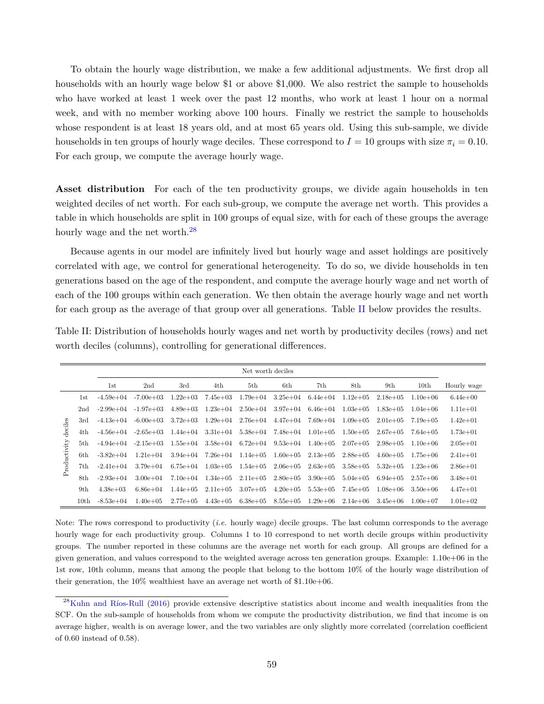To obtain the hourly wage distribution, we make a few additional adjustments. We first drop all households with an hourly wage below \$1 or above \$1,000. We also restrict the sample to households who have worked at least 1 week over the past 12 months, who work at least 1 hour on a normal week, and with no member working above 100 hours. Finally we restrict the sample to households whose respondent is at least 18 years old, and at most 65 years old. Using this sub-sample, we divide households in ten groups of hourly wage deciles. These correspond to  $I = 10$  groups with size  $\pi_i = 0.10$ . For each group, we compute the average hourly wage.

Asset distribution For each of the ten productivity groups, we divide again households in ten weighted deciles of net worth. For each sub-group, we compute the average net worth. This provides a table in which households are split in 100 groups of equal size, with for each of these groups the average hourly wage and the net worth.<sup>[28](#page-58-0)</sup>

Because agents in our model are infinitely lived but hourly wage and asset holdings are positively correlated with age, we control for generational heterogeneity. To do so, we divide households in ten generations based on the age of the respondent, and compute the average hourly wage and net worth of each of the 100 groups within each generation. We then obtain the average hourly wage and net worth for each group as the average of that group over all generations. Table [II](#page-58-1) below provides the results.

<span id="page-58-1"></span>

| Table II: Distribution of households hourly wages and net worth by productivity deciles (rows) and net |  |
|--------------------------------------------------------------------------------------------------------|--|
| worth deciles (columns), controlling for generational differences.                                     |  |

|              |      | Net worth deciles |                 |               |               |               |                       |               |               |               |                  |               |  |  |
|--------------|------|-------------------|-----------------|---------------|---------------|---------------|-----------------------|---------------|---------------|---------------|------------------|---------------|--|--|
|              |      | 1st               | 2 <sub>nd</sub> | 3rd           | 4th           | 5th           | 6th                   | 7th           | 8th           | 9th           | 10 <sub>th</sub> | Hourly wage   |  |  |
|              | 1st  | $-4.59e + 04$     | $-7.00e + 03$   | $1.22e + 03$  | 7.45e+03      | $1.79e + 04$  | $3.25e + 04$          | $6.44e + 04$  | $1.12e + 0.5$ | $2.18e + 0.5$ | $1.10e + 06$     | $6.44e+00$    |  |  |
|              | 2nd  | $-2.99e+04$       | $-1.97e + 03$   | $4.89e+03$    | $1.23e+04$    | $2.50e + 04$  | $3.97e + 04$          | $6.46e + 04$  | $1.03e + 0.5$ | $1.83e+0.5$   | $1.04e + 06$     | $1.11e + 01$  |  |  |
|              | 3rd  | $-4.13e+04$       | $-6.00e + 03$   | $3.72e + 03$  | $1.29e + 04$  | $2.76e + 04$  | $4.47e + 04$          | $7.69e + 04$  | $1.09e + 0.5$ | $2.01e + 0.5$ | $7.19e + 0.5$    | $1.42e + 01$  |  |  |
| deciles      | 4th  | $-4.56e + 04$     | $-2.65e + 03$   | $1.44e + 04$  | $3.31e + 04$  |               | $5.38e+04$ $7.48e+04$ | $1.01e + 0.5$ | $1.50e + 0.5$ | $2.67e + 0.5$ | $7.64e + 0.5$    | $1.73e+01$    |  |  |
|              | 5th  | $-4.94e+04$       | $-2.15e+0.3$    | $1.55e + 04$  | $3.58e + 04$  | $6.72e + 04$  | $9.53e + 04$          | $1.40e + 0.5$ | $2.07e + 0.5$ | $2.98e + 0.5$ | $1.10e + 06$     | $2.05e + 01$  |  |  |
| Productivity | 6th  | $-3.82e+04$       | $1.21e + 04$    | $3.94e + 04$  | $7.26e + 04$  | $1.14e + 05$  | $1.60e + 0.5$         | $2.13e+0.5$   | $2.88e + 0.5$ | $4.60e + 05$  | $1.75e+06$       | $2.41e + 01$  |  |  |
|              | 7th  | $-2.41e+04$       | $3.79e + 04$    | $6.75e + 04$  | $1.03e + 0.5$ | $1.54e + 0.5$ | $2.06e + 0.5$         | $2.63e + 0.5$ | $3.58e + 0.5$ | $5.32e+0.5$   | $1.23e+06$       | $2.86e + 01$  |  |  |
|              | 8th  | $-2.93e+04$       | $3.00e + 04$    | $7.10e + 04$  | $1.34e + 0.5$ | $2.11e + 0.5$ | $2.80e + 0.5$         | $3.90e + 0.5$ | $5.04e + 0.5$ | $6.94e+0.5$   | $2.57e+06$       | $3.48e + 01$  |  |  |
|              | 9th  | $4.38e + 03$      | $6.86e + 04$    | $1.44e + 0.5$ | $2.11e + 0.5$ | $3.07e + 0.5$ | $4.20e + 0.5$         | $5.53e + 0.5$ | 7.45e+05      | $1.08e + 06$  | $3.50e + 06$     | $4.47e + 01$  |  |  |
|              | 10th | $-8.53e+04$       | $1.40e + 0.5$   | $2.77e+0.5$   | $4.43e+05$    | $6.38e + 0.5$ | $8.55e + 0.5$         | $1.29e+06$    | $2.14e + 06$  | $3.45e+06$    | $1.00e + 07$     | $1.01e + 0.2$ |  |  |

Note: The rows correspond to productivity (*i.e.* hourly wage) decile groups. The last column corresponds to the average hourly wage for each productivity group. Columns 1 to 10 correspond to net worth decile groups within productivity groups. The number reported in these columns are the average net worth for each group. All groups are defined for a given generation, and values correspond to the weighted average across ten generation groups. Example: 1.10e+06 in the 1st row, 10th column, means that among the people that belong to the bottom 10% of the hourly wage distribution of their generation, the 10% wealthiest have an average net worth of \$1.10e+06.

<span id="page-58-0"></span><sup>&</sup>lt;sup>28</sup>[Kuhn and Ríos-Rull](#page-37-0) [\(2016\)](#page-37-0) provide extensive descriptive statistics about income and wealth inequalities from the SCF. On the sub-sample of households from whom we compute the productivity distribution, we find that income is on average higher, wealth is on average lower, and the two variables are only slightly more correlated (correlation coefficient of 0.60 instead of 0.58).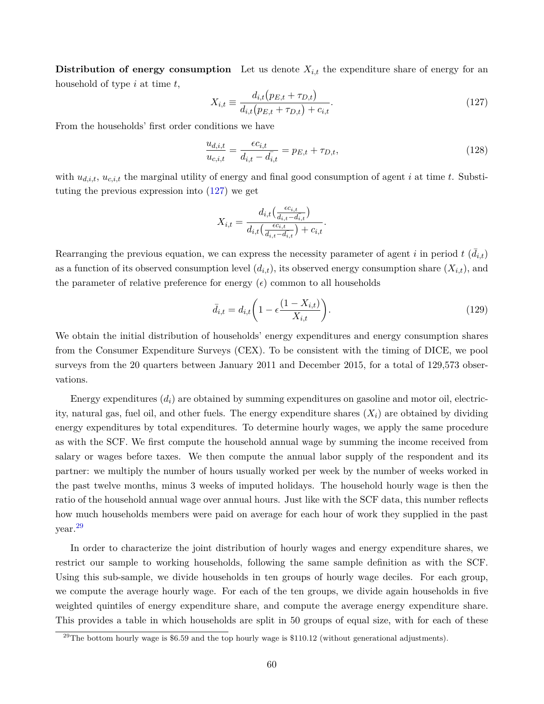**Distribution of energy consumption** Let us denote  $X_{i,t}$  the expenditure share of energy for an household of type *i* at time *t*,

<span id="page-59-0"></span>
$$
X_{i,t} \equiv \frac{d_{i,t}(p_{E,t} + \tau_{D,t})}{d_{i,t}(p_{E,t} + \tau_{D,t}) + c_{i,t}}.
$$
\n(127)

From the households' first order conditions we have

$$
\frac{u_{d,i,t}}{u_{c,i,t}} = \frac{\epsilon c_{i,t}}{d_{i,t} - d_{i,t}} = p_{E,t} + \tau_{D,t},
$$
\n(128)

with *ud,i,t*, *uc,i,t* the marginal utility of energy and final good consumption of agent *i* at time *t*. Substituting the previous expression into [\(127\)](#page-59-0) we get

$$
X_{i,t} = \frac{d_{i,t}\left(\frac{\epsilon c_{i,t}}{d_{i,t} - d_{i,t}}\right)}{d_{i,t}\left(\frac{\epsilon c_{i,t}}{d_{i,t} - d_{i,t}}\right) + c_{i,t}}.
$$

Rearranging the previous equation, we can express the necessity parameter of agent *i* in period  $t$  ( $\bar{d}_{i,t}$ ) as a function of its observed consumption level  $(d_{i,t})$ , its observed energy consumption share  $(X_{i,t})$ , and the parameter of relative preference for energy  $(\epsilon)$  common to all households

$$
\bar{d}_{i,t} = d_{i,t} \left( 1 - \epsilon \frac{(1 - X_{i,t})}{X_{i,t}} \right). \tag{129}
$$

We obtain the initial distribution of households' energy expenditures and energy consumption shares from the Consumer Expenditure Surveys (CEX). To be consistent with the timing of DICE, we pool surveys from the 20 quarters between January 2011 and December 2015, for a total of 129,573 observations.

Energy expenditures  $(d_i)$  are obtained by summing expenditures on gasoline and motor oil, electricity, natural gas, fuel oil, and other fuels. The energy expenditure shares  $(X<sub>i</sub>)$  are obtained by dividing energy expenditures by total expenditures. To determine hourly wages, we apply the same procedure as with the SCF. We first compute the household annual wage by summing the income received from salary or wages before taxes. We then compute the annual labor supply of the respondent and its partner: we multiply the number of hours usually worked per week by the number of weeks worked in the past twelve months, minus 3 weeks of imputed holidays. The household hourly wage is then the ratio of the household annual wage over annual hours. Just like with the SCF data, this number reflects how much households members were paid on average for each hour of work they supplied in the past year.[29](#page-59-1)

In order to characterize the joint distribution of hourly wages and energy expenditure shares, we restrict our sample to working households, following the same sample definition as with the SCF. Using this sub-sample, we divide households in ten groups of hourly wage deciles. For each group, we compute the average hourly wage. For each of the ten groups, we divide again households in five weighted quintiles of energy expenditure share, and compute the average energy expenditure share. This provides a table in which households are split in 50 groups of equal size, with for each of these

<span id="page-59-1"></span> $^{29}$ The bottom hourly wage is \$6.59 and the top hourly wage is \$110.12 (without generational adjustments).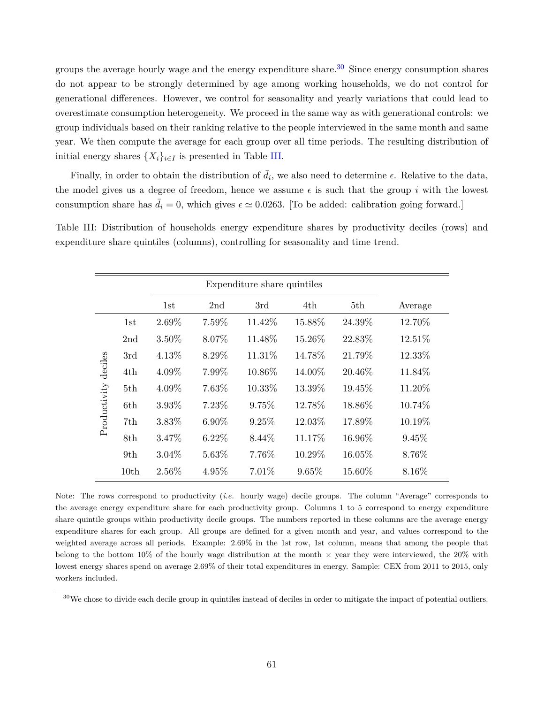groups the average hourly wage and the energy expenditure share.<sup>[30](#page-60-0)</sup> Since energy consumption shares do not appear to be strongly determined by age among working households, we do not control for generational differences. However, we control for seasonality and yearly variations that could lead to overestimate consumption heterogeneity. We proceed in the same way as with generational controls: we group individuals based on their ranking relative to the people interviewed in the same month and same year. We then compute the average for each group over all time periods. The resulting distribution of initial energy shares  $\{X_i\}_{i \in I}$  is presented in Table [III.](#page-60-1)

Finally, in order to obtain the distribution of  $\bar{d}_i$ , we also need to determine  $\epsilon$ . Relative to the data, the model gives us a degree of freedom, hence we assume  $\epsilon$  is such that the group *i* with the lowest consumption share has  $\bar{d}_i = 0$ , which gives  $\epsilon \approx 0.0263$ . [To be added: calibration going forward.]

<span id="page-60-1"></span>Table III: Distribution of households energy expenditure shares by productivity deciles (rows) and expenditure share quintiles (columns), controlling for seasonality and time trend.

|              |      |          |          | Expenditure share quintiles |        |        |         |
|--------------|------|----------|----------|-----------------------------|--------|--------|---------|
|              |      | 1st      | 2nd      | 3rd                         | 4th    | 5th    | Average |
|              | 1st  | 2.69%    | 7.59%    | 11.42%                      | 15.88% | 24.39% | 12.70%  |
|              | 2nd  | 3.50%    | 8.07%    | 11.48%                      | 15.26% | 22.83% | 12.51%  |
|              | 3rd  | 4.13%    | 8.29%    | 11.31%                      | 14.78% | 21.79% | 12.33%  |
| deciles      | 4th  | 4.09%    | 7.99%    | 10.86%                      | 14.00% | 20.46% | 11.84%  |
|              | 5th  | 4.09%    | 7.63%    | 10.33%                      | 13.39% | 19.45% | 11.20%  |
| Productivity | 6th  | 3.93%    | 7.23%    | 9.75%                       | 12.78% | 18.86% | 10.74%  |
|              | 7th  | 3.83%    | $6.90\%$ | 9.25%                       | 12.03% | 17.89% | 10.19%  |
|              | 8th  | 3.47%    | $6.22\%$ | 8.44\%                      | 11.17% | 16.96% | 9.45%   |
|              | 9th  | $3.04\%$ | 5.63%    | 7.76%                       | 10.29% | 16.05% | 8.76%   |
|              | 10th | 2.56%    | 4.95%    | 7.01%                       | 9.65%  | 15.60% | 8.16%   |

Note: The rows correspond to productivity (*i.e.* hourly wage) decile groups. The column "Average" corresponds to the average energy expenditure share for each productivity group. Columns 1 to 5 correspond to energy expenditure share quintile groups within productivity decile groups. The numbers reported in these columns are the average energy expenditure shares for each group. All groups are defined for a given month and year, and values correspond to the weighted average across all periods. Example: 2.69% in the 1st row, 1st column, means that among the people that belong to the bottom 10% of the hourly wage distribution at the month *×* year they were interviewed, the 20% with lowest energy shares spend on average 2.69% of their total expenditures in energy. Sample: CEX from 2011 to 2015, only workers included.

<span id="page-60-0"></span><sup>&</sup>lt;sup>30</sup>We chose to divide each decile group in quintiles instead of deciles in order to mitigate the impact of potential outliers.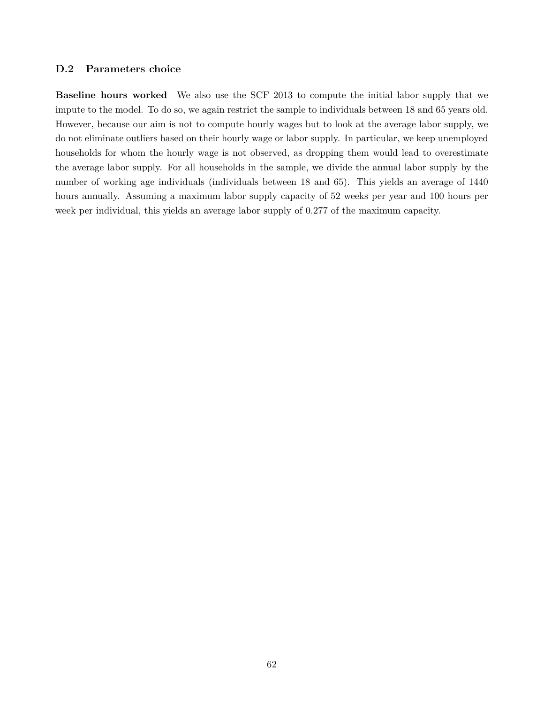### **D.2 Parameters choice**

**Baseline hours worked** We also use the SCF 2013 to compute the initial labor supply that we impute to the model. To do so, we again restrict the sample to individuals between 18 and 65 years old. However, because our aim is not to compute hourly wages but to look at the average labor supply, we do not eliminate outliers based on their hourly wage or labor supply. In particular, we keep unemployed households for whom the hourly wage is not observed, as dropping them would lead to overestimate the average labor supply. For all households in the sample, we divide the annual labor supply by the number of working age individuals (individuals between 18 and 65). This yields an average of 1440 hours annually. Assuming a maximum labor supply capacity of 52 weeks per year and 100 hours per week per individual, this yields an average labor supply of 0.277 of the maximum capacity.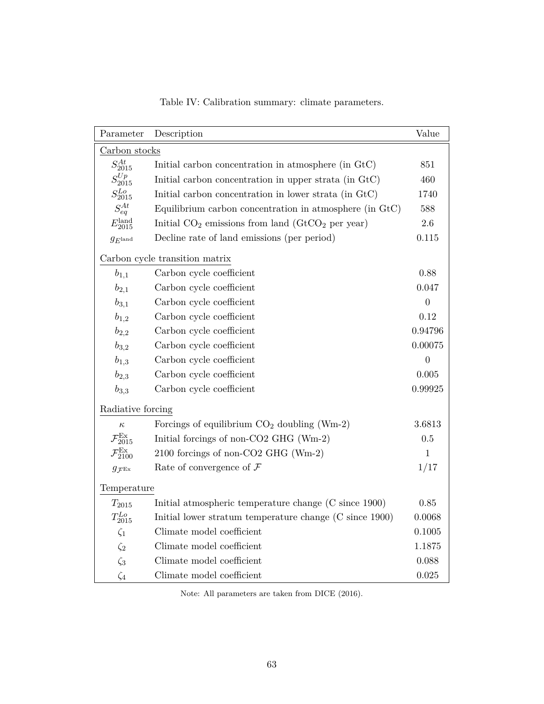| Parameter                        | Description                                             | Value          |
|----------------------------------|---------------------------------------------------------|----------------|
| Carbon stocks                    |                                                         |                |
| $S_{2015}^{At}$                  | Initial carbon concentration in atmosphere (in GtC)     | 851            |
| $S_{2015}^{Up}$                  | Initial carbon concentration in upper strata (in GtC)   | 460            |
| $S_{2015}^{Lo}$                  | Initial carbon concentration in lower strata (in GtC)   | 1740           |
| $S_{eq}^{At}$                    | Equilibrium carbon concentration in atmosphere (in GtC) | 588            |
| $E^{\rm land}_{2015}$            | Initial $CO_2$ emissions from land $(GtCO_2$ per year)  | 2.6            |
| $g_{E^{\rm land}}$               | Decline rate of land emissions (per period)             | 0.115          |
|                                  | Carbon cycle transition matrix                          |                |
| $b_{1,1}$                        | Carbon cycle coefficient                                | 0.88           |
| $b_{2,1}$                        | Carbon cycle coefficient                                | 0.047          |
| $b_{3,1}$                        | Carbon cycle coefficient                                | $\overline{0}$ |
| $b_{1,2}$                        | Carbon cycle coefficient                                | 0.12           |
| $b_{2,2}$                        | Carbon cycle coefficient                                | 0.94796        |
| $b_{3,2}$                        | Carbon cycle coefficient                                | 0.00075        |
| $b_{1,3}$                        | Carbon cycle coefficient                                | $\overline{0}$ |
| $b_{2,3}$                        | Carbon cycle coefficient                                | 0.005          |
| $b_{3,3}$                        | Carbon cycle coefficient                                | 0.99925        |
| Radiative forcing                |                                                         |                |
| $\kappa$                         | Forcings of equilibrium $CO2$ doubling (Wm-2)           | 3.6813         |
| $\mathcal{F}_{2015}^\mathrm{Ex}$ | Initial forcings of non-CO2 GHG (Wm-2)                  | 0.5            |
| $\mathcal{F}_{2100}^\mathrm{Ex}$ | 2100 forcings of non-CO2 GHG (Wm-2)                     | $\mathbf 1$    |
| $g_{\mathcal{F}^{\mathrm{Ex}}}$  | Rate of convergence of $\mathcal F$                     | 1/17           |
| Temperature                      |                                                         |                |
| $T_{2015}$                       | Initial atmospheric temperature change (C since 1900)   | 0.85           |
| $T_{2015}^{Lo}$                  | Initial lower stratum temperature change (C since 1900) | 0.0068         |
| $\zeta_1$                        | Climate model coefficient                               | 0.1005         |
| $\zeta_2$                        | Climate model coefficient                               | 1.1875         |
| $\zeta_3$                        | Climate model coefficient                               | 0.088          |
| $\zeta_4$                        | Climate model coefficient                               | 0.025          |

Table IV: Calibration summary: climate parameters.

Note: All parameters are taken from DICE (2016).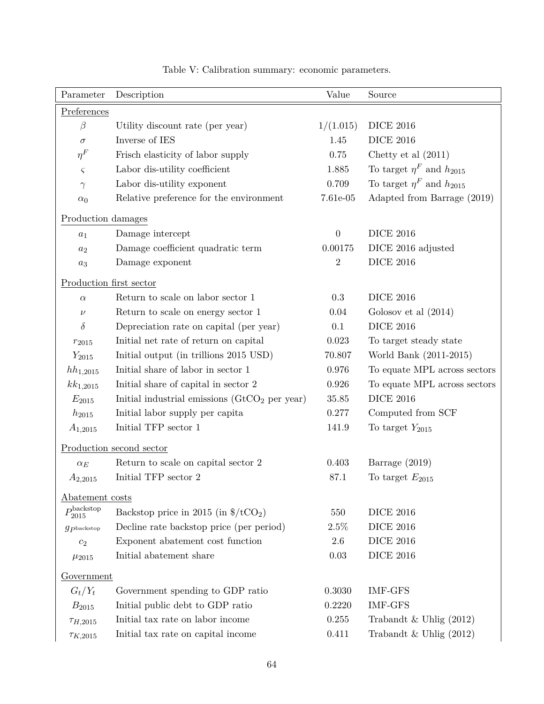| Parameter                         | Description                                                    | Value            | Source                            |
|-----------------------------------|----------------------------------------------------------------|------------------|-----------------------------------|
| Preferences                       |                                                                |                  |                                   |
| $\beta$                           | Utility discount rate (per year)                               | 1/(1.015)        | <b>DICE 2016</b>                  |
| $\sigma$                          | Inverse of IES                                                 | 1.45             | <b>DICE 2016</b>                  |
| $\eta^F$                          | Frisch elasticity of labor supply                              | 0.75             | Chetty et al $(2011)$             |
| $\varsigma$                       | Labor dis-utility coefficient                                  | 1.885            | To target $\eta^F$ and $h_{2015}$ |
| $\gamma$                          | Labor dis-utility exponent                                     | 0.709            | To target $\eta^F$ and $h_{2015}$ |
| $\alpha_0$                        | Relative preference for the environment                        | 7.61e-05         | Adapted from Barrage (2019)       |
| Production damages                |                                                                |                  |                                   |
| $a_1$                             | Damage intercept                                               | $\boldsymbol{0}$ | <b>DICE 2016</b>                  |
| $a_2$                             | Damage coefficient quadratic term                              | 0.00175          | DICE 2016 adjusted                |
| $a_3$                             | Damage exponent                                                | $\overline{2}$   | <b>DICE 2016</b>                  |
| Production first sector           |                                                                |                  |                                   |
| $\alpha$                          | Return to scale on labor sector 1                              | 0.3              | <b>DICE 2016</b>                  |
| $\nu$                             | Return to scale on energy sector 1                             | 0.04             | Golosov et al $(2014)$            |
| δ                                 | Depreciation rate on capital (per year)                        | 0.1              | <b>DICE 2016</b>                  |
| $r_{2015}$                        | Initial net rate of return on capital                          | 0.023            | To target steady state            |
| $Y_{2015}$                        | Initial output (in trillions 2015 USD)                         | 70.807           | World Bank (2011-2015)            |
| $hh_{1,2015}$                     | Initial share of labor in sector 1                             | 0.976            | To equate MPL across sectors      |
| $kk_{1,2015}$                     | Initial share of capital in sector 2                           | 0.926            | To equate MPL across sectors      |
| $E_{2015}$                        | Initial industrial emissions $(GtCO2$ per year)                | 35.85            | <b>DICE 2016</b>                  |
| $h_{2015}$                        | Initial labor supply per capita                                | 0.277            | Computed from SCF                 |
| $A_{1,2015}$                      | Initial TFP sector 1                                           | 141.9            | To target $Y_{2015}$              |
|                                   | Production second sector                                       |                  |                                   |
| $\alpha_E$                        | Return to scale on capital sector 2                            | 0.403            | Barrage $(2019)$                  |
| $A_{2,2015}$                      | Initial TFP sector $2$                                         | 87.1             | To target $E_{2015}$              |
| Abatement costs                   |                                                                |                  |                                   |
| $P^{\rm backstop}_{2015}$         | Backstop price in 2015 (in $\frac{\pi}{2}$ /tCO <sub>2</sub> ) | 550              | <b>DICE 2016</b>                  |
| $g_{\mathcal{P}^\text{backstop}}$ | Decline rate backstop price (per period)                       | 2.5%             | <b>DICE 2016</b>                  |
| $c_2$                             | Exponent abatement cost function                               | $2.6\,$          | <b>DICE 2016</b>                  |
| $\mu_{2015}$                      | Initial abatement share                                        | 0.03             | <b>DICE 2016</b>                  |
| Government                        |                                                                |                  |                                   |
| $G_t/Y_t$                         | Government spending to GDP ratio                               | 0.3030           | <b>IMF-GFS</b>                    |
| $B_{2015}$                        | Initial public debt to GDP ratio                               | 0.2220           | <b>IMF-GFS</b>                    |
| $\tau_{H,2015}$                   | Initial tax rate on labor income                               | 0.255            | Trabandt & Uhlig $(2012)$         |
| $\tau_{K,2015}$                   | Initial tax rate on capital income                             | 0.411            | Trabandt & Uhlig $(2012)$         |

Table V: Calibration summary: economic parameters.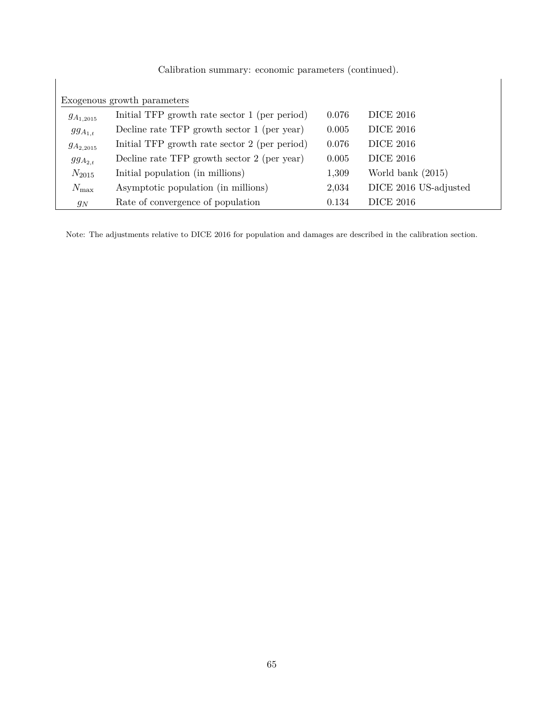|                  | Calibration summary: economic parameters (continued). |       |                       |
|------------------|-------------------------------------------------------|-------|-----------------------|
|                  |                                                       |       |                       |
|                  | Exogenous growth parameters                           |       |                       |
| $g_{A_{1,2015}}$ | Initial TFP growth rate sector 1 (per period)         | 0.076 | <b>DICE 2016</b>      |
| $ggA_{1,t}$      | Decline rate TFP growth sector 1 (per year)           | 0.005 | <b>DICE 2016</b>      |
| $g_{A_{2,2015}}$ | Initial TFP growth rate sector 2 (per period)         | 0.076 | <b>DICE 2016</b>      |
| $ggA_{2,t}$      | Decline rate TFP growth sector 2 (per year)           | 0.005 | <b>DICE 2016</b>      |
| $N_{2015}$       | Initial population (in millions)                      | 1,309 | World bank $(2015)$   |
| $N_{\rm max}$    | Asymptotic population (in millions)                   | 2,034 | DICE 2016 US-adjusted |
| $g_N$            | Rate of convergence of population                     | 0.134 | <b>DICE 2016</b>      |

Note: The adjustments relative to DICE 2016 for population and damages are described in the calibration section.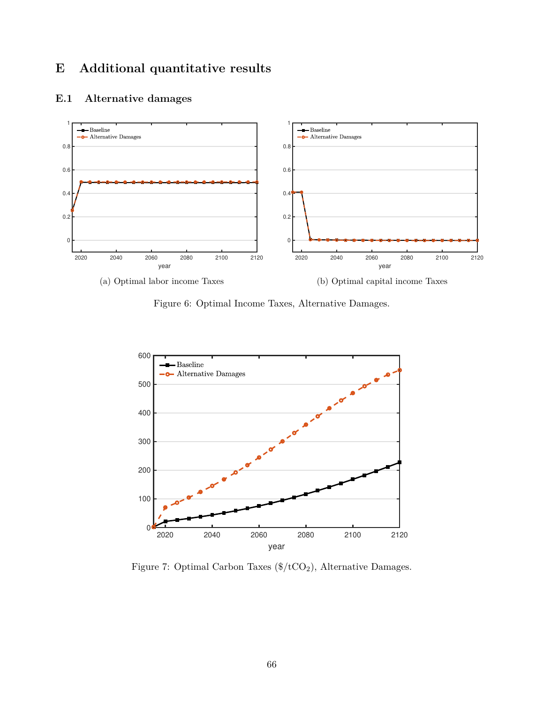# **E Additional quantitative results**



# **E.1 Alternative damages**





Figure 7: Optimal Carbon Taxes  $(\frac{4}{\text{CO2}})$ , Alternative Damages.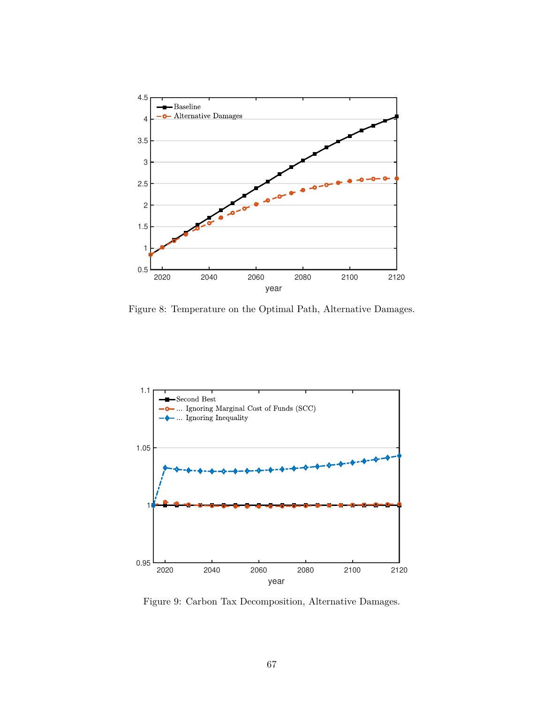

Figure 8: Temperature on the Optimal Path, Alternative Damages.



Figure 9: Carbon Tax Decomposition, Alternative Damages.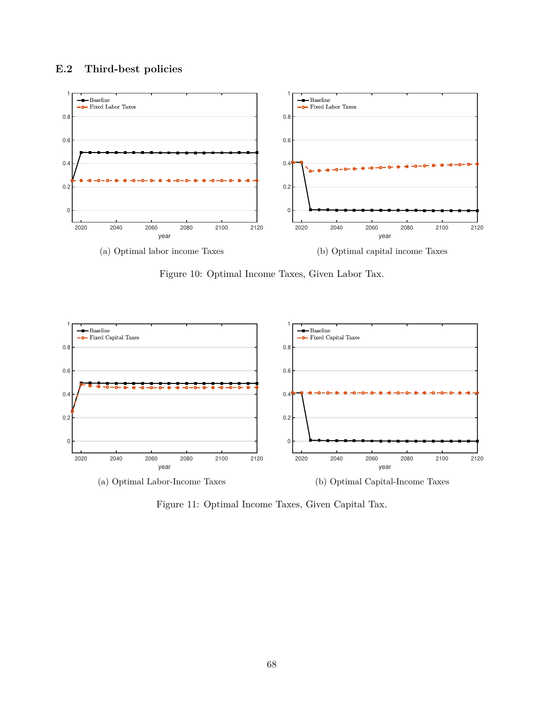# **E.2 Third-best policies**



Figure 10: Optimal Income Taxes, Given Labor Tax.



Figure 11: Optimal Income Taxes, Given Capital Tax.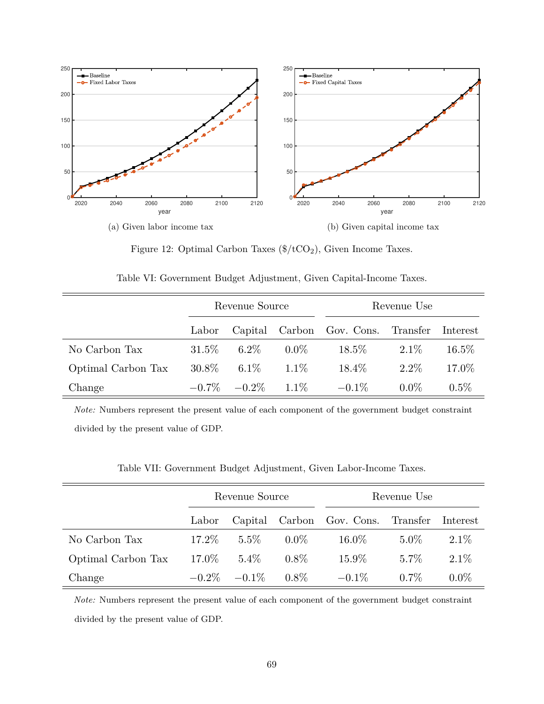

Figure 12: Optimal Carbon Taxes  $(\frac{4}{\csc}C_2)$ , Given Income Taxes.

|                    |          | Revenue Source    |         | Revenue Use                        |         |          |  |  |  |
|--------------------|----------|-------------------|---------|------------------------------------|---------|----------|--|--|--|
|                    | Labor    |                   |         | Capital Carbon Gov. Cons. Transfer |         | Interest |  |  |  |
| No Carbon Tax      | $31.5\%$ | $6.2\%$           | $0.0\%$ | $18.5\%$                           | $2.1\%$ | $16.5\%$ |  |  |  |
| Optimal Carbon Tax | $30.8\%$ | $6.1\%$           | $1.1\%$ | $18.4\%$                           | $2.2\%$ | 17.0%    |  |  |  |
| Change             |          | $-0.7\%$ $-0.2\%$ | $1.1\%$ | $-0.1\%$                           | $0.0\%$ | $0.5\%$  |  |  |  |

Table VI: Government Budget Adjustment, Given Capital-Income Taxes.

*Note:* Numbers represent the present value of each component of the government budget constraint divided by the present value of GDP.

Table VII: Government Budget Adjustment, Given Labor-Income Taxes.

|                    |          | Revenue Source    |         | Revenue Use                        |         |          |  |  |  |
|--------------------|----------|-------------------|---------|------------------------------------|---------|----------|--|--|--|
|                    | Labor    |                   |         | Capital Carbon Gov. Cons. Transfer |         | Interest |  |  |  |
| No Carbon Tax      | $17.2\%$ | $5.5\%$           | $0.0\%$ | $16.0\%$                           | $5.0\%$ | $2.1\%$  |  |  |  |
| Optimal Carbon Tax | $17.0\%$ | $5.4\%$           | $0.8\%$ | 15.9%                              | $5.7\%$ | $2.1\%$  |  |  |  |
| Change             |          | $-0.2\%$ $-0.1\%$ | $0.8\%$ | $-0.1\%$                           | $0.7\%$ | $0.0\%$  |  |  |  |

*Note:* Numbers represent the present value of each component of the government budget constraint divided by the present value of GDP.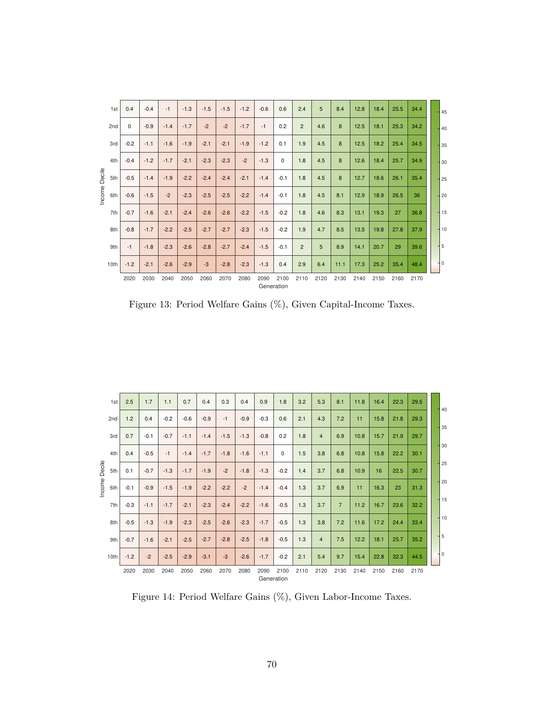| 1st           | 0.4    | $-0.4$ | $-1$   | $-1.3$ | $-1.5$ | $-1.5$ | $-1.2$ | $-0.6$ | 0.6                | 2.4            | 5    | 8.4  | 12.8 | 18.4 | 25.5 | 34.4 | 45    |
|---------------|--------|--------|--------|--------|--------|--------|--------|--------|--------------------|----------------|------|------|------|------|------|------|-------|
| 2nd           | 0      | $-0.9$ | $-1.4$ | $-1.7$ | $-2$   | $-2$   | $-1.7$ | $-1$   | 0.2                | $\overline{2}$ | 4.6  | 8    | 12.5 | 18.1 | 25.3 | 34.2 | 40    |
| 3rd           | $-0.2$ | $-1.1$ | $-1.6$ | $-1.9$ | $-2.1$ | $-2.1$ | $-1.9$ | $-1.2$ | 0.1                | 1.9            | 4.5  | 8    | 12.5 | 18.2 | 25.4 | 34.5 | 35    |
| 4th           | $-0.4$ | $-1.2$ | $-1.7$ | $-2.1$ | $-2.3$ | $-2.3$ | $-2$   | $-1.3$ | $\mathbf 0$        | 1.8            | 4.5  | 8    | 12.6 | 18.4 | 25.7 | 34.9 | 30    |
| Decile<br>5th | $-0.5$ | $-1.4$ | $-1.9$ | $-2.2$ | $-2.4$ | $-2.4$ | $-2.1$ | $-1.4$ | $-0.1$             | 1.8            | 4.5  | 8    | 12.7 | 18.6 | 26.1 | 35.4 | 25    |
| Income<br>6th | $-0.6$ | $-1.5$ | $-2$   | $-2.3$ | $-2.5$ | $-2.5$ | $-2.2$ | $-1.4$ | $-0.1$             | 1.8            | 4.5  | 8.1  | 12.9 | 18.9 | 26.5 | 36   | 20    |
| 7th           | $-0.7$ | $-1.6$ | $-2.1$ | $-2.4$ | $-2.6$ | $-2.6$ | $-2.2$ | $-1.5$ | $-0.2$             | 1.8            | 4.6  | 8.3  | 13.1 | 19.3 | 27   | 36.8 | $-15$ |
| 8th           | $-0.8$ | $-1.7$ | $-2.2$ | $-2.5$ | $-2.7$ | $-2.7$ | $-2.3$ | $-1.5$ | $-0.2$             | 1.9            | 4.7  | 8.5  | 13.5 | 19.8 | 27.8 | 37.9 | $-10$ |
| 9th           | $-1$   | $-1.8$ | $-2.3$ | $-2.6$ | $-2.8$ | $-2.7$ | $-2.4$ | $-1.5$ | $-0.1$             | $\overline{2}$ | 5    | 8.9  | 14.1 | 20.7 | 29   | 39.6 | 5     |
| 10th          | $-1.2$ | $-2.1$ | $-2.6$ | $-2.9$ | $-3$   | $-2.8$ | $-2.3$ | $-1.3$ | 0.4                | 2.9            | 6.4  | 11.1 | 17.3 | 25.2 | 35.4 | 48.4 | $-10$ |
|               | 2020   | 2030   | 2040   | 2050   | 2060   | 2070   | 2080   | 2090   | 2100<br>Generation | 2110           | 2120 | 2130 | 2140 | 2150 | 2160 | 2170 |       |

Figure 13: Period Welfare Gains (%), Given Capital-Income Taxes.

| 1st                  | 2.5    | 1.7    | 1.1    | 0.7    | 0.4    | 0.3    | 0.4    | 0.9                | 1.8         | 3.2  | 5.3            | 8.1            | 11.8 | 16.4 | 22.3 | 29.5 | 40              |  |
|----------------------|--------|--------|--------|--------|--------|--------|--------|--------------------|-------------|------|----------------|----------------|------|------|------|------|-----------------|--|
| 2nd                  | 1.2    | 0.4    | $-0.2$ | $-0.6$ | $-0.9$ | $-1$   | $-0.9$ | $-0.3$             | 0.6         | 2.1  | 4.3            | 7.2            | 11   | 15.8 | 21.8 | 29.3 |                 |  |
| 3rd                  | 0.7    | $-0.1$ | $-0.7$ | $-1.1$ | $-1.4$ | $-1.5$ | $-1.3$ | $-0.8$             | 0.2         | 1.8  | $\overline{4}$ | 6.9            | 10.8 | 15.7 | 21.9 | 29.7 | 35              |  |
| 4th                  | 0.4    | $-0.5$ | $-1$   | $-1.4$ | $-1.7$ | $-1.8$ | $-1.6$ | $-1.1$             | $\mathbf 0$ | 1.5  | 3.8            | 6.8            | 10.8 | 15.8 | 22.2 | 30.1 | 30              |  |
| 5th                  | 0.1    | $-0.7$ | $-1.3$ | $-1.7$ | $-1.9$ | $-2$   | $-1.8$ | $-1.3$             | $-0.2$      | 1.4  | 3.7            | 6.8            | 10.9 | 16   | 22.5 | 30.7 | 125             |  |
| Income Decile<br>6th | $-0.1$ | $-0.9$ | $-1.5$ | $-1.9$ | $-2.2$ | $-2.2$ | $-2$   | $-1.4$             | $-0.4$      | 1.3  | 3.7            | 6.9            | 11   | 16.3 | 23   | 31.3 | 20              |  |
| 7th                  | $-0.3$ | $-1.1$ | $-1.7$ | $-2.1$ | $-2.3$ | $-2.4$ | $-2.2$ | $-1.6$             | $-0.5$      | 1.3  | 3.7            | $\overline{7}$ | 11.2 | 16.7 | 23.6 | 32.2 | $+15$           |  |
| 8th                  | $-0.5$ | $-1.3$ | $-1.9$ | $-2.3$ | $-2.5$ | $-2.6$ | $-2.3$ | $-1.7$             | $-0.5$      | 1.3  | 3.8            | 7.2            | 11.6 | 17.2 | 24.4 | 33.4 | 110             |  |
| 9th                  | $-0.7$ | $-1.6$ | $-2.1$ | $-2.5$ | $-2.7$ | $-2.8$ | $-2.5$ | $-1.8$             | $-0.5$      | 1.3  | $\overline{4}$ | 7.5            | 12.2 | 18.1 | 25.7 | 35.2 | $\overline{15}$ |  |
| 10th                 | $-1.2$ | $-2$   | $-2.5$ | $-2.9$ | $-3.1$ | $-3$   | $-2.6$ | $-1.7$             | $-0.2$      | 2.1  | 5.4            | 9.7            | 15.4 | 22.8 | 32.3 | 44.5 | 10              |  |
|                      | 2020   | 2030   | 2040   | 2050   | 2060   | 2070   | 2080   | 2090<br>Generation | 2100        | 2110 | 2120           | 2130           | 2140 | 2150 | 2160 | 2170 |                 |  |

Figure 14: Period Welfare Gains (%), Given Labor-Income Taxes.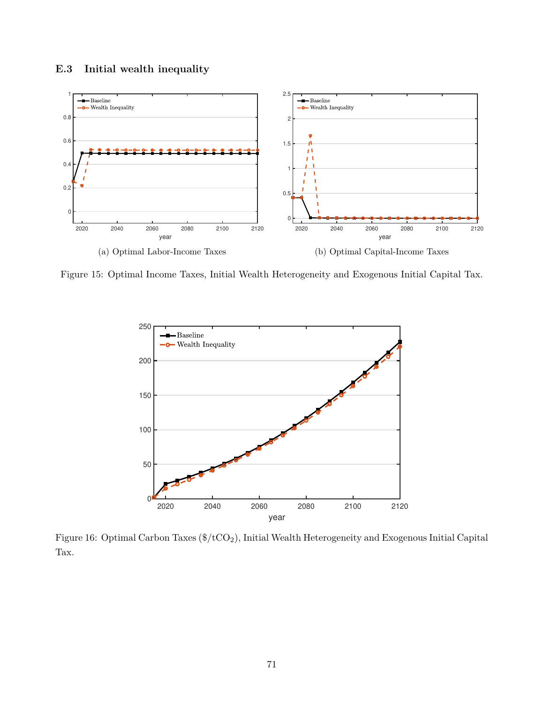



Figure 15: Optimal Income Taxes, Initial Wealth Heterogeneity and Exogenous Initial Capital Tax.



Figure 16: Optimal Carbon Taxes (\$/tCO2), Initial Wealth Heterogeneity and Exogenous Initial Capital Tax.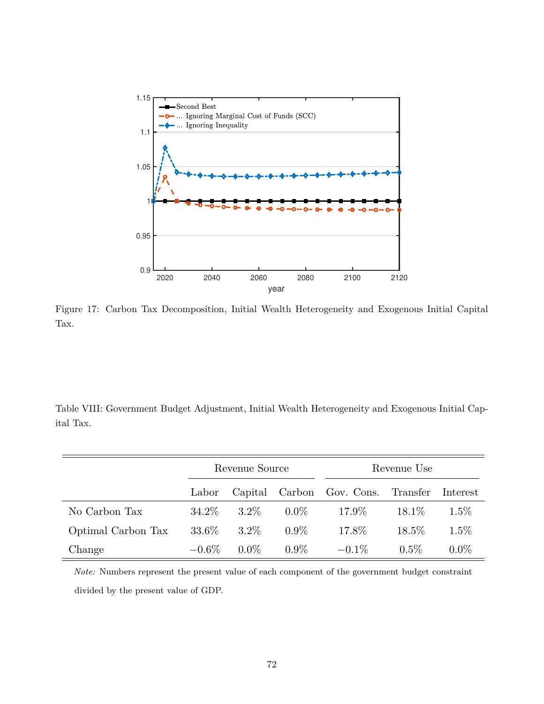

Figure 17: Carbon Tax Decomposition, Initial Wealth Heterogeneity and Exogenous Initial Capital Tax.

Table VIII: Government Budget Adjustment, Initial Wealth Heterogeneity and Exogenous Initial Capital Tax.

|                    |          | Revenue Source |         | Revenue Use               |          |          |  |  |  |
|--------------------|----------|----------------|---------|---------------------------|----------|----------|--|--|--|
|                    | Labor    |                |         | Capital Carbon Gov. Cons. | Transfer | Interest |  |  |  |
| No Carbon Tax      | 34.2\%   | $3.2\%$        | $0.0\%$ | 17.9%                     | $18.1\%$ | $1.5\%$  |  |  |  |
| Optimal Carbon Tax | 33.6\%   | $3.2\%$        | $0.9\%$ | 17.8%                     | 18.5%    | $1.5\%$  |  |  |  |
| Change             | $-0.6\%$ | $0.0\%$        | $0.9\%$ | $-0.1\%$                  | $0.5\%$  | $0.0\%$  |  |  |  |

*Note:* Numbers represent the present value of each component of the government budget constraint divided by the present value of GDP.